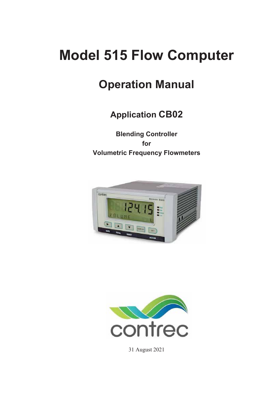# **Model 515 Flow Computer**

# **Operation Manual**

**Application CB02**

**Blending Controller for Volumetric Frequency Flowmeters**





31 August 2021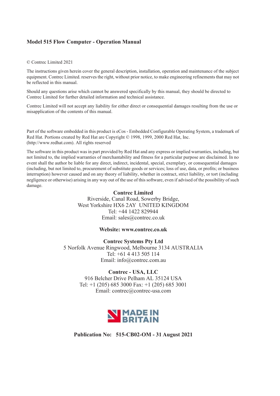#### **Model 515 Flow Computer - Operation Manual**

#### © Contrec Limited 2021

The instructions given herein cover the general description, installation, operation and maintenance of the subject equipment. Contrec Limited. reserves the right, without prior notice, to make engineering refinements that may not be reflected in this manual.

Should any questions arise which cannot be answered specifically by this manual, they should be directed to Contrec Limited for further detailed information and technical assistance.

Contrec Limited will not accept any liability for either direct or consequential damages resulting from the use or misapplication of the contents of this manual.

Part of the software embedded in this product is eCos - Embedded Configurable Operating System, a trademark of Red Hat. Portions created by Red Hat are Copyright © 1998, 1999, 2000 Red Hat, Inc. (http://www.redhat.com). All rights reserved

The software in this product was in part provided by Red Hat and any express or implied warranties, including, but not limited to, the implied warranties of merchantability and fitness for a particular purpose are disclaimed. In no event shall the author be liable for any direct, indirect, incidental, special, exemplary, or consequential damages (including, but not limited to, procurement of substitute goods or services; loss of use, data, or profits; or business interruption) however caused and on any theory of liability, whether in contract, strict liability, or tort (including negligence or otherwise) arising in any way out of the use of this software, even if advised of the possibility of such damage.

#### **Contrec Limited**

Riverside, Canal Road, Sowerby Bridge, West Yorkshire HX6 2AY UNITED KINGDOM Tel: +44 1422 829944 Email: sales@contrec.co.uk

#### **Website: www.contrec.co.uk**

**Contrec Systems Pty Ltd** 5 Norfolk Avenue Ringwood, Melbourne 3134 AUSTRALIA Tel: +61 4 413 505 114 Email: info@contrec.com.au

### **Contrec - USA, LLC**

916 Belcher Drive Pelham AL 35124 USA Tel: +1 (205) 685 3000 Fax: +1 (205) 685 3001 Email: contrec@contrec-usa.com



**Publication No: 515-CB02-OM - 31 August 2021**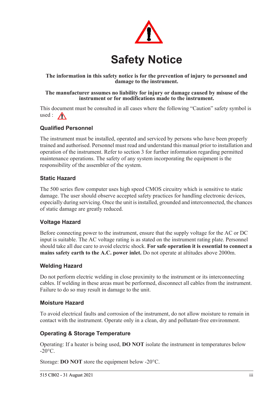

### **The information in this safety notice is for the prevention of injury to personnel and damage to the instrument.**

#### **The manufacturer assumes no liability for injury or damage caused by misuse of the instrument or for modifications made to the instrument.**

This document must be consulted in all cases where the following "Caution" safety symbol is used :  $\bigwedge$ 

### **Qualified Personnel**

The instrument must be installed, operated and serviced by persons who have been properly trained and authorised. Personnel must read and understand this manual prior to installation and operation of the instrument. Refer to section 3 for further information regarding permitted maintenance operations. The safety of any system incorporating the equipment is the responsibility of the assembler of the system.

### **Static Hazard**

The 500 series flow computer uses high speed CMOS circuitry which is sensitive to static damage. The user should observe accepted safety practices for handling electronic devices, especially during servicing. Once the unit is installed, grounded and interconnected, the chances of static damage are greatly reduced.

### **Voltage Hazard**

Before connecting power to the instrument, ensure that the supply voltage for the AC or DC input is suitable. The AC voltage rating is as stated on the instrument rating plate. Personnel should take all due care to avoid electric shock. **For safe operation it is essential to connect a mains safety earth to the A.C. power inlet.** Do not operate at altitudes above 2000m.

### **Welding Hazard**

Do not perform electric welding in close proximity to the instrument or its interconnecting cables. If welding in these areas must be performed, disconnect all cables from the instrument. Failure to do so may result in damage to the unit.

### **Moisture Hazard**

To avoid electrical faults and corrosion of the instrument, do not allow moisture to remain in contact with the instrument. Operate only in a clean, dry and pollutant-free environment.

### **Operating & Storage Temperature**

Operating: If a heater is being used, **DO NOT** isolate the instrument in temperatures below  $-20^{\circ}$ C.

Storage: **DO NOT** store the equipment below -20°C.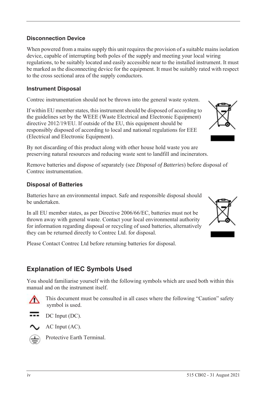### **Disconnection Device**

When powered from a mains supply this unit requires the provision of a suitable mains isolation device, capable of interrupting both poles of the supply and meeting your local wiring regulations, to be suitably located and easily accessible near to the installed instrument. It must be marked as the disconnecting device for the equipment. It must be suitably rated with respect to the cross sectional area of the supply conductors.

### **Instrument Disposal**

Contrec instrumentation should not be thrown into the general waste system.

If within EU member states, this instrument should be disposed of according to the guidelines set by the WEEE (Waste Electrical and Electronic Equipment) directive 2012/19/EU. If outside of the EU, this equipment should be responsibly disposed of according to local and national regulations for EEE (Electrical and Electronic Equipment).

By not discarding of this product along with other house hold waste you are preserving natural resources and reducing waste sent to landfill and incinerators.

Remove batteries and dispose of separately (see *Disposal of Batteries*) before disposal of Contrec instrumentation.

### **Disposal of Batteries**

Batteries have an environmental impact. Safe and responsible disposal should be undertaken.

In all EU member states, as per Directive 2006/66/EC, batteries must not be thrown away with general waste. Contact your local environmental authority for information regarding disposal or recycling of used batteries, alternatively they can be returned directly to Contrec Ltd. for disposal.

Please Contact Contrec Ltd before returning batteries for disposal.

# **Explanation of IEC Symbols Used**

You should familiarise yourself with the following symbols which are used both within this manual and on the instrument itself.



 This document must be consulted in all cases where the following "Caution" safety symbol is used.





AC Input (AC).



Protective Earth Terminal.



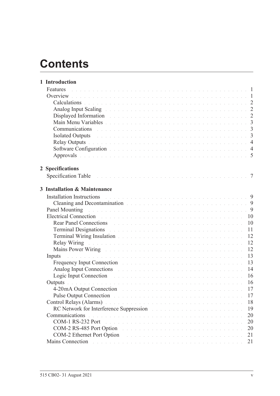# **Contents**

|   | 1 Introduction                                                                                                                                                                                                                            |  |
|---|-------------------------------------------------------------------------------------------------------------------------------------------------------------------------------------------------------------------------------------------|--|
|   | Features                                                                                                                                                                                                                                  |  |
|   |                                                                                                                                                                                                                                           |  |
|   | Calculations de la commune de la commune de la commune de la commune de la commune de la commune de la commune                                                                                                                            |  |
|   | Analog Input Scaling <b>Executive Communities</b> 2                                                                                                                                                                                       |  |
|   | Displayed Information and the contract of the contract of the contract of the contract of the 2                                                                                                                                           |  |
|   | Main Menu Variables and contained the contract of the contract of the contract of the contract of the contract of the contract of the contract of the contract of the contract of the contract of the contract of the contract            |  |
|   | Communications research and contract the contract of the contract of the contract of the 3                                                                                                                                                |  |
|   | Isolated Outputs and a contract the contract of the contract of the contract of the S                                                                                                                                                     |  |
|   | Relay Outputs de la communication de la communication de la communication de la communication de la communication de la communication de la communication de la communication de la communication de la communication de la co            |  |
|   |                                                                                                                                                                                                                                           |  |
|   | Approvals the contract of the contract of the contract of the contract of the contract of the 5                                                                                                                                           |  |
|   |                                                                                                                                                                                                                                           |  |
|   | 2 Specifications                                                                                                                                                                                                                          |  |
|   |                                                                                                                                                                                                                                           |  |
| 3 | <b>Installation &amp; Maintenance</b>                                                                                                                                                                                                     |  |
|   | Installation Instructions and a contract of the contract of the contract of the contract of the contract of the S                                                                                                                         |  |
|   | Cleaning and Decontamination and the contract of the contract of the contract of the set of the set of the set of the set of the set of the set of the set of the set of the set of the set of the set of the set of the set o            |  |
|   | Panel Mounting received a contract of the contract of the contract of the contract of the P                                                                                                                                               |  |
|   | Electrical Connection and a constant of the contract of the contract of the contract of the contract of the contract of the contract of the contract of the contract of the contract of the contract of the contract of the co            |  |
|   | 10<br>Rear Panel Connections and the contract of the contract of the contract of the contract of the contract of the contract of the contract of the contract of the contract of the contract of the contract of the contract of the      |  |
|   | 11<br><b>Terminal Designations</b> and a contract the contract of the contract of the contract of the contract of the contract of the contract of the contract of the contract of the contract of the contract of the contract of the con |  |
|   | 12<br>Terminal Wiring Insulation and a contract the contract of the contract of the contract of the contract of the contract of the contract of the contract of the contract of the contract of the contract of the contract of the       |  |
|   | 12                                                                                                                                                                                                                                        |  |
|   | 12<br>Mains Power Wiring Mathews Allen and Allen and Allen and Allen and Allen and Allen and Allen and Allen and Allen                                                                                                                    |  |
|   | 13<br>Inputs<br>المتابع المتعاطي والمتعاطي والمتعاطي والمتعاطي والمتعاطي والمتعاطي والمتعاطي والمتعاطي والمتعاطي والمتعاطي                                                                                                                |  |
|   | 13<br>Frequency Input Connection and a construction of the contract of the contract of the contract of the contract of the contract of the contract of the contract of the contract of the contract of the contract of the contract       |  |
|   | 14<br>Analog Input Connections and a contract the contract of the contract of the contract of the contract of the contract of the contract of the contract of the contract of the contract of the contract of the contract of the co      |  |
|   | Logic Input Connection and a construction of the contract of the contract of the contract of the contract of the contract of the contract of the contract of the contract of the contract of the contract of the contract of t<br>16      |  |
|   | 16                                                                                                                                                                                                                                        |  |
|   | 17<br>4-20 mA Output Connection and a contract the contract of the contract of the contract of the contract of the contract of the contract of the contract of the contract of the contract of the contract of the contract of the c      |  |
|   | 17<br>Pulse Output Connection and a constant of the contract of the contract of the contract of the contract of the contract of the contract of the contract of the contract of the contract of the contract of the contract of the       |  |
|   | Control Relays (Alarms) and a control of the control of the control of the control of the control of the control of the control of the control of the control of the control of the control of the control of the control of t<br>18      |  |
|   | RC Network for Interference Suppression<br>19                                                                                                                                                                                             |  |
|   | Communications<br>20                                                                                                                                                                                                                      |  |
|   | COM-1 RS-232 Port<br>20                                                                                                                                                                                                                   |  |
|   | COM-2 RS-485 Port Option<br>20                                                                                                                                                                                                            |  |
|   | COM-2 Ethernet Port Option<br>21                                                                                                                                                                                                          |  |
|   | Mains Connection                                                                                                                                                                                                                          |  |
|   | 21<br>.<br>The second contract of the second contract of the second contract of the second contract of the second contract                                                                                                                |  |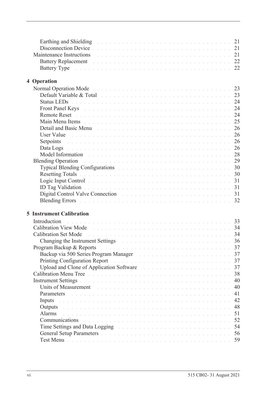| Earthing and Shielding Theorem and the contract of the contract of the contract of the contract of the contract of the contract of the contract of the contract of the contract of the contract of the contract of the contrac<br>Maintenance Instructions and a contract of the contract of the contract of the contract of the contract of the contract of the contract of the contract of the contract of the contract of the contract of the contract of the<br>Battery Replacement and a contract of the contract of the contract of the contract of 22<br>Battery Type described and the contract of the contract of the contract of 22 |  |  |  |  |  |  | 21 |
|-----------------------------------------------------------------------------------------------------------------------------------------------------------------------------------------------------------------------------------------------------------------------------------------------------------------------------------------------------------------------------------------------------------------------------------------------------------------------------------------------------------------------------------------------------------------------------------------------------------------------------------------------|--|--|--|--|--|--|----|
| 4 Operation                                                                                                                                                                                                                                                                                                                                                                                                                                                                                                                                                                                                                                   |  |  |  |  |  |  |    |
| Default Variable & Total experience in the contract of the contract of the 23                                                                                                                                                                                                                                                                                                                                                                                                                                                                                                                                                                 |  |  |  |  |  |  |    |
| Status LEDs <b>Election</b> 24                                                                                                                                                                                                                                                                                                                                                                                                                                                                                                                                                                                                                |  |  |  |  |  |  |    |
| Front Panel Keys and a contract the contract of the contract of the contract of 24                                                                                                                                                                                                                                                                                                                                                                                                                                                                                                                                                            |  |  |  |  |  |  |    |
|                                                                                                                                                                                                                                                                                                                                                                                                                                                                                                                                                                                                                                               |  |  |  |  |  |  | 24 |
| Main Menu Items de la communicación de la communicación de la communicación 25                                                                                                                                                                                                                                                                                                                                                                                                                                                                                                                                                                |  |  |  |  |  |  |    |
|                                                                                                                                                                                                                                                                                                                                                                                                                                                                                                                                                                                                                                               |  |  |  |  |  |  |    |
| User Value <i>in the community of the community of the community of the community of 26</i>                                                                                                                                                                                                                                                                                                                                                                                                                                                                                                                                                   |  |  |  |  |  |  |    |
|                                                                                                                                                                                                                                                                                                                                                                                                                                                                                                                                                                                                                                               |  |  |  |  |  |  |    |
| Data Logs de la componentación de la componentación de la componentación de 26                                                                                                                                                                                                                                                                                                                                                                                                                                                                                                                                                                |  |  |  |  |  |  |    |
| Model Information and the contract of the contract of the contract of the contract of the contract of the contract of the contract of the contract of the contract of the contract of the contract of the contract of the cont                                                                                                                                                                                                                                                                                                                                                                                                                |  |  |  |  |  |  |    |
| Blending Operation and the contract of the contract of the contract of the contract of the 29                                                                                                                                                                                                                                                                                                                                                                                                                                                                                                                                                 |  |  |  |  |  |  |    |
| Typical Blending Configurations and a contract the contract of the contract of the 30                                                                                                                                                                                                                                                                                                                                                                                                                                                                                                                                                         |  |  |  |  |  |  |    |
|                                                                                                                                                                                                                                                                                                                                                                                                                                                                                                                                                                                                                                               |  |  |  |  |  |  |    |
|                                                                                                                                                                                                                                                                                                                                                                                                                                                                                                                                                                                                                                               |  |  |  |  |  |  |    |
| ID Tag Validation and a contract the contract of the contract of the contract of the 31                                                                                                                                                                                                                                                                                                                                                                                                                                                                                                                                                       |  |  |  |  |  |  |    |
| Digital Control Valve Connection and a subsequently and a subsequently state of the state of the 31                                                                                                                                                                                                                                                                                                                                                                                                                                                                                                                                           |  |  |  |  |  |  |    |
| Blending Errors and a communication of the communication of the communication of the communication of the communication of the communication of the communication of the communication of the communication of the communicati                                                                                                                                                                                                                                                                                                                                                                                                                |  |  |  |  |  |  | 32 |
|                                                                                                                                                                                                                                                                                                                                                                                                                                                                                                                                                                                                                                               |  |  |  |  |  |  |    |
| <b>5 Instrument Calibration</b>                                                                                                                                                                                                                                                                                                                                                                                                                                                                                                                                                                                                               |  |  |  |  |  |  |    |
| Introduction                                                                                                                                                                                                                                                                                                                                                                                                                                                                                                                                                                                                                                  |  |  |  |  |  |  |    |
|                                                                                                                                                                                                                                                                                                                                                                                                                                                                                                                                                                                                                                               |  |  |  |  |  |  |    |
| Calibration Set Mode and the set of the set of the set of the set of the set of the set of the set of the set of the set of the set of the set of the set of the set of the set of the set of the set of the set of the set of                                                                                                                                                                                                                                                                                                                                                                                                                |  |  |  |  |  |  |    |
| Changing the Instrument Settings and a contract of the contract of the settings of the contract of the contract of the settings of the contract of the contract of the contract of the contract of the contract of the contrac                                                                                                                                                                                                                                                                                                                                                                                                                |  |  |  |  |  |  | 37 |
| Program Backup & Reports<br>$\mathcal{A}$ , which is a set of the set of the set of the set of the set of the set of the set of                                                                                                                                                                                                                                                                                                                                                                                                                                                                                                               |  |  |  |  |  |  | 37 |
| Printing Configuration Report                                                                                                                                                                                                                                                                                                                                                                                                                                                                                                                                                                                                                 |  |  |  |  |  |  | 37 |
| المتعاونة والمتعاون والمتعاونة والمتعاونة والمتعاونة والمتعاونة والمتعاونة والمتعاونة والمتعاونة والمتعاونة<br>Upload and Clone of Application Software Figure 1 and the set of the set of the set of the Upload and Clone of Application Software                                                                                                                                                                                                                                                                                                                                                                                            |  |  |  |  |  |  | 37 |
| Calibration Menu Tree Albert and albert and albert and albert and albert and albert and                                                                                                                                                                                                                                                                                                                                                                                                                                                                                                                                                       |  |  |  |  |  |  | 38 |
| Instrument Settings and a construction of the construction of the construction of the construction                                                                                                                                                                                                                                                                                                                                                                                                                                                                                                                                            |  |  |  |  |  |  | 40 |
| Units of Measurement And Allen and Allen and Allen and Allen and Allen and Allen and Allen and Allen                                                                                                                                                                                                                                                                                                                                                                                                                                                                                                                                          |  |  |  |  |  |  | 40 |
| Parameters<br>a constitution de la constitution de la constitution de la constitution de la constitution de la constitution                                                                                                                                                                                                                                                                                                                                                                                                                                                                                                                   |  |  |  |  |  |  | 41 |
| Inputs<br>in distribution of the contract of the contract of the contract of the contract of the contract of the contract of                                                                                                                                                                                                                                                                                                                                                                                                                                                                                                                  |  |  |  |  |  |  | 42 |
| Outputs<br>.<br>In the second complete the second complete the second complete the second complete that the second complete th                                                                                                                                                                                                                                                                                                                                                                                                                                                                                                                |  |  |  |  |  |  | 48 |
| <b>Alarms</b><br>a construction of the construction of the construction of the construction of the construction of the construction of the construction of the construction of the construction of the construction of the construction of the                                                                                                                                                                                                                                                                                                                                                                                                |  |  |  |  |  |  | 51 |
| Communications                                                                                                                                                                                                                                                                                                                                                                                                                                                                                                                                                                                                                                |  |  |  |  |  |  | 52 |
| Time Settings and Data Logging The Community of the Community of the Settings and Data Logging                                                                                                                                                                                                                                                                                                                                                                                                                                                                                                                                                |  |  |  |  |  |  | 54 |
| General Setup Parameters and a constant of the contract of the construction of the construction of the construction of the construction of the construction of the construction of the construction of the construction of the                                                                                                                                                                                                                                                                                                                                                                                                                |  |  |  |  |  |  | 56 |
| Test Menu de la propone de la propone de la propone de la propone de la propone de la propone de                                                                                                                                                                                                                                                                                                                                                                                                                                                                                                                                              |  |  |  |  |  |  | 59 |
|                                                                                                                                                                                                                                                                                                                                                                                                                                                                                                                                                                                                                                               |  |  |  |  |  |  |    |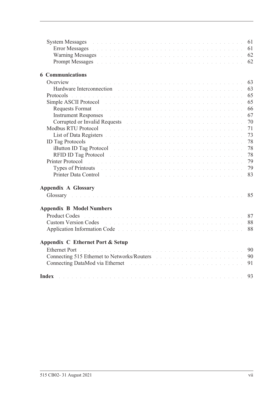|                                                                                                                                                                                                                                |  | 61 |  |
|--------------------------------------------------------------------------------------------------------------------------------------------------------------------------------------------------------------------------------|--|----|--|
|                                                                                                                                                                                                                                |  | 61 |  |
| Warning Messages and a contract the contract of the contract of the contract of the contract of the contract of the contract of the contract of the contract of the contract of the contract of the contract of the contract o |  | 62 |  |
|                                                                                                                                                                                                                                |  | 62 |  |
| <b>6</b> Communications                                                                                                                                                                                                        |  |    |  |
|                                                                                                                                                                                                                                |  | 63 |  |
| Hardware Interconnection and a contract the contract of the contract of the contract of the contract of the contract of the contract of the contract of the contract of the contract of the contract of the contract of the co |  | 63 |  |
|                                                                                                                                                                                                                                |  | 65 |  |
| Simple ASCII Protocol and the contract of the contract of the contract of the contract of the contract of the contract of the contract of the contract of the contract of the contract of the contract of the contract of the  |  | 65 |  |
| Requests Format enterprise in the contract of the contract of the contract of the contract of the contract of                                                                                                                  |  | 66 |  |
| Instrument Responses and a contract the contract of the contract of the contract of the contract of the contract of the contract of the contract of the contract of the contract of the contract of the contract of the contra |  | 67 |  |
| Corrupted or Invalid Requests and a contract the contract of the contract of the contract of the contract of the contract of the contract of the contract of the contract of the contract of the contract of the contract of t |  | 70 |  |
| Modbus RTU Protocol and the contract of the contract of the contract of the contract of                                                                                                                                        |  | 71 |  |
| List of Data Registers and a construction of the construction of the construction of                                                                                                                                           |  | 73 |  |
| ID Tag Protocols and a construction of the construction of the construction of the construction of the construction of the construction of the construction of the construction of the construction of the construction of the |  | 78 |  |
| iButton ID Tag Protocol and a construction of the construction of the construction of                                                                                                                                          |  | 78 |  |
| RFID ID Tag Protocol and a construction of the construction of the construction of                                                                                                                                             |  | 78 |  |
| Printer Protocol and a construction of the construction of the construction of the construction                                                                                                                                |  | 79 |  |
| Types of Printouts and the contract of the contract of the contract of the contract of the contract of the contract of the contract of the contract of the contract of the contract of the contract of the contract of the con |  | 79 |  |
| Printer Data Control and a control of the control of the control of the control of the control of the control of the control of the control of the control of the control of the control of the control of the control of the  |  | 83 |  |
| <b>Appendix A Glossary</b>                                                                                                                                                                                                     |  |    |  |
| Glossary and a communication of the communication of the communication of the communication of the communication of the communication of the communication of the communication of the communication of the communication of t |  | 85 |  |
|                                                                                                                                                                                                                                |  |    |  |
| <b>Appendix B Model Numbers</b>                                                                                                                                                                                                |  |    |  |
| <b>Product Codes</b><br>.<br>The contract of the contract of the contract of the contract of the contract of the contract of the contract of                                                                                   |  | 87 |  |
| Custom Version Codes and a contract the contract of the contract of the contract of the contract of the contract of the contract of the contract of the contract of the contract of the contract of the contract of the contra |  | 88 |  |
| Application Information Code and a contract to the contract of the contract of the contract of the contract of                                                                                                                 |  | 88 |  |
| Appendix C Ethernet Port & Setup                                                                                                                                                                                               |  |    |  |
| Ethernet Port and a communication of the communication of the communication of the communication                                                                                                                               |  | 90 |  |
| Connecting 515 Ethernet to Networks/Routers and an annual connecting 515 Ethernet to Networks/Routers                                                                                                                          |  | 90 |  |
| Connecting DataMod via Ethernet and a constant and a constant and a constant of                                                                                                                                                |  | 91 |  |
|                                                                                                                                                                                                                                |  | 93 |  |
| Index a construction of the construction of the construction of the construction of the construction of the construction of the construction of the construction of the construction of the construction of the construction o |  |    |  |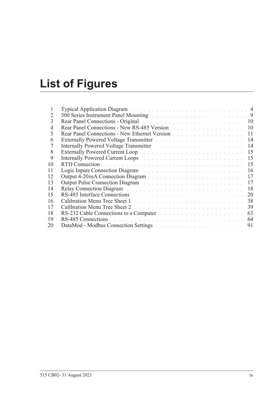# **List of Figures**

| 1                        | <b>Typical Application Diagram</b> and the contract of the contract of the state of the state of the state of the state of the state of the state of the state of the state of the state of the state of the state of the state of |    |
|--------------------------|------------------------------------------------------------------------------------------------------------------------------------------------------------------------------------------------------------------------------------|----|
| 2                        | 500 Series Instrument Panel Mounting and a series of the series of the series of the 9                                                                                                                                             |    |
| 3                        | Rear Panel Connections - Original                                                                                                                                                                                                  |    |
| 4                        | Rear Panel Connections - New RS-485 Version                                                                                                                                                                                        | 10 |
| $\overline{\mathcal{L}}$ | Rear Panel Connections - New Ethernet Version                                                                                                                                                                                      | 11 |
| 6                        | Externally Powered Voltage Transmitter and a contract of the state of the 14                                                                                                                                                       |    |
| 7                        | Internally Powered Voltage Transmitter March 2014 and March 2014                                                                                                                                                                   | 14 |
| 8                        |                                                                                                                                                                                                                                    | 15 |
| 9                        | Internally Powered Current Loops and a contract to the contract of the contract of the contract of the contract of the contract of the contract of the contract of the contract of the contract of the contract of the contrac     | 15 |
| 10                       |                                                                                                                                                                                                                                    | 15 |
| 11                       | Logic Inputs Connection Diagram and the connection of the Connection of the Connection of the Connection of the Connection of the Connection of the Connection of the Connection of the Connection of the Connection of the Co     | 16 |
| 12                       | Output 4-20mA Connection Diagram                                                                                                                                                                                                   | 17 |
| 13                       | Output Pulse Connection Diagram and a connection of the Connection of the Connection of the Connection of the Connection of the Connection of the Connection of the Connection of the Connection of the Connection of the Conn     | 17 |
| 14                       | Relay Connection Diagram and a connection of the connection of the connection of the connection of the connection of the connection of the connection of the connection of the connection of the connection of the connection      | 18 |
| 15                       |                                                                                                                                                                                                                                    | 20 |
| 16                       | Calibration Menu Tree Sheet 1 and the community of the community of the Calibration Menu Tree Sheet 1                                                                                                                              | 38 |
| 17                       |                                                                                                                                                                                                                                    | 39 |
| 18                       | RS-232 Cable Connections to a Computer and a consumer and a consumer and the contract of the contract of the contract of the contract of the contract of the contract of the contract of the contract of the contract of the c     | 63 |
| 19                       |                                                                                                                                                                                                                                    | 64 |
| 20                       | DataMod - Modbus Connection Settings and a connection of the settings of the settings of the settings of the settings of the settings of the settings of the settings of the settings of the settings of the settings of the s     | 91 |
|                          |                                                                                                                                                                                                                                    |    |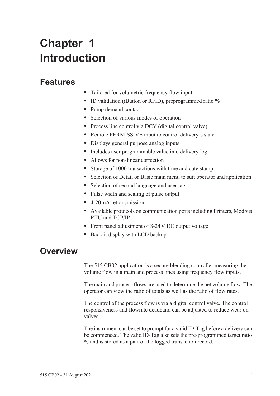# <span id="page-10-0"></span>**Chapter 1 Introduction**

# <span id="page-10-1"></span>**Features**

- **•** Tailored for volumetric frequency flow input
- **•** ID validation (iButton or RFID), preprogrammed ratio %
- **•** Pump demand contact
- **•** Selection of various modes of operation
- Process line control via DCV (digital control valve)
- **•** Remote PERMISSIVE input to control delivery's state
- **•** Displays general purpose analog inputs
- Includes user programmable value into delivery log
- Allows for non-linear correction
- **•** Storage of 1000 transactions with time and date stamp
- **•** Selection of Detail or Basic main menu to suit operator and application
- **•** Selection of second language and user tags
- **•** Pulse width and scaling of pulse output
- **•** 4-20 mA retransmission
- **•** Available protocols on communication ports including Printers, Modbus RTU and TCP/IP
- **•** Front panel adjustment of 8-24 V DC output voltage
- **•** Backlit display with LCD backup

# <span id="page-10-2"></span>**Overview**

The 515 CB02 application is a secure blending controller measuring the volume flow in a main and process lines using frequency flow inputs.

The main and process flows are used to determine the net volume flow. The operator can view the ratio of totals as well as the ratio of flow rates.

The control of the process flow is via a digital control valve. The control responsiveness and flowrate deadband can be adjusted to reduce wear on valves.

The instrument can be set to prompt for a valid ID-Tag before a delivery can be commenced. The valid ID-Tag also sets the pre-programmed target ratio % and is stored as a part of the logged transaction record.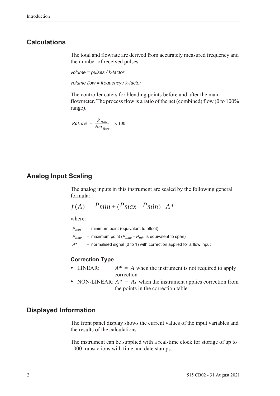### <span id="page-11-0"></span>**Calculations**

The total and flowrate are derived from accurately measured frequency and the number of received pulses.

*volume = pulses / k-factor*

*volume flow = frequency / k-factor*

The controller caters for blending points before and after the main flowmeter. The process flow is a ratio of the net (combined) flow (0 to 100% range).

$$
Ratio\% = \frac{P_{flow}}{Net_{flow}} \times 100
$$

### <span id="page-11-1"></span>**Analog Input Scaling**

The analog inputs in this instrument are scaled by the following general formula:

$$
f(A) = P_{min} + (P_{max} - P_{min}) \cdot A^*
$$

where:

 $P_{min}$  = minimum point (equivalent to offset)

 $P_{\text{max}}$  = maximum point ( $P_{\text{max}} - P_{\text{min}}$  is equivalent to span)

*A\** = normalised signal (0 to 1) with correction applied for a flow input

#### **Correction Type**

- LINEAR:  $A^* = A$  when the instrument is not required to apply correction
- NON-LINEAR:  $A^* = A_c$  when the instrument applies correction from the points in the correction table

### <span id="page-11-2"></span>**Displayed Information**

The front panel display shows the current values of the input variables and the results of the calculations.

The instrument can be supplied with a real-time clock for storage of up to 1000 transactions with time and date stamps.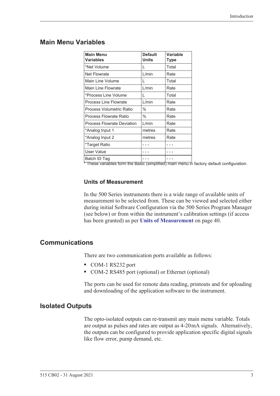### <span id="page-12-0"></span>**Main Menu Variables**

| <b>Main Menu</b><br><b>Variables</b> | <b>Default</b><br>Units | Variable<br><b>Type</b> |
|--------------------------------------|-------------------------|-------------------------|
| *Net Volume                          | L                       | Total                   |
| <b>Net Flowrate</b>                  | L/min                   | Rate                    |
| Main Line Volume                     | L                       | Total                   |
| Main Line Flowrate                   | L/min                   | Rate                    |
| *Process Line Volume                 | L                       | Total                   |
| <b>Process Line Flowrate</b>         | L/min                   | Rate                    |
| Process Volumetric Ratio             | %                       | Rate                    |
| Process Flowrate Ratio               | $\%$                    | Rate                    |
| <b>Process Flowrate Deviation</b>    | L/min                   | Rate                    |
| *Analog Input 1                      | metres                  | Rate                    |
| *Analog Input 2                      | metres                  | Rate                    |
| *Target Ratio                        |                         |                         |
| User Value                           |                         |                         |
| Batch ID Tag                         |                         |                         |

\* These variables form the Basic (simplified) main menu in factory default configuration.

#### **Units of Measurement**

In the 500 Series instruments there is a wide range of available units of measurement to be selected from. These can be viewed and selected either during initial Software Configuration via the 500 Series Program Manager (see below) or from within the instrument's calibration settings (if access has been granted) as per **[Units of Measurement](#page-49-2)** on page 40.

### <span id="page-12-1"></span>**Communications**

There are two communication ports available as follows:

- **•** COM-1 RS232 port
- **•** COM-2 RS485 port (optional) or Ethernet (optional)

The ports can be used for remote data reading, printouts and for uploading and downloading of the application software to the instrument.

### <span id="page-12-2"></span>**Isolated Outputs**

The opto-isolated outputs can re-transmit any main menu variable. Totals are output as pulses and rates are output as 4-20 mA signals. Alternatively, the outputs can be configured to provide application specific digital signals like flow error, pump demand, etc.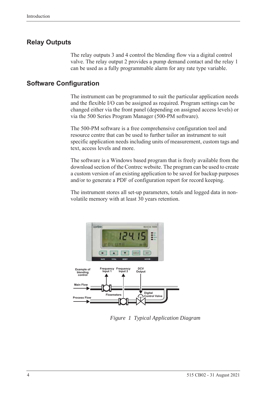## <span id="page-13-0"></span>**Relay Outputs**

The relay outputs 3 and 4 control the blending flow via a digital control valve. The relay output 2 provides a pump demand contact and the relay 1 can be used as a fully programmable alarm for any rate type variable.

### <span id="page-13-1"></span>**Software Configuration**

The instrument can be programmed to suit the particular application needs and the flexible I/O can be assigned as required. Program settings can be changed either via the front panel (depending on assigned access levels) or via the 500 Series Program Manager (500-PM software).

The 500-PM software is a free comprehensive configuration tool and resource centre that can be used to further tailor an instrument to suit specific application needs including units of measurement, custom tags and text, access levels and more.

The software is a Windows based program that is freely available from the download section of the Contrec website. The program can be used to create a custom version of an existing application to be saved for backup purposes and/or to generate a PDF of configuration report for record keeping.

The instrument stores all set-up parameters, totals and logged data in nonvolatile memory with at least 30 years retention.



<span id="page-13-2"></span>*Figure 1 Typical Application Diagram*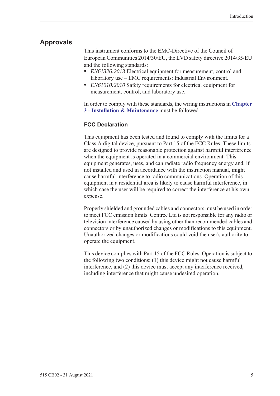### <span id="page-14-0"></span>**Approvals**

This instrument conforms to the EMC-Directive of the Council of European Communities 2014/30/EU, the LVD safety directive 2014/35/EU and the following standards:

- **•** *EN61326:2013* Electrical equipment for measurement, control and laboratory use – EMC requirements: Industrial Environment.
- **•** *EN61010:2010* Safety requirements for electrical equipment for measurement, control, and laboratory use.

In order to comply with these standards, the wiring instructions in **[Chapter](#page-18-5)  [3 - Installation & Maintenance](#page-18-5)** must be followed.

### **FCC Declaration**

This equipment has been tested and found to comply with the limits for a Class A digital device, pursuant to Part 15 of the FCC Rules. These limits are designed to provide reasonable protection against harmful interference when the equipment is operated in a commercial environment. This equipment generates, uses, and can radiate radio frequency energy and, if not installed and used in accordance with the instruction manual, might cause harmful interference to radio communications. Operation of this equipment in a residential area is likely to cause harmful interference, in which case the user will be required to correct the interference at his own expense.

Properly shielded and grounded cables and connectors must be used in order to meet FCC emission limits. Contrec Ltd is not responsible for any radio or television interference caused by using other than recommended cables and connectors or by unauthorized changes or modifications to this equipment. Unauthorized changes or modifications could void the user's authority to operate the equipment.

This device complies with Part 15 of the FCC Rules. Operation is subject to the following two conditions: (1) this device might not cause harmful interference, and (2) this device must accept any interference received, including interference that might cause undesired operation.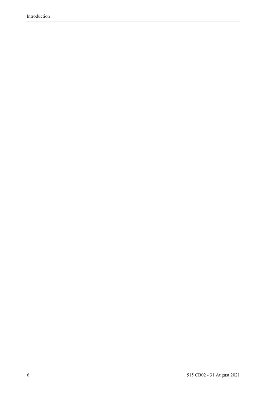Introduction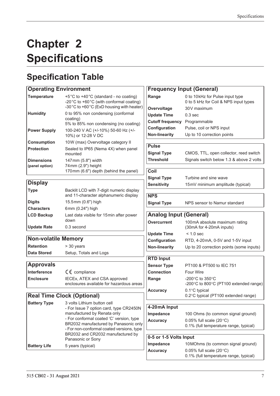# <span id="page-16-0"></span>**Chapter 2 Specifications**

# <span id="page-16-1"></span>**Specification Table**

## **Operating Environment**

| <b>Temperature</b>                  | +5°C to +40°C (standard - no coating)<br>-20 °C to +60 °C (with conformal coating)<br>-30 °C to +60 °C (ExD housing with heater) |
|-------------------------------------|----------------------------------------------------------------------------------------------------------------------------------|
| <b>Humidity</b>                     | 0 to 95% non condensing (conformal<br>coating)<br>5% to 85% non condensing (no coating)                                          |
| <b>Power Supply</b>                 | 100-240 V AC (+/-10%) 50-60 Hz (+/-<br>10%) or 12-28 V DC                                                                        |
| <b>Consumption</b>                  | 10W (max) Overvoltage category II                                                                                                |
| <b>Protection</b>                   | Sealed to IP65 (Nema 4X) when panel<br>mounted                                                                                   |
| <b>Dimensions</b><br>(panel option) | 147 mm (5.8") width<br>74 mm (2.9") height<br>170 mm (6.6") depth (behind the panel)                                             |

# **Display**

| <b>Type</b>        | Backlit LCD with 7-digit numeric display<br>and 11-character alphanumeric display |
|--------------------|-----------------------------------------------------------------------------------|
| <b>Digits</b>      | 15.5mm (0.6") high                                                                |
| <b>Characters</b>  | 6 $mm(0.24")$ high                                                                |
| <b>LCD Backup</b>  | Last data visible for 15 min after power<br>down                                  |
| <b>Update Rate</b> | 0.3 second                                                                        |

### **Non-volatile Memory**

**Retention** > 30 years **Data Stored** Setup, Totals and Logs

### **Approvals**

| <b>Interference</b> | $C \in \mathbb{C}$ compliance                                            |
|---------------------|--------------------------------------------------------------------------|
| <b>Enclosure</b>    | IECEx, ATEX and CSA approved<br>enclosures available for hazardous areas |

## **Real Time Clock (Optional)**

| <b>Battery Type</b> | 3 volts Lithium button cell<br>- For Issue 7 option card, type CR2450N<br>manufactured by Renata only<br>- For conformal coated 'C' version, type<br>BR2032 manufactured by Panasonic only<br>- For non-conformal coated versions, type<br>BR2032 and CR2032 manufactured by<br>Panasonic or Sony |
|---------------------|---------------------------------------------------------------------------------------------------------------------------------------------------------------------------------------------------------------------------------------------------------------------------------------------------|
| <b>Battery Life</b> | 5 years (typical)                                                                                                                                                                                                                                                                                 |

|                                      | <b>Frequency Input (General)</b>                                |  |  |  |  |
|--------------------------------------|-----------------------------------------------------------------|--|--|--|--|
| Range                                | 0 to 10kHz for Pulse input type                                 |  |  |  |  |
|                                      | 0 to 5 kHz for Coil & NPS input types                           |  |  |  |  |
| Overvoltage                          | 30V maximum                                                     |  |  |  |  |
| <b>Update Time</b>                   | 0.3 <sub>sec</sub>                                              |  |  |  |  |
| <b>Cutoff frequency</b> Programmable |                                                                 |  |  |  |  |
| Configuration                        | Pulse, coil or NPS input                                        |  |  |  |  |
| <b>Non-linearity</b>                 | Up to 10 correction points                                      |  |  |  |  |
| <b>Pulse</b>                         |                                                                 |  |  |  |  |
|                                      |                                                                 |  |  |  |  |
| <b>Signal Type</b>                   | CMOS, TTL, open collector, reed switch                          |  |  |  |  |
| <b>Threshold</b>                     | Signals switch below 1.3 & above 2 volts                        |  |  |  |  |
| Coil                                 |                                                                 |  |  |  |  |
| <b>Signal Type</b>                   | Turbine and sine wave                                           |  |  |  |  |
| <b>Sensitivity</b>                   | 15mV minimum amplitude (typical)                                |  |  |  |  |
|                                      |                                                                 |  |  |  |  |
| <b>NPS</b>                           |                                                                 |  |  |  |  |
| <b>Signal Type</b>                   | NPS sensor to Namur standard                                    |  |  |  |  |
|                                      |                                                                 |  |  |  |  |
| <b>Analog Input (General)</b>        |                                                                 |  |  |  |  |
| Overcurrent                          | 100mA absolute maximum rating<br>(30mA for 4-20mA inputs)       |  |  |  |  |
| <b>Update Time</b>                   | $< 1.0$ sec                                                     |  |  |  |  |
| Configuration                        | RTD, 4-20mA, 0-5V and 1-5V input                                |  |  |  |  |
| <b>Non-linearity</b>                 | Up to 20 correction points (some inputs)                        |  |  |  |  |
|                                      |                                                                 |  |  |  |  |
| <b>RTD Input</b>                     |                                                                 |  |  |  |  |
| <b>Sensor Type</b>                   | PT100 & PT500 to IEC 751                                        |  |  |  |  |
| <b>Connection</b>                    | <b>Four Wire</b>                                                |  |  |  |  |
| Range                                | -200°C to 350°C<br>-200°C to 800°C (PT100 extended range)       |  |  |  |  |
| <b>Accuracy</b>                      | $0.1^{\circ}$ C typical<br>0.2°C typical (PT100 extended range) |  |  |  |  |
|                                      |                                                                 |  |  |  |  |
| 4-20mA Input                         |                                                                 |  |  |  |  |
| Impedance                            | 100 Ohms (to common signal ground)                              |  |  |  |  |
| <b>Accuracy</b>                      | $0.05\%$ full scale (20 $^{\circ}$ C)                           |  |  |  |  |
|                                      | 0.1% (full temperature range, typical)                          |  |  |  |  |
| 0-5 or 1-5 Volts Input               |                                                                 |  |  |  |  |
| Impedance                            | 10MOhms (to common signal ground)                               |  |  |  |  |

**Accuracy** 0.05% full scale (20°C)

0.1% (full temperature range, typical)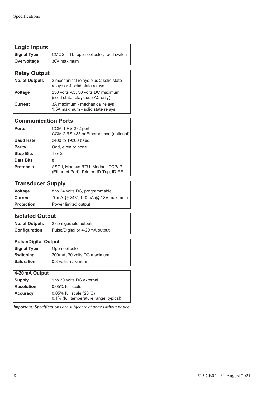| <b>Logic Inputs</b>   |                                                                          |  |  |  |  |
|-----------------------|--------------------------------------------------------------------------|--|--|--|--|
| Signal Type           | CMOS, TTL, open collector, reed switch                                   |  |  |  |  |
| <b>Overvoltage</b>    | 30V maximum                                                              |  |  |  |  |
|                       |                                                                          |  |  |  |  |
| <b>Relay Output</b>   |                                                                          |  |  |  |  |
| <b>No. of Outputs</b> | 2 mechanical relays plus 2 solid state<br>relays or 4 solid state relays |  |  |  |  |
| Voltage               | 250 volts AC, 30 volts DC maximum<br>(solid state relays use AC only)    |  |  |  |  |
| ∣Current              | 3A maximum - mechanical relays                                           |  |  |  |  |

1.5A maximum - solid state relays

### **Communication Ports**

| <b>Ports</b>     | COM-1 RS-232 port<br>COM-2 RS-485 or Ethernet port (optional)                 |
|------------------|-------------------------------------------------------------------------------|
| <b>Baud Rate</b> | 2400 to 19200 baud                                                            |
| <b>Parity</b>    | Odd, even or none                                                             |
| <b>Stop Bits</b> | 1 or $2$                                                                      |
| <b>Data Bits</b> | 8                                                                             |
| <b>Protocols</b> | ASCII, Modbus RTU, Modbus TCP/IP<br>(Ethernet Port), Printer, ID-Tag, ID-RF-1 |

## **Transducer Supply**

| <b>Voltage</b>    | 8 to 24 volts DC, programmable      |
|-------------------|-------------------------------------|
| Current           | 70 mA @ 24 V, 120 mA @ 12 V maximum |
| <b>Protection</b> | Power limited output                |

### **Isolated Output**

| No. of Outputs | 2 configurable outputs         |
|----------------|--------------------------------|
| Configuration  | Pulse/Digital or 4-20mA output |

### **Pulse/Digital Output**

| <b>Signal Type</b> | Open collector              |
|--------------------|-----------------------------|
| <b>Switching</b>   | 200 mA, 30 volts DC maximum |
| <b>Saturation</b>  | 0.8 volts maximum           |

#### **4-20 mA Output Supply** 9 to 30 volts DC external **Resolution** 0.05% full scale **Accuracy** 0.05% full scale (20°C) 0.1% (full temperature range, typical)

*Important: Specifications are subject to change without notice.*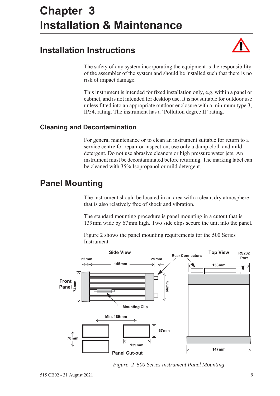# <span id="page-18-5"></span><span id="page-18-0"></span>**Chapter 3 Installation & Maintenance**

# <span id="page-18-1"></span>**Installation Instructions**



The safety of any system incorporating the equipment is the responsibility of the assembler of the system and should be installed such that there is no risk of impact damage.

This instrument is intended for fixed installation only, e.g. within a panel or cabinet, and is not intended for desktop use. It is not suitable for outdoor use unless fitted into an appropriate outdoor enclosure with a minimum type 3, IP54, rating. The instrument has a 'Pollution degree II' rating.

# <span id="page-18-2"></span>**Cleaning and Decontamination**

For general maintenance or to clean an instrument suitable for return to a service centre for repair or inspection, use only a damp cloth and mild detergent. Do not use abrasive cleaners or high pressure water jets. An instrument must be decontaminated before returning. The marking label can be cleaned with 35% Isopropanol or mild detergent.

# <span id="page-18-3"></span>**Panel Mounting**

The instrument should be located in an area with a clean, dry atmosphere that is also relatively free of shock and vibration.

The standard mounting procedure is panel mounting in a cutout that is 139 mm wide by 67 mm high. Two side clips secure the unit into the panel.

[Figure 2](#page-18-4) shows the panel mounting requirements for the 500 Series Instrument.



<span id="page-18-4"></span>*Figure 2 500 Series Instrument Panel Mounting*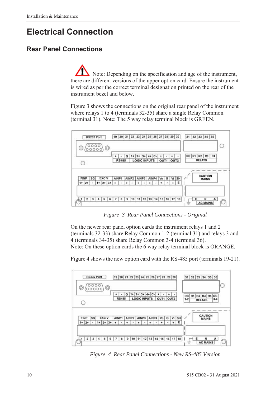# <span id="page-19-0"></span>**Electrical Connection**

# <span id="page-19-1"></span>**Rear Panel Connections**

Note: Depending on the specification and age of the instrument, there are different versions of the upper option card. Ensure the instrument is wired as per the correct terminal designation printed on the rear of the instrument bezel and below.

[Figure 3](#page-19-2) shows the connections on the original rear panel of the instrument where relays 1 to 4 (terminals 32-35) share a single Relay Common (terminal 31). Note: The 5 way relay terminal block is GREEN.



*Figure 3 Rear Panel Connections - Original*

<span id="page-19-2"></span>On the newer rear panel option cards the instrument relays 1 and 2 (terminals 32-33) share Relay Common 1-2 (terminal 31) and relays 3 and 4 (terminals 34-35) share Relay Common 3-4 (terminal 36). Note: On these option cards the 6 way relay terminal block is ORANGE.

[Figure 4](#page-19-3) shows the new option card with the RS-485 port (terminals 19-21).



<span id="page-19-3"></span>*Figure 4 Rear Panel Connections - New RS-485 Version*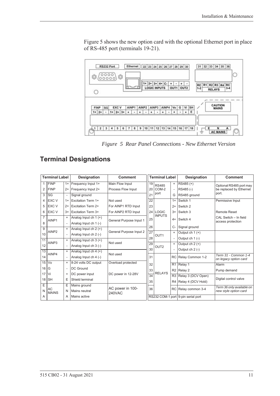[Figure 5](#page-20-1) shows the new option card with the optional Ethernet port in place of RS-485 port (terminals 19-21).



<span id="page-20-1"></span>*Figure 5 Rear Panel Connections - New Ethernet Version*

# <span id="page-20-0"></span>**Terminal Designations**

| <b>Terminal Label</b> |                    |                          | <b>Designation</b>        | <b>Comment</b>          | <b>Terminal Label</b> |                  |                | <b>Designation</b>                 | <b>Comment</b>                                |
|-----------------------|--------------------|--------------------------|---------------------------|-------------------------|-----------------------|------------------|----------------|------------------------------------|-----------------------------------------------|
|                       | <b>FINP</b>        | $1+$                     | Frequency Input 1+        | Main Flow Input         | 19                    | <b>RS485</b>     | $+$            | $RS485 (+)$                        | Optional RS485 port may                       |
| 2                     | <b>FINP</b>        | $2+$                     | Frequency Input 2+        | Process Flow Input      | 20                    | COM-2            |                | RS485 (-)                          | be replaced by Ethernet                       |
| 3                     | SG                 | $\blacksquare$           | Signal ground             |                         | 21                    | port             | G              | RS485 ground                       | port.                                         |
| 4                     | EXC V              | $1+$                     | <b>Excitation Term 1+</b> | Not used                | 22                    |                  | $1+$           | Switch 1                           | Permissive Input                              |
| 5                     | EXC V              | $2+$                     | <b>Excitation Term 2+</b> | For AINP1 RTD Input     | 23                    |                  | $2+$           | Switch 2                           |                                               |
| 6                     | <b>EXC V</b>       | $3+$                     | Excitation Term 3+        | For AINP2 RTD Input     | 24                    | <b>LOGIC</b>     | $3+$           | Switch 3                           | <b>Remote Reset</b>                           |
| 7                     | AINP1              | $\ddot{}$                | Analog Input ch $1 (+)$   | General Purpose Input 1 | 25                    | <b>INPUTS</b>    | $4+$           | Switch 4                           | CAL Switch - In field                         |
| 8                     |                    |                          | Analog Input ch 1 (-)     |                         |                       |                  |                |                                    | access protection                             |
| 9                     | AINP <sub>2</sub>  | $\ddot{}$                | Analog Input $ch 2 (+)$   | General Purpose Input 2 | 26                    |                  | $C-$           | Signal ground                      |                                               |
| 10                    |                    |                          | Analog Input ch 2 (-)     |                         | $\overline{27}$       | OUT <sub>1</sub> | $\ddot{}$      | Output ch $1 (+)$                  |                                               |
| 11                    |                    | $\ddot{}$                | Analog Input ch $3 (+)$   | Not used                | 28                    |                  |                | Output ch 1 (-)                    |                                               |
| 12                    | AINP3              | $\overline{\phantom{a}}$ | Analog Input ch 3 (-)     |                         | 29                    | OUT <sub>2</sub> | $\ddot{}$      | Output ch $2 (+)$                  |                                               |
| 13                    |                    | $\ddot{}$                | Analog Input ch 4 (+)     | Not used                | 30                    |                  |                | Output ch 2 (-)                    |                                               |
| 14                    | AINP4              |                          | Analog Input ch 4 (-)     |                         | 31                    |                  | <b>RC</b>      | Relay Common 1-2                   | Term 31 - Common 1-4<br>on legacy option card |
| 15                    | Vo                 | $\ddot{}$                | 8-24 volts DC output      | Overload protected      | 32                    |                  | R1             | Relay 1                            | Alarm                                         |
| 16                    | G                  | $\overline{\phantom{a}}$ | DC Ground                 |                         | 33                    |                  | R <sub>2</sub> | Relay 2                            | Pump demand                                   |
| 17                    | Vi                 | $\ddot{}$                | DC power input            | DC power in 12-28V      | $\overline{34}$       | <b>RELAYS</b>    | R <sub>3</sub> | Relay 3 (DCV Open)                 |                                               |
| 18                    | <b>SH</b>          | Ε                        | Shield terminal           |                         | 35                    |                  | R <sub>4</sub> | Relay 4 (DCV Hold)                 | Digital control valve                         |
| E                     |                    | Ε                        | Mains ground              | AC power in 100-        |                       |                  |                |                                    | Term 36 only available on                     |
| $\mathsf{N}$          | AC<br><b>MAINS</b> | N                        | Mains neutral             | 240VAC                  | 36                    |                  | <b>RC</b>      | Relay common 3-4                   | new style option card                         |
| A                     |                    | Α                        | Mains active              |                         |                       |                  |                | RS232 COM-1 port 9-pin serial port |                                               |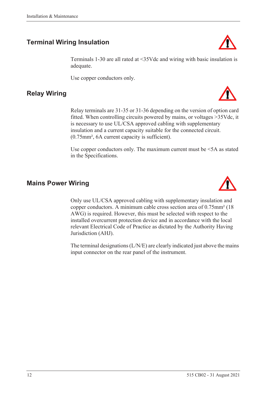# <span id="page-21-0"></span>**Terminal Wiring Insulation**

Terminals 1-30 are all rated at <35Vdc and wiring with basic insulation is adequate.

Use copper conductors only.

# <span id="page-21-1"></span>**Relay Wiring**

Relay terminals are 31-35 or 31-36 depending on the version of option card fitted. When controlling circuits powered by mains, or voltages >35Vdc, it is necessary to use UL/CSA approved cabling with supplementary insulation and a current capacity suitable for the connected circuit. (0.75mm², 6A current capacity is sufficient).

Use copper conductors only. The maximum current must be  $\leq 5A$  as stated in the Specifications.

# <span id="page-21-2"></span>**Mains Power Wiring**

Only use UL/CSA approved cabling with supplementary insulation and copper conductors. A minimum cable cross section area of 0.75mm² (18 AWG) is required. However, this must be selected with respect to the installed overcurrent protection device and in accordance with the local relevant Electrical Code of Practice as dictated by the Authority Having Jurisdiction (AHJ).

The terminal designations (L/N/E) are clearly indicated just above the mains input connector on the rear panel of the instrument.



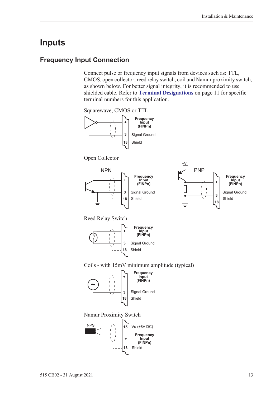# <span id="page-22-0"></span>**Inputs**

### <span id="page-22-1"></span>**Frequency Input Connection**

Connect pulse or frequency input signals from devices such as: TTL, CMOS, open collector, reed relay switch, coil and Namur proximity switch, as shown below. For better signal integrity, it is recommended to use shielded cable. Refer to **[Terminal Designations](#page-20-0)** on page 11 for specific terminal numbers for this application.

Squarewave, CMOS or TTL



Open Collector





Reed Relay Switch







Namur Proximity Switch

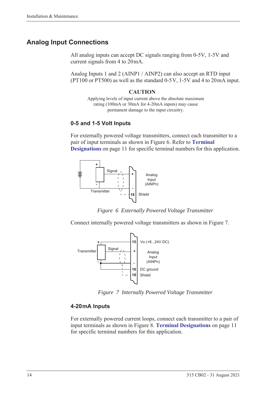# <span id="page-23-0"></span>**Analog Input Connections**

All analog inputs can accept DC signals ranging from 0-5V, 1-5V and current signals from 4 to 20 mA.

Analog Inputs 1 and 2 (AINP1 / AINP2) can also accept an RTD input (PT100 or PT500) as well as the standard  $0-5V$ ,  $1-5V$  and 4 to  $20mA$  input.

#### **CAUTION**

Applying levels of input current above the absolute maximum rating (100mA or 30mA for 4-20mA inputs) may cause permanent damage to the input circuitry.

### **0-5 and 1-5 Volt Inputs**

For externally powered voltage transmitters, connect each transmitter to a pair of input terminals as shown in [Figure 6](#page-23-1). Refer to **[Terminal](#page-20-0)  [Designations](#page-20-0)** on page 11 for specific terminal numbers for this application.





<span id="page-23-1"></span>Connect internally powered voltage transmitters as shown in [Figure 7.](#page-23-2)



*Figure 7 Internally Powered Voltage Transmitter*

### <span id="page-23-2"></span>**4-20 mA Inputs**

For externally powered current loops, connect each transmitter to a pair of input terminals as shown in [Figure 8.](#page-24-0) **[Terminal Designations](#page-20-0)** on page 11 for specific terminal numbers for this application.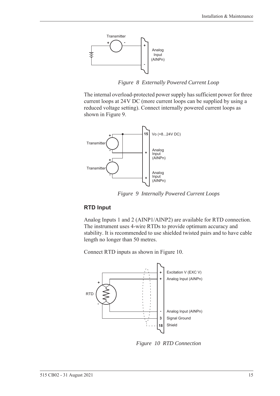

*Figure 8 Externally Powered Current Loop*

<span id="page-24-0"></span>The internal overload-protected power supply has sufficient power for three current loops at 24 V DC (more current loops can be supplied by using a reduced voltage setting). Connect internally powered current loops as shown in [Figure 9.](#page-24-1)



*Figure 9 Internally Powered Current Loops*

#### <span id="page-24-1"></span>**RTD Input**

Analog Inputs 1 and 2 (AINP1/AINP2) are available for RTD connection. The instrument uses 4-wire RTDs to provide optimum accuracy and stability. It is recommended to use shielded twisted pairs and to have cable length no longer than 50 metres.

Connect RTD inputs as shown in [Figure 10.](#page-24-2)



<span id="page-24-2"></span>*Figure 10 RTD Connection*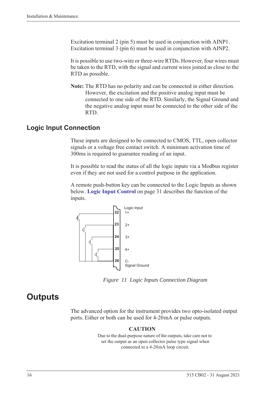Excitation terminal 2 (pin 5) must be used in conjunction with AINP1. Excitation terminal 3 (pin 6) must be used in conjunction with AINP2.

It is possible to use two-wire or three-wire RTDs. However, four wires must be taken to the RTD, with the signal and current wires joined as close to the RTD as possible.

**Note:** The RTD has no polarity and can be connected in either direction. However, the excitation and the positive analog input must be connected to one side of the RTD. Similarly, the Signal Ground and the negative analog input must be connected to the other side of the RTD.

### <span id="page-25-0"></span>**Logic Input Connection**

These inputs are designed to be connected to CMOS, TTL, open collector signals or a voltage free contact switch. A minimum activation time of 300ms is required to guarantee reading of an input.

It is possible to read the status of all the logic inputs via a Modbus register even if they are not used for a control purpose in the application.

A remote push-button key can be connected to the Logic Inputs as shown below. **[Logic Input Control](#page-40-3)** on page 31 describes the function of the inputs.



*Figure 11 Logic Inputs Connection Diagram*

# <span id="page-25-1"></span>**Outputs**

<span id="page-25-2"></span>The advanced option for the instrument provides two opto-isolated output ports. Either or both can be used for 4-20 mA or pulse outputs.

### **CAUTION**

Due to the dual-purpose nature of the outputs, take care not to set the output as an open collector pulse type signal when connected to a 4-20 mA loop circuit.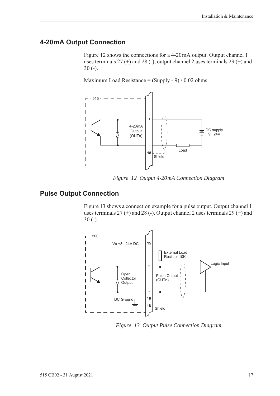### <span id="page-26-0"></span>**4-20 mA Output Connection**

[Figure 12](#page-26-2) shows the connections for a 4-20 mA output. Output channel 1 uses terminals  $27 (+)$  and  $28 (-)$ , output channel 2 uses terminals  $29 (+)$  and 30 (-).

Maximum Load Resistance =  $(Supply - 9) / 0.02 ohms$ 



*Figure 12 Output 4-20 mA Connection Diagram*

### <span id="page-26-1"></span>**Pulse Output Connection**

<span id="page-26-2"></span>[Figure 13](#page-26-3) shows a connection example for a pulse output. Output channel 1 uses terminals 27 (+) and 28 (-). Output channel 2 uses terminals 29 (+) and 30 (-).



<span id="page-26-3"></span>*Figure 13 Output Pulse Connection Diagram*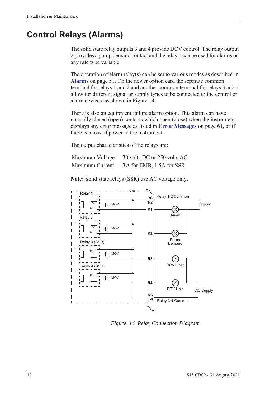# <span id="page-27-0"></span>**Control Relays (Alarms)**

The solid state relay outputs 3 and 4 provide DCV control. The relay output 2 provides a pump demand contact and the relay 1 can be used for alarms on any rate type variable.

The operation of alarm relay(s) can be set to various modes as described in **Alarms** [on page 51.](#page-60-1) On the newer option card the separate common terminal for relays 1 and 2 and another common terminal for relays 3 and 4 allow for different signal or supply types to be connected to the control or alarm devices, as shown in [Figure 14.](#page-27-1)

There is also an equipment failure alarm option. This alarm can have normally closed (open) contacts which open (close) when the instrument displays any error message as listed in **[Error Messages](#page-70-2)** on page 61, or if there is a loss of power to the instrument.

The output characteristics of the relays are:

Maximum Voltage 30 volts DC or 250 volts AC Maximum Current 3A for EMR, 1.5A for SSR

**Note:** Solid state relays (SSR) use AC voltage only.



<span id="page-27-1"></span>*Figure 14 Relay Connection Diagram*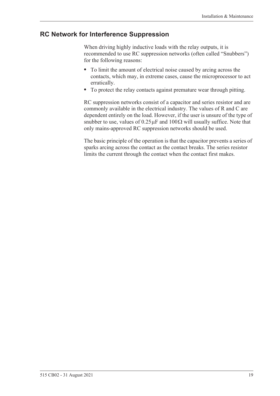### <span id="page-28-0"></span>**RC Network for Interference Suppression**

When driving highly inductive loads with the relay outputs, it is recommended to use RC suppression networks (often called "Snubbers") for the following reasons:

- **•** To limit the amount of electrical noise caused by arcing across the contacts, which may, in extreme cases, cause the microprocessor to act erratically.
- **•** To protect the relay contacts against premature wear through pitting.

RC suppression networks consist of a capacitor and series resistor and are commonly available in the electrical industry. The values of R and C are dependent entirely on the load. However, if the user is unsure of the type of snubber to use, values of  $0.25 \mu$ F and  $100 \Omega$  will usually suffice. Note that only mains-approved RC suppression networks should be used.

The basic principle of the operation is that the capacitor prevents a series of sparks arcing across the contact as the contact breaks. The series resistor limits the current through the contact when the contact first makes.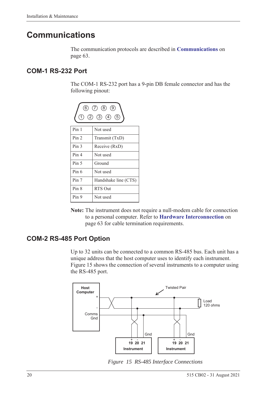# <span id="page-29-0"></span>**Communications**

The communication protocols are described in **[Communications](#page-72-4)** on [page 63.](#page-72-4)

### <span id="page-29-1"></span>**COM-1 RS-232 Port**

The COM-1 RS-232 port has a 9-pin DB female connector and has the following pinout:



**Note:** The instrument does not require a null-modem cable for connection to a personal computer. Refer to **[Hardware Interconnection](#page-72-5)** on [page 63](#page-72-5) for cable termination requirements.

## <span id="page-29-2"></span>**COM-2 RS-485 Port Option**

Up to 32 units can be connected to a common RS-485 bus. Each unit has a unique address that the host computer uses to identify each instrument. [Figure 15](#page-29-3) shows the connection of several instruments to a computer using the RS-485 port.



<span id="page-29-3"></span>*Figure 15 RS-485 Interface Connections*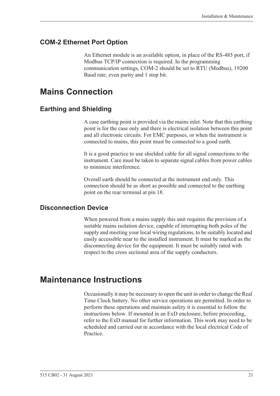### <span id="page-30-0"></span>**COM-2 Ethernet Port Option**

An Ethernet module is an available option, in place of the RS-485 port, if Modbus TCP/IP connection is required. In the programming communication settings, COM-2 should be set to RTU (Modbus), 19200 Baud rate, even parity and 1 stop bit.

# <span id="page-30-1"></span>**Mains Connection**

## <span id="page-30-2"></span>**Earthing and Shielding**

A case earthing point is provided via the mains inlet. Note that this earthing point is for the case only and there is electrical isolation between this point and all electronic circuits. For EMC purposes, or when the instrument is connected to mains, this point must be connected to a good earth.

It is a good practice to use shielded cable for all signal connections to the instrument. Care must be taken to separate signal cables from power cables to minimize interference.

Overall earth should be connected at the instrument end only. This connection should be as short as possible and connected to the earthing point on the rear terminal at pin 18.

### <span id="page-30-3"></span>**Disconnection Device**

When powered from a mains supply this unit requires the provision of a suitable mains isolation device, capable of interrupting both poles of the supply and meeting your local wiring regulations, to be suitably located and easily accessible near to the installed instrument. It must be marked as the disconnecting device for the equipment. It must be suitably rated with respect to the cross sectional area of the supply conductors.

# <span id="page-30-4"></span>**Maintenance Instructions**

Occasionally it may be necessary to open the unit in order to change the Real Time Clock battery. No other service operations are permitted. In order to perform these operations and maintain safety it is essential to follow the instructions below. If mounted in an ExD enclosure, before proceeding, refer to the ExD manual for further information. This work may need to be scheduled and carried out in accordance with the local electrical Code of Practice.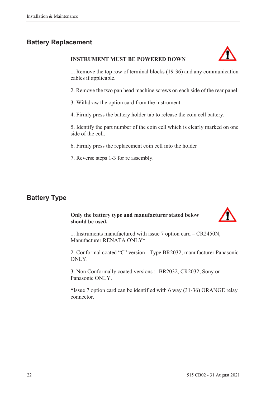# <span id="page-31-0"></span>**Battery Replacement**

#### **INSTRUMENT MUST BE POWERED DOWN**



- 2. Remove the two pan head machine screws on each side of the rear panel.
- 3. Withdraw the option card from the instrument.

4. Firmly press the battery holder tab to release the coin cell battery.

5. Identify the part number of the coin cell which is clearly marked on one side of the cell.

- 6. Firmly press the replacement coin cell into the holder
- 7. Reverse steps 1-3 for re assembly.

# <span id="page-31-1"></span>**Battery Type**

### **Only the battery type and manufacturer stated below should be used.**



1. Instruments manufactured with issue 7 option card – CR2450N, Manufacturer RENATA ONLY\*

2. Conformal coated "C" version - Type BR2032, manufacturer Panasonic ONLY.

3. Non Conformally coated versions :- BR2032, CR2032, Sony or Panasonic ONLY.

\*Issue 7 option card can be identified with 6 way (31-36) ORANGE relay connector.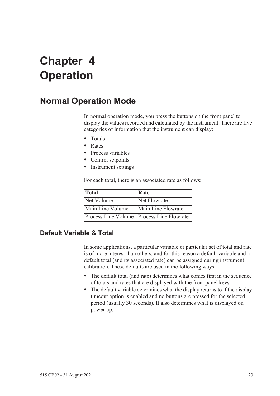# <span id="page-32-0"></span>**Chapter 4 Operation**

# <span id="page-32-1"></span>**Normal Operation Mode**

In normal operation mode, you press the buttons on the front panel to display the values recorded and calculated by the instrument. There are five categories of information that the instrument can display:

- **•** Totals
- **•** Rates
- **•** Process variables
- **•** Control setpoints
- **•** Instrument settings

For each total, there is an associated rate as follows:

| <b>Total</b>                                     | Rate               |
|--------------------------------------------------|--------------------|
| Net Volume                                       | Net Flowrate       |
| Main Line Volume                                 | Main Line Flowrate |
| <b>Process Line Volume Process Line Flowrate</b> |                    |

### <span id="page-32-2"></span>**Default Variable & Total**

In some applications, a particular variable or particular set of total and rate is of more interest than others, and for this reason a default variable and a default total (and its associated rate) can be assigned during instrument calibration. These defaults are used in the following ways:

- **•** The default total (and rate) determines what comes first in the sequence of totals and rates that are displayed with the front panel keys.
- **•** The default variable determines what the display returns to if the display timeout option is enabled and no buttons are pressed for the selected period (usually 30 seconds). It also determines what is displayed on power up.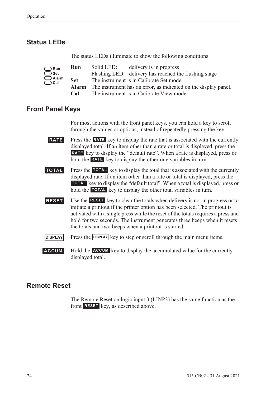# <span id="page-33-0"></span>**Status LEDs**

The status LEDs illuminate to show the following conditions:



| Run |                                                                              | Solid LED: delivery is in progress                    |  |  |
|-----|------------------------------------------------------------------------------|-------------------------------------------------------|--|--|
|     |                                                                              | Flashing LED: delivery has reached the flushing stage |  |  |
| Set | The instrument is in Calibrate Set mode.                                     |                                                       |  |  |
|     | <b>Alarm</b> The instrument has an error, as indicated on the display panel. |                                                       |  |  |
| Cal | The instrument is in Calibrate View mode.                                    |                                                       |  |  |

# <span id="page-33-1"></span>**Front Panel Keys**

For most actions with the front panel keys, you can hold a key to scroll through the values or options, instead of repeatedly pressing the key.

- **RATE** Press the **RATE** key to display the rate that is associated with the currently displayed total. If an item other than a rate or total is displayed, press the key to display the "default rate". When a rate is displayed, press or **RATE** hold the **RATE** key to display the other rate variables in turn.
- **TOTAL** Press the TOTAL key to display the total that is associated with the currently displayed rate. If an item other than a rate or total is displayed, press the **TOTAL** key to display the "default total". When a total is displayed, press or hold the **TOTAL** key to display the other total variables in turn.
- **RESET** Use the **RESET** key to clear the totals when delivery is not in progress or to initiate a printout if the printer option has been selected. The printout is activated with a single press while the reset of the totals requires a press and hold for two seconds. The instrument generates three beeps when it resets the totals and two beeps when a printout is started.
- **DISPLAY** Press the **DISPLAY** key to step or scroll through the main menu items.
- **ACCUM** Hold the **ACCUM** key to display the accumulated value for the currently displayed total.

# <span id="page-33-2"></span>**Remote Reset**

The Remote Reset on logic input 3 (LINP3) has the same function as the front **RESET** key, as described above.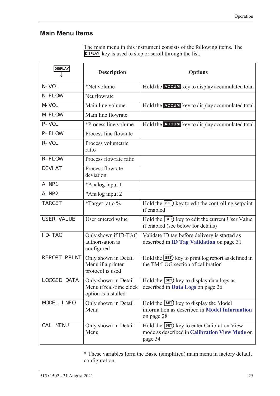# <span id="page-34-0"></span>**Main Menu Items**

The main menu in this instrument consists of the following items. The **DISPLAY** key is used to step or scroll through the list.

| <b>DISPLAY</b>     | <b>Description</b>                                                     | <b>Options</b>                                                                                                |
|--------------------|------------------------------------------------------------------------|---------------------------------------------------------------------------------------------------------------|
| $N-VOL$            | *Net volume                                                            | Hold the ACCUM key to display accumulated total                                                               |
| N-FLOW             | Net flowrate                                                           |                                                                                                               |
| M-VOL              | Main line volume                                                       | Hold the ACCUM key to display accumulated total                                                               |
| M-FLOW             | Main line flowrate                                                     |                                                                                                               |
| P-VOL              | *Process line volume                                                   | Hold the ACCUM key to display accumulated total                                                               |
| P-FLOW             | Process line flowrate                                                  |                                                                                                               |
| $R-VOL$            | Process volumetric<br>ratio                                            |                                                                                                               |
| R-FLOW             | Process flowrate ratio                                                 |                                                                                                               |
| <b>DEVI AT</b>     | Process flowrate<br>deviation                                          |                                                                                                               |
| AI NP1             | *Analog input 1                                                        |                                                                                                               |
| AI NP <sub>2</sub> | *Analog input 2                                                        |                                                                                                               |
| <b>TARGET</b>      | *Target ratio %                                                        | Hold the SET key to edit the controlling setpoint<br>if enabled                                               |
| <b>USER VALUE</b>  | User entered value                                                     | Hold the SET key to edit the current User Value<br>if enabled (see below for details)                         |
| I D-TAG            | Only shown if ID-TAG<br>authorisation is<br>configured                 | Validate ID tag before delivery is started as<br>described in ID Tag Validation on page 31                    |
| REPORT PRINT       | Only shown in Detail<br>Menu if a printer<br>protocol is used          | Hold the $\text{SET}$ key to print log report as defined in<br>the TM/LOG section of calibration              |
| LOGGED DATA        | Only shown in Detail<br>Menu if real-time clock<br>option is installed | Hold the $\text{SET}$ key to display data logs as<br>described in Data Logs on page 26                        |
| MODEL INFO         | Only shown in Detail<br>Menu                                           | Hold the <b>SET</b> ) key to display the Model<br>information as described in Model Information<br>on page 28 |
| CAL MENU           | Only shown in Detail<br>Menu                                           | Hold the <b>SET</b> key to enter Calibration View<br>mode as described in Calibration View Mode on<br>page 34 |

\* These variables form the Basic (simplified) main menu in factory default configuration.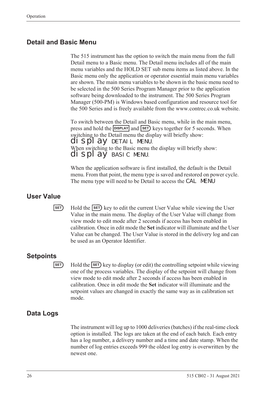## <span id="page-35-0"></span>**Detail and Basic Menu**

The 515 instrument has the option to switch the main menu from the full Detail menu to a Basic menu. The Detail menu includes all of the main menu variables and the HOLD SET sub menu items as listed above. In the Basic menu only the application or operator essential main menu variables are shown. The main menu variables to be shown in the basic menu need to be selected in the 500 Series Program Manager prior to the application software being downloaded to the instrument. The 500 Series Program Manager (500-PM) is Windows based configuration and resource tool for the 500 Series and is freely available from the www.contrec.co.uk website.

To switch between the Detail and Basic menu, while in the main menu, press and hold the **DISPLAY** and **SET**) keys together for 5 seconds. When switching to the Detail menu the display will briefly show: display DETAIL MENU. When switching to the Basic menu the display will briefly show: display BASIC MENU.

When the application software is first installed, the default is the Detail menu. From that point, the menu type is saved and restored on power cycle. The menu type will need to be Detail to access the CAL MENU

# <span id="page-35-1"></span>**User Value**

**EXECUTE:** Hold the **SET** key to edit the current User Value while viewing the User Value in the main menu. The display of the User Value will change from view mode to edit mode after 2 seconds if access has been enabled in calibration. Once in edit mode the **Set** indicator will illuminate and the User Value can be changed. The User Value is stored in the delivery log and can be used as an Operator Identifier.

# <span id="page-35-2"></span>**Setpoints**

**EXET** Hold the **SET** key to display (or edit) the controlling setpoint while viewing one of the process variables. The display of the setpoint will change from view mode to edit mode after 2 seconds if access has been enabled in calibration. Once in edit mode the **Set** indicator will illuminate and the setpoint values are changed in exactly the same way as in calibration set mode.

# <span id="page-35-3"></span>**Data Logs**

The instrument will log up to 1000 deliveries (batches) if the real-time clock option is installed. The logs are taken at the end of each batch. Each entry has a log number, a delivery number and a time and date stamp. When the number of log entries exceeds 999 the oldest log entry is overwritten by the newest one.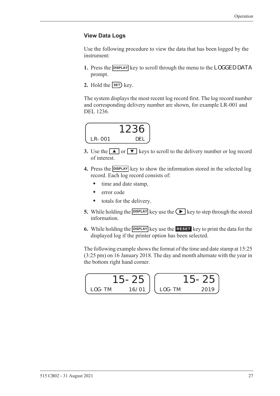#### **View Data Logs**

Use the following procedure to view the data that has been logged by the instrument:

- 1. Press the **DISPLAY** key to scroll through the menu to the LOGGED DATA prompt.
- **2.** Hold the  $\overline{\text{SET}}$  key.

The system displays the most recent log record first. The log record number and corresponding delivery number are shown, for example LR-001 and DEL 1236.



- **3.** Use the  $\blacksquare$  or  $\blacksquare$  keys to scroll to the delivery number or log record of interest.
- 4. Press the **DISPLAY** key to show the information stored in the selected log record. Each log record consists of:
	- time and date stamp,
	- **•** error code
	- **•** totals for the delivery.
- **5.** While holding the  $\boxed{\text{DISPLAN}}$  key use the  $\boxed{\blacktriangleright}$  key to step through the stored information.
- **6.** While holding the **DISPLAY** key use the **RESET** key to print the data for the displayed log if the printer option has been selected.

The following example shows the format of the time and date stamp at 15:25 (3:25 pm) on 16 January 2018. The day and month alternate with the year in the bottom right hand corner.

$$
\begin{array}{|c|c|}\n\hline\n15-25 \\
\hline\n\text{LOG-TM} & 16/01\n\end{array}\n\begin{array}{|c|c|}\n\hline\n15-25 \\
\hline\n\text{LOG-TM} & 2019\n\end{array}
$$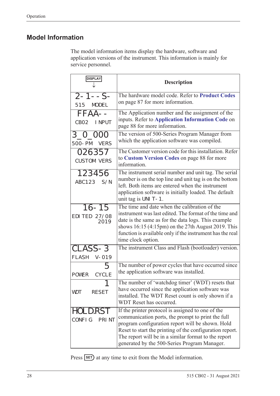# <span id="page-37-0"></span>**Model Information**

The model information items display the hardware, software and application versions of the instrument. This information is mainly for service personnel.

| <b>DISPLAY</b>                                         | <b>Description</b>                                                                                                                                                                                                                                                                                                             |
|--------------------------------------------------------|--------------------------------------------------------------------------------------------------------------------------------------------------------------------------------------------------------------------------------------------------------------------------------------------------------------------------------|
| $2 - 1 - -5 -$<br>515 MODEL                            | The hardware model code. Refer to Product Codes<br>on page 87 for more information.                                                                                                                                                                                                                                            |
| $FFAA-$<br>CBO2 INPUT                                  | The Application number and the assignment of the<br>inputs. Refer to Application Information Code on<br>page 88 for more information.                                                                                                                                                                                          |
| 3 0 000<br>500-PM VERS                                 | The version of 500-Series Program Manager from<br>which the application software was compiled.                                                                                                                                                                                                                                 |
| 026357<br><b>CUSTOM VERS</b>                           | The Customer version code for this installation. Refer<br>to Custom Version Codes on page 88 for more<br>information.                                                                                                                                                                                                          |
| 123456<br>ABC123 S/N                                   | The instrument serial number and unit tag. The serial<br>number is on the top line and unit tag is on the bottom<br>left. Both items are entered when the instrument<br>application software is initially loaded. The default<br>unit tag is UNI T-1.                                                                          |
| $16 - 15$<br>EDI TED 27/08<br>2019                     | The time and date when the calibration of the<br>instrument was last edited. The format of the time and<br>date is the same as for the data logs. This example<br>shows $16:15$ (4:15pm) on the 27th August 2019. This<br>function is available only if the instrument has the real<br>time clock option.                      |
| CLASS-3<br>FLASH V-019                                 | The instrument Class and Flash (bootloader) version.                                                                                                                                                                                                                                                                           |
| <b>CYCLE</b><br>POWER                                  | The number of power cycles that have occurred since<br>the application software was installed.                                                                                                                                                                                                                                 |
| <b>RESET</b><br>WDT                                    | The number of 'watchdog timer' (WDT) resets that<br>have occurred since the application software was<br>installed. The WDT Reset count is only shown if a<br>WDT Reset has occurred.                                                                                                                                           |
| $H()$   $I) RST$<br>CONFI <sub>G</sub><br><b>PRINT</b> | If the printer protocol is assigned to one of the<br>communication ports, the prompt to print the full<br>program configuration report will be shown. Hold<br>Reset to start the printing of the configuration report.<br>The report will be in a similar format to the report<br>generated by the 500-Series Program Manager. |

Press **SET**) at any time to exit from the Model information.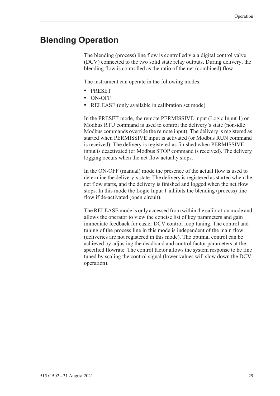# <span id="page-38-0"></span>**Blending Operation**

The blending (process) line flow is controlled via a digital control valve (DCV) connected to the two solid state relay outputs. During delivery, the blending flow is controlled as the ratio of the net (combined) flow.

The instrument can operate in the following modes:

- **•** PRESET
- **•** ON-OFF
- **•** RELEASE (only available in calibration set mode)

In the PRESET mode, the remote PERMISSIVE input (Logic Input 1) or Modbus RTU command is used to control the delivery's state (non-idle Modbus commands override the remote input). The delivery is registered as started when PERMISSIVE input is activated (or Modbus RUN command is received). The delivery is registered as finished when PERMISSIVE input is deactivated (or Modbus STOP command is received). The delivery logging occurs when the net flow actually stops.

In the ON-OFF (manual) mode the presence of the actual flow is used to determine the delivery's state. The delivery is registered as started when the net flow starts, and the delivery is finished and logged when the net flow stops. In this mode the Logic Input 1 inhibits the blending (process) line flow if de-activated (open circuit).

The RELEASE mode is only accessed from within the calibration mode and allows the operator to view the concise list of key parameters and gain immediate feedback for easier DCV control loop tuning. The control and tuning of the process line in this mode is independent of the main flow (deliveries are not registered in this mode). The optimal control can be achieved by adjusting the deadband and control factor parameters at the specified flowrate. The control factor allows the system response to be fine tuned by scaling the control signal (lower values will slow down the DCV operation).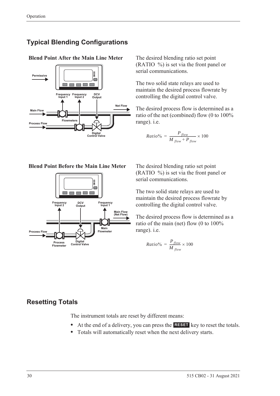# **Typical Blending Configurations**

#### **Blend Point After the Main Line Meter** The desired blending ratio set point



(RATIO %) is set via the front panel or serial communications.

The two solid state relays are used to maintain the desired process flowrate by controlling the digital control valve.

The desired process flow is determined as a ratio of the net (combined) flow (0 to 100% range). i.e.

$$
Ratio\% = \frac{P_{flow}}{M_{flow} + P_{flow}} \times 100
$$

**Blend Point Before the Main Line Meter** The desired blending ratio set point



(RATIO %) is set via the front panel or serial communications.

The two solid state relays are used to maintain the desired process flowrate by controlling the digital control valve.

The desired process flow is determined as a ratio of the main (net) flow (0 to 100% range). i.e.

$$
Ratio\% = \frac{P_{flow}}{M_{flow}} \times 100
$$

### **Resetting Totals**

The instrument totals are reset by different means:

- At the end of a delivery, you can press the **RESET** key to reset the totals.
- **•** Totals will automatically reset when the next delivery starts.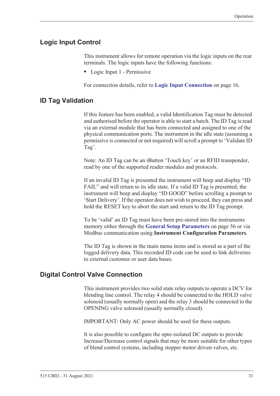### **Logic Input Control**

This instrument allows for remote operation via the logic inputs on the rear terminals. The logic inputs have the following functions:

**•** Logic Input 1 - Permissive

For connection details, refer to **[Logic Input Connection](#page-25-0)** on page 16.

#### **ID Tag Validation**

If this feature has been enabled, a valid Identification Tag must be detected and authorised before the operator is able to start a batch. The ID Tag is read via an external module that has been connected and assigned to one of the physical communication ports. The instrument in the idle state (assuming a permissive is connected or not required) will scroll a prompt to 'Validate ID Tag'.

Note: An ID Tag can be an iButton 'Touch key' or an RFID transponder, read by one of the supported reader modules and protocols.

If an invalid ID Tag is presented the instrument will beep and display "ID FAIL" and will return to its idle state. If a valid ID Tag is presented, the instrument will beep and display "ID GOOD" before scrolling a prompt to 'Start Delivery'. If the operator does not wish to proceed, they can press and hold the RESET key to abort the start and return to the ID Tag prompt.

To be 'valid' an ID Tag must have been pre-stored into the instruments memory either through the **[General Setup Parameters](#page-65-0)** on page 56 or via Modbus communication using **Instrument Configuration Parameters**.

The ID Tag is shown in the main menu items and is stored as a part of the logged delivery data. This recorded ID code can be used to link deliveries to external customer or user data bases.

#### **Digital Control Valve Connection**

This instrument provides two solid state relay outputs to operate a DCV for blending line control. The relay 4 should be connected to the HOLD valve solenoid (usually normally open) and the relay 3 should be connected to the OPENING valve solenoid (usually normally closed).

IMPORTANT: Only AC power should be used for these outputs.

It is also possible to configure the opto-isolated DC outputs to provide Increase/Decrease control signals that may be more suitable for other types of blend control systems, including stepper motor driven valves, etc.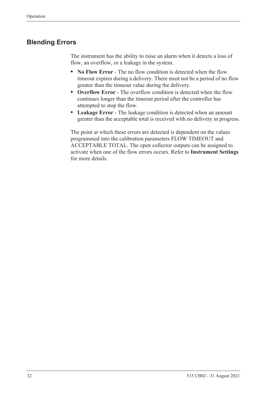### **Blending Errors**

The instrument has the ability to raise an alarm when it detects a loss of flow, an overflow, or a leakage in the system.

- **No Flow Error** The no flow condition is detected when the flow timeout expires during a delivery. There must not be a period of no flow greater than the timeout value during the delivery.
- **• Overflow Error** The overflow condition is detected when the flow continues longer than the timeout period after the controller has attempted to stop the flow.
- **• Leakage Error** The leakage condition is detected when an amount greater than the acceptable total is received with no delivery in progress.

The point at which these errors are detected is dependent on the values programmed into the calibration parameters FLOW TIMEOUT and ACCEPTABLE TOTAL. The open collector outputs can be assigned to activate when one of the flow errors occurs. Refer to **Instrument Settings** for more details.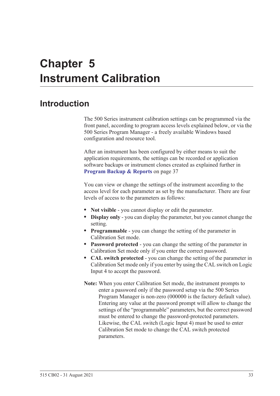# **Chapter 5 Instrument Calibration**

# **Introduction**

The 500 Series instrument calibration settings can be programmed via the front panel, according to program access levels explained below, or via the 500 Series Program Manager - a freely available Windows based configuration and resource tool.

After an instrument has been configured by either means to suit the application requirements, the settings can be recorded or application software backups or instrument clones created as explained further in **[Program Backup & Reports](#page-46-0)** on page 37

You can view or change the settings of the instrument according to the access level for each parameter as set by the manufacturer. There are four levels of access to the parameters as follows:

- **• Not visible** you cannot display or edit the parameter.
- **• Display only** you can display the parameter, but you cannot change the setting.
- **• Programmable** you can change the setting of the parameter in Calibration Set mode.
- **• Password protected** you can change the setting of the parameter in Calibration Set mode only if you enter the correct password.
- **• CAL switch protected**  you can change the setting of the parameter in Calibration Set mode only if you enter by using the CAL switch on Logic Input 4 to accept the password.
- **Note:** When you enter Calibration Set mode, the instrument prompts to enter a password only if the password setup via the 500 Series Program Manager is non-zero (000000 is the factory default value). Entering any value at the password prompt will allow to change the settings of the "programmable" parameters, but the correct password must be entered to change the password-protected parameters. Likewise, the CAL switch (Logic Input 4) must be used to enter Calibration Set mode to change the CAL switch protected parameters.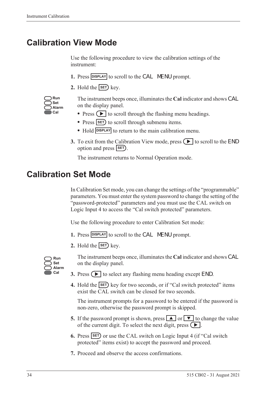# **Calibration View Mode**

Use the following procedure to view the calibration settings of the instrument:

- 1. Press **DISPLAY** to scroll to the CAL MENU prompt.
- **2.** Hold the  $\overline{\text{SET}}$  key.



The instrument beeps once, illuminates the **Cal** indicator and shows CAL on the display panel.

- Press  $\left( \blacktriangleright \right)$  to scroll through the flashing menu headings.
- Press **SET**) to scroll through submenu items.
- Hold **DISPLAY** to return to the main calibration menu.
- **3.** To exit from the Calibration View mode, press  $\Box$  to scroll to the END option and press **SET**).

The instrument returns to Normal Operation mode.

# **Calibration Set Mode**

In Calibration Set mode, you can change the settings of the "programmable" parameters. You must enter the system password to change the setting of the "password-protected" parameters and you must use the CAL switch on Logic Input 4 to access the "Cal switch protected" parameters.

Use the following procedure to enter Calibration Set mode:

- **1.** Press **DISPLAY** to scroll to the CAL MENU prompt.
- **2.** Hold the  $\overline{\text{SET}}$  key.



The instrument beeps once, illuminates the **Cal** indicator and shows CAL on the display panel.

- **3.** Press  $\left( \blacktriangleright \right)$  to select any flashing menu heading except END.
- **4.** Hold the **SET** key for two seconds, or if "Cal switch protected" items exist the CAL switch can be closed for two seconds.

The instrument prompts for a password to be entered if the password is non-zero, otherwise the password prompt is skipped.

- **5.** If the password prompt is shown, press  $\boxed{\blacktriangle}$  or  $\boxed{\blacktriangledown}$  to change the value of the current digit. To select the next digit, press  $\Box$ .
- **6.** Press **SET** or use the CAL switch on Logic Input 4 (if "Cal switch protected" items exist) to accept the password and proceed.
- **7.** Proceed and observe the access confirmations.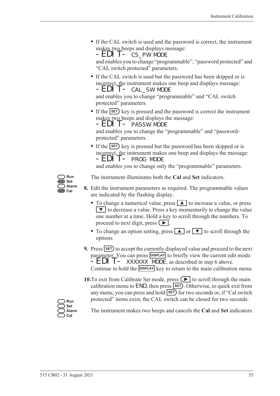**•** If the CAL switch is used and the password is correct, the instrument makes two beeps and displays message:  $-$ FDIT-CS PW MODE

and enables you to change "programmable", "password protected" and "CAL switch protected" parameters.

• If the CAL switch is used but the password has been skipped or is incorrect, the instrument makes one beep and displays message:  $-EDI$   $T - CAL$  SW MODE

and enables you to change "programmable" and "CAL switch protected" parameters.

- If the **SET**) key is pressed and the password is correct the instrument makes two beeps and displays the message:
	- $-EDI$   $-$  PASSW MODE

and enables you to change the "programmable" and "passwordprotected" parameters.

• If the **SET**) key is pressed but the password has been skipped or is incorrect, the instrument makes one beep and displays the message:  $\Box$   $\Box$   $-$  PROG MODE

and enables you to change only the "programmable" parameters.



The instrument illuminates both the **Cal** and **Set** indicators.

- **8.** Edit the instrument parameters as required. The programmable values are indicated by the flashing display.
	- To change a numerical value, press **A** to increase a value, or press  $\triangledown$  to decrease a value. Press a key momentarily to change the value one number at a time. Hold a key to scroll through the numbers. To proceed to next digit, press  $(\blacktriangleright)$ .
	- To change an option setting, press  $\Box$  or  $\nabla$  to scroll through the options.
- **9.** Press **SET** to accept the currently displayed value and proceed to the next parameter. You can press **DISPLAY** to briefly view the current edit mode: parameter. You can press  $\frac{\text{DISPLAY}}{\text{LO}}$  to briefly view the current ed:<br>-  $\text{EDI}$  T - XXXXXX MODE, as described in step 6 above. Continue to hold the **DISPLAY** key to return to the main calibration menu.
- **10.**To exit from Calibrate Set mode, press  $\Box$  to scroll through the main calibration menu to END, then press **SET**). Otherwise, to quick exit from any menu, you can press and hold **SET** for two seconds or, if "Cal switch protected" items exist, the CAL switch can be closed for two seconds.

**Run Set Alarm Cal**

The instrument makes two beeps and cancels the **Cal** and **Set** indicators.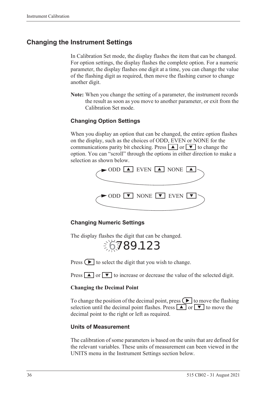### **Changing the Instrument Settings**

In Calibration Set mode, the display flashes the item that can be changed. For option settings, the display flashes the complete option. For a numeric parameter, the display flashes one digit at a time, you can change the value of the flashing digit as required, then move the flashing cursor to change another digit.

**Note:** When you change the setting of a parameter, the instrument records the result as soon as you move to another parameter, or exit from the Calibration Set mode.

### **Changing Option Settings**

When you display an option that can be changed, the entire option flashes on the display, such as the choices of ODD, EVEN or NONE for the communications parity bit checking. Press  $\boxed{\blacktriangle}$  or  $\boxed{\blacktriangledown}$  to change the option. You can "scroll" through the options in either direction to make a selection as shown below.



#### **Changing Numeric Settings**

The display flashes the digit that can be changed.



Press  $\left( \blacktriangleright \right)$  to select the digit that you wish to change.

Press  $\boxed{\blacktriangle}$  or  $\boxed{\blacktriangledown}$  to increase or decrease the value of the selected digit.

#### **Changing the Decimal Point**

To change the position of the decimal point, press  $\Box$  to move the flashing selection until the decimal point flashes. Press  $\boxed{\blacktriangle}$  or  $\boxed{\blacktriangledown}$  to move the decimal point to the right or left as required.

#### **Units of Measurement**

The calibration of some parameters is based on the units that are defined for the relevant variables. These units of measurement can been viewed in the UNITS menu in the Instrument Settings section below.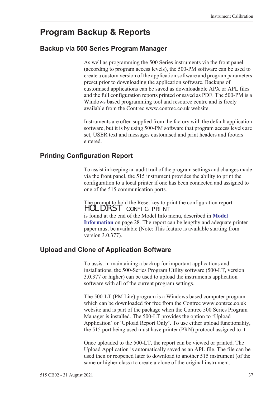# <span id="page-46-0"></span>**Program Backup & Reports**

### **Backup via 500 Series Program Manager**

As well as programming the 500 Series instruments via the front panel (according to program access levels), the 500-PM software can be used to create a custom version of the application software and program parameters preset prior to downloading the application software. Backups of customised applications can be saved as downloadable APX or APL files and the full configuration reports printed or saved as PDF. The 500-PM is a Windows based programming tool and resource centre and is freely available from the Contrec www.contrec.co.uk website.

Instruments are often supplied from the factory with the default application software, but it is by using 500-PM software that program access levels are set, USER text and messages customised and print headers and footers entered.

### **Printing Configuration Report**

To assist in keeping an audit trail of the program settings and changes made via the front panel, the 515 instrument provides the ability to print the configuration to a local printer if one has been connected and assigned to one of the 515 communication ports.

The prompt to hold the Reset key to print the configuration report HOLD.RST CONFIG PRINT is found at the end of the Model Info menu, described in **[Model](#page-37-0)  [Information](#page-37-0)** on page 28. The report can be lengthy and adequate printer paper must be available (Note: This feature is available starting from version 3.0.377).

### **Upload and Clone of Application Software**

To assist in maintaining a backup for important applications and installations, the 500-Series Program Utility software (500-LT, version 3.0.377 or higher) can be used to upload the instruments application software with all of the current program settings.

The 500-LT (PM Lite) program is a Windows based computer program which can be downloaded for free from the Contrec www.contrec.co.uk website and is part of the package when the Contrec 500 Series Program Manager is installed. The 500-LT provides the option to 'Upload Application' or 'Upload Report Only'. To use either upload functionality, the 515 port being used must have printer (PRN) protocol assigned to it.

Once uploaded to the 500-LT, the report can be viewed or printed. The Upload Application is automatically saved as an APL file. The file can be used then or reopened later to download to another 515 instrument (of the same or higher class) to create a clone of the original instrument.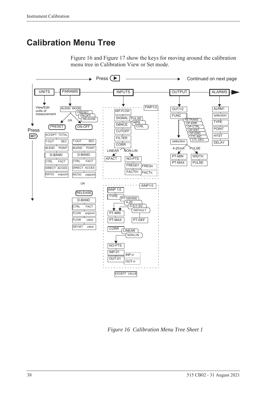# **Calibration Menu Tree**



[Figure 16](#page-47-0) and [Figure 17](#page-48-0) show the keys for moving around the calibration menu tree in Calibration View or Set mode.

<span id="page-47-0"></span>*Figure 16 Calibration Menu Tree Sheet 1*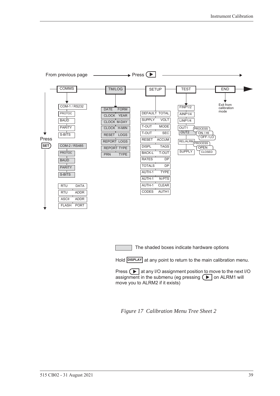

The shaded boxes indicate hardware options

Hold **DISPLAY** at any point to return to the main calibration menu.

Press  $\Box$  at any I/O assignment position to move to the next I/O assignment in the submenu (eg pressing  $\left( \blacktriangleright \right)$  on ALRM1 will move you to ALRM2 if it exists)

<span id="page-48-0"></span>*Figure 17 Calibration Menu Tree Sheet 2*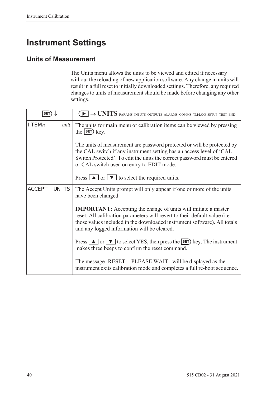# **Instrument Settings**

### **Units of Measurement**

The Units menu allows the units to be viewed and edited if necessary without the reloading of new application software. Any change in units will result in a full reset to initially downloaded settings. Therefore, any required changes to units of measurement should be made before changing any other settings.

| <b>SET</b>                    | $\blacktriangleright$ $\rightarrow$ UNITS params inputs outputs alarms comms tm/log setup test end                                                                                                                                                                              |
|-------------------------------|---------------------------------------------------------------------------------------------------------------------------------------------------------------------------------------------------------------------------------------------------------------------------------|
| $I$ TEM $n$<br>unit           | The units for main menu or calibration items can be viewed by pressing<br>the $\left  \text{set} \right $ key.                                                                                                                                                                  |
|                               | The units of measurement are password protected or will be protected by<br>the CAL switch if any instrument setting has an access level of 'CAL<br>Switch Protected'. To edit the units the correct password must be entered<br>or CAL switch used on entry to EDIT mode.       |
|                               | Press $\boxed{\blacktriangle}$ or $\boxed{\blacktriangledown}$ to select the required units.                                                                                                                                                                                    |
| <b>ACCEPT</b><br><b>UNITS</b> | The Accept Units prompt will only appear if one or more of the units<br>have been changed.                                                                                                                                                                                      |
|                               | <b>IMPORTANT:</b> Accepting the change of units will initiate a master<br>reset. All calibration parameters will revert to their default value (i.e.<br>those values included in the downloaded instrument software). All totals<br>and any logged information will be cleared. |
|                               | Press $\boxed{\blacktriangle}$ or $\boxed{\blacktriangledown}$ to select YES, then press the SET key. The instrument<br>makes three beeps to confirm the reset command.                                                                                                         |
|                               | The message -RESET- PLEASE WAIT will be displayed as the<br>instrument exits calibration mode and completes a full re-boot sequence.                                                                                                                                            |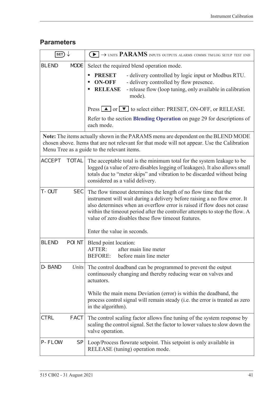# **Parameters**

| SET)                          | $\blacktriangleright$ $\rightarrow$ units PARAMS inputs outputs alarms comms tm/log setup test end                                                                                                                                                                                                                                                                                                                                 |
|-------------------------------|------------------------------------------------------------------------------------------------------------------------------------------------------------------------------------------------------------------------------------------------------------------------------------------------------------------------------------------------------------------------------------------------------------------------------------|
| <b>MODE</b><br><b>BLEND</b>   | Select the required blend operation mode.<br><b>PRESET</b><br>- delivery controlled by logic input or Modbus RTU.<br><b>ON-OFF</b><br>- delivery controlled by flow presence.<br><b>RELEASE</b><br>- release flow (loop tuning, only available in calibration<br>mode).<br>Press $\Box$ or $\nabla$ to select either: PRESET, ON-OFF, or RELEASE.<br>Refer to the section <b>Blending Operation</b> on page 29 for descriptions of |
|                               | each mode.<br>Note: The items actually shown in the PARAMS menu are dependent on the BLEND MODE<br>chosen above. Items that are not relevant for that mode will not appear. Use the Calibration<br>Menu Tree as a guide to the relevant items.                                                                                                                                                                                     |
| <b>ACCEPT</b><br><b>TOTAL</b> | The acceptable total is the minimum total for the system leakage to be<br>logged (a value of zero disables logging of leakages). It also allows small<br>totals due to "meter skips" and vibration to be discarded without being<br>considered as a valid delivery.                                                                                                                                                                |
| T-OUT<br><b>SEC</b>           | The flow timeout determines the length of no flow time that the<br>instrument will wait during a delivery before raising a no flow error. It<br>also determines when an overflow error is raised if flow does not cease<br>within the timeout period after the controller attempts to stop the flow. A<br>value of zero disables these flow timeout features.                                                                      |
| <b>BLEND</b><br>POI NT        | Enter the value in seconds.<br>Blend point location:<br>after main line meter<br>AFTER:                                                                                                                                                                                                                                                                                                                                            |
|                               | <b>BEFORE:</b><br>before main line meter                                                                                                                                                                                                                                                                                                                                                                                           |
| D-BAND<br>Units               | The control deadband can be programmed to prevent the output<br>continuously changing and thereby reducing wear on valves and<br>actuators.                                                                                                                                                                                                                                                                                        |
|                               | While the main menu Deviation (error) is within the deadband, the<br>process control signal will remain steady (i.e. the error is treated as zero<br>in the algorithm).                                                                                                                                                                                                                                                            |
| <b>CTRL</b><br><b>FACT</b>    | The control scaling factor allows fine tuning of the system response by<br>scaling the control signal. Set the factor to lower values to slow down the<br>valve operation.                                                                                                                                                                                                                                                         |
| P-FLOW<br><b>SP</b>           | Loop/Process flowrate setpoint. This setpoint is only available in<br>RELEASE (tuning) operation mode.                                                                                                                                                                                                                                                                                                                             |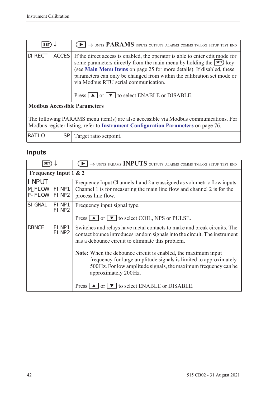| <b>SET</b>                          |  | $\left(\blacktriangleright\right)\rightarrow$ units <b>PARAMS</b> inputs outputs alarms comms tm/log setup test end                                                                                                                                                                                                                                                                                                                                 |
|-------------------------------------|--|-----------------------------------------------------------------------------------------------------------------------------------------------------------------------------------------------------------------------------------------------------------------------------------------------------------------------------------------------------------------------------------------------------------------------------------------------------|
| DI RECT                             |  | ACCES If the direct access is enabled, the operator is able to enter edit mode for<br>some parameters directly from the main menu by holding the SET) key<br>(see Main Menu Items on page 25 for more details). If disabled, these<br>parameters can only be changed from within the calibration set mode or<br>via Modbus RTU serial communication.<br>Press $\boxed{\blacktriangle}$ or $\boxed{\blacktriangledown}$ to select ENABLE or DISABLE. |
| <b>Modbus Accessible Parameters</b> |  |                                                                                                                                                                                                                                                                                                                                                                                                                                                     |

The following PARAMS menu item(s) are also accessible via Modbus communications. For Modbus register listing, refer to **[Instrument Configuration Parameters](#page-85-0)** on page 76.

|  | <b>RA</b><br>. L | get ratio<br>"OOIIIt.<br>$\overline{1}$ $\overline{2}$ |
|--|------------------|--------------------------------------------------------|
|--|------------------|--------------------------------------------------------|

# **Inputs**

| <b>SET</b>                  |                                        | $\rightarrow$ UNITS PARAMS INPUTS OUTPUTS ALARMS COMMS TM/LOG SETUP TEST END                                                                                                                                                                                                                                                                    |
|-----------------------------|----------------------------------------|-------------------------------------------------------------------------------------------------------------------------------------------------------------------------------------------------------------------------------------------------------------------------------------------------------------------------------------------------|
| Frequency Input 1 & 2       |                                        |                                                                                                                                                                                                                                                                                                                                                 |
| - NPU I<br>M FLOW<br>P-FLOW | FI <sub>NP1</sub><br>FI <sub>NP2</sub> | Frequency Input Channels 1 and 2 are assigned as volumetric flow inputs.<br>Channel 1 is for measuring the main line flow and channel 2 is for the<br>process line flow.                                                                                                                                                                        |
| SI GNAL                     | FI <sub>NP1</sub><br>FI <sub>NP2</sub> | Frequency input signal type.<br>Press $\boxed{\blacktriangle}$ or $\boxed{\blacktriangledown}$ to select COIL, NPS or PULSE.                                                                                                                                                                                                                    |
| <b>DBNCE</b>                | FINP1<br>FINP <sub>2</sub>             | Switches and relays have metal contacts to make and break circuits. The<br>contact bounce introduces random signals into the circuit. The instrument<br>has a debounce circuit to eliminate this problem.<br>Note: When the debounce circuit is enabled, the maximum input<br>frequency for large amplitude signals is limited to approximately |
|                             |                                        | 500Hz. For low amplitude signals, the maximum frequency can be<br>approximately 200Hz.<br>Press $\Box$ or $\nabla$ to select ENABLE or DISABLE.                                                                                                                                                                                                 |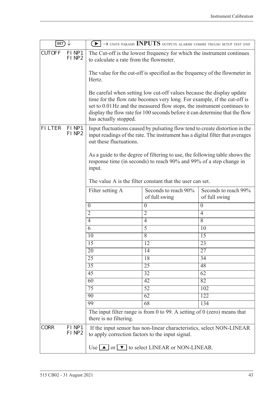| SET)          |                            | $\left(\blacktriangleright\right)\rightarrow$ units params INPUTS outputs alarms comms tm/log setup test end |                                                                                                                                                                                                                                                                                                             |                                       |  |
|---------------|----------------------------|--------------------------------------------------------------------------------------------------------------|-------------------------------------------------------------------------------------------------------------------------------------------------------------------------------------------------------------------------------------------------------------------------------------------------------------|---------------------------------------|--|
| <b>CUTOFF</b> | FINP1<br>FI <sub>NP2</sub> | to calculate a rate from the flowmeter.                                                                      | The Cut-off is the lowest frequency for which the instrument continues                                                                                                                                                                                                                                      |                                       |  |
|               |                            | Hertz.                                                                                                       | The value for the cut-off is specified as the frequency of the flowmeter in                                                                                                                                                                                                                                 |                                       |  |
|               |                            | has actually stopped.                                                                                        | Be careful when setting low cut-off values because the display update<br>time for the flow rate becomes very long. For example, if the cut-off is<br>set to 0.01 Hz and the measured flow stops, the instrument continues to<br>display the flow rate for 100 seconds before it can determine that the flow |                                       |  |
| <b>FILTER</b> | FINP1<br>FINP <sub>2</sub> | out these fluctuations.                                                                                      | Input fluctuations caused by pulsating flow tend to create distortion in the<br>input readings of the rate. The instrument has a digital filter that averages                                                                                                                                               |                                       |  |
|               |                            | input.                                                                                                       | As a guide to the degree of filtering to use, the following table shows the<br>response time (in seconds) to reach 90% and 99% of a step change in<br>The value A is the filter constant that the user can set.                                                                                             |                                       |  |
|               |                            |                                                                                                              |                                                                                                                                                                                                                                                                                                             |                                       |  |
|               |                            | Filter setting A                                                                                             | Seconds to reach 90%<br>of full swing                                                                                                                                                                                                                                                                       | Seconds to reach 99%<br>of full swing |  |
|               |                            | $\theta$                                                                                                     | $\overline{0}$                                                                                                                                                                                                                                                                                              | $\overline{0}$                        |  |
|               |                            | $\overline{2}$                                                                                               | $\overline{2}$                                                                                                                                                                                                                                                                                              | $\overline{4}$                        |  |
|               |                            | $\overline{4}$                                                                                               | $\overline{4}$                                                                                                                                                                                                                                                                                              | $\overline{8}$                        |  |
|               |                            | 6                                                                                                            | $\overline{5}$                                                                                                                                                                                                                                                                                              | 10                                    |  |
|               |                            | 10                                                                                                           | $\overline{8}$                                                                                                                                                                                                                                                                                              | 15                                    |  |
|               |                            | 15                                                                                                           | 12                                                                                                                                                                                                                                                                                                          | 23                                    |  |
|               |                            | $\overline{20}$                                                                                              | $\overline{14}$                                                                                                                                                                                                                                                                                             | $\overline{27}$                       |  |
|               |                            | $\overline{25}$                                                                                              | 18                                                                                                                                                                                                                                                                                                          | 34                                    |  |
|               |                            | 35                                                                                                           | 25                                                                                                                                                                                                                                                                                                          | 48                                    |  |
|               |                            | $\overline{45}$                                                                                              | $\overline{32}$                                                                                                                                                                                                                                                                                             | 62                                    |  |
|               |                            | $\overline{60}$                                                                                              | $\overline{42}$                                                                                                                                                                                                                                                                                             | $\overline{82}$                       |  |
|               |                            | 75                                                                                                           | 52                                                                                                                                                                                                                                                                                                          | 102                                   |  |
|               |                            | 90                                                                                                           | 62                                                                                                                                                                                                                                                                                                          | 122                                   |  |
|               |                            | 99                                                                                                           | 68                                                                                                                                                                                                                                                                                                          | 134                                   |  |
|               |                            | there is no filtering.                                                                                       | The input filter range is from 0 to 99. A setting of $0$ (zero) means that                                                                                                                                                                                                                                  |                                       |  |
| <b>CORR</b>   | FINP1<br>FI <sub>NP2</sub> | to apply correction factors to the input signal.                                                             | If the input sensor has non-linear characteristics, select NON-LINEAR                                                                                                                                                                                                                                       |                                       |  |
|               |                            |                                                                                                              | Use $\Box$ or $\nabla$ to select LINEAR or NON-LINEAR.                                                                                                                                                                                                                                                      |                                       |  |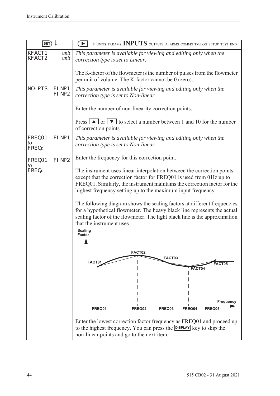| SET)                         |                            | $\rightarrow$ units params INPUTS outputs alarms comms tm/log setup test end                                                                                                                                                                                                                                                                                           |
|------------------------------|----------------------------|------------------------------------------------------------------------------------------------------------------------------------------------------------------------------------------------------------------------------------------------------------------------------------------------------------------------------------------------------------------------|
| KFACT1<br>KFACT2             | unit<br>unit               | This parameter is available for viewing and editing only when the<br>correction type is set to Linear.                                                                                                                                                                                                                                                                 |
|                              |                            | The K-factor of the flowmeter is the number of pulses from the flowmeter<br>per unit of volume. The K-factor cannot be 0 (zero).                                                                                                                                                                                                                                       |
| NO-PTS                       | FINP1<br>FI <sub>NP2</sub> | This parameter is available for viewing and editing only when the<br>correction type is set to Non-linear.                                                                                                                                                                                                                                                             |
|                              |                            | Enter the number of non-linearity correction points.                                                                                                                                                                                                                                                                                                                   |
|                              |                            | Press $\boxed{\blacktriangle}$ or $\boxed{\blacktriangledown}$ to select a number between 1 and 10 for the number<br>of correction points.                                                                                                                                                                                                                             |
| <b>FREQ01</b><br>to<br>FREDn | FINP1                      | This parameter is available for viewing and editing only when the<br>correction type is set to Non-linear.                                                                                                                                                                                                                                                             |
| <b>FREQ01</b>                | FI <sub>NP2</sub>          | Enter the frequency for this correction point.                                                                                                                                                                                                                                                                                                                         |
| to<br>FREDn                  |                            | The instrument uses linear interpolation between the correction points<br>except that the correction factor for FREQ01 is used from 0Hz up to<br>FREQ01. Similarly, the instrument maintains the correction factor for the<br>highest frequency setting up to the maximum input frequency.<br>The following diagram shows the scaling factors at different frequencies |
|                              |                            | for a hypothetical flowmeter. The heavy black line represents the actual                                                                                                                                                                                                                                                                                               |
|                              |                            | scaling factor of the flowmeter. The light black line is the approximation<br>that the instrument uses.                                                                                                                                                                                                                                                                |
|                              |                            | <b>Scaling</b><br><b>Factor</b>                                                                                                                                                                                                                                                                                                                                        |
|                              |                            |                                                                                                                                                                                                                                                                                                                                                                        |
|                              |                            | FACT02<br>FACT03                                                                                                                                                                                                                                                                                                                                                       |
|                              |                            | FACT01<br>FACT05<br>FACT04                                                                                                                                                                                                                                                                                                                                             |
|                              |                            |                                                                                                                                                                                                                                                                                                                                                                        |
|                              |                            |                                                                                                                                                                                                                                                                                                                                                                        |
|                              |                            | Frequency                                                                                                                                                                                                                                                                                                                                                              |
|                              |                            | FREQ02<br>FREQ03<br>FREQ01<br>FREQ04<br>FREQ05                                                                                                                                                                                                                                                                                                                         |
|                              |                            | Enter the lowest correction factor frequency as FREQ01 and proceed up<br>to the highest frequency. You can press the <b>DISPLAY</b> key to skip the<br>non-linear points and go to the next item.                                                                                                                                                                      |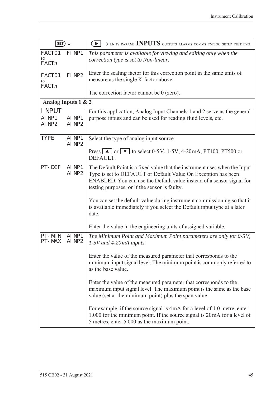| $s$ <sub>ET</sub> )               |                   | $\left(\blacktriangleright\right)\rightarrow$ units params INPUTS outputs alarms comms tm/log setup test end                                                                                                                                                          |
|-----------------------------------|-------------------|-----------------------------------------------------------------------------------------------------------------------------------------------------------------------------------------------------------------------------------------------------------------------|
| FACT01<br>to<br>FACTn             | FI <sub>NP1</sub> | This parameter is available for viewing and editing only when the<br>correction type is set to Non-linear.                                                                                                                                                            |
| FACT01<br>to<br>FACTn             | FINP <sub>2</sub> | Enter the scaling factor for this correction point in the same units of<br>measure as the single K-factor above.                                                                                                                                                      |
|                                   |                   | The correction factor cannot be $0$ (zero).                                                                                                                                                                                                                           |
| Analog Inputs 1 & 2               |                   |                                                                                                                                                                                                                                                                       |
| <b>I NPUT</b><br>AI NP1<br>AI NP2 | AI NP1<br>AI NP2  | For this application, Analog Input Channels 1 and 2 serve as the general<br>purpose inputs and can be used for reading fluid levels, etc.                                                                                                                             |
| <b>TYPE</b>                       | AI NP1<br>AI NP2  | Select the type of analog input source.                                                                                                                                                                                                                               |
|                                   |                   | Press $\Box$ or $\Box$ to select 0-5V, 1-5V, 4-20mA, PT100, PT500 or<br>DEFAULT.                                                                                                                                                                                      |
| PT-DEF                            | AI NP1<br>AI NP2  | The Default Point is a fixed value that the instrument uses when the Input<br>Type is set to DEFAULT or Default Value On Exception has been<br>ENABLED. You can use the Default value instead of a sensor signal for<br>testing purposes, or if the sensor is faulty. |
|                                   |                   | You can set the default value during instrument commissioning so that it<br>is available immediately if you select the Default input type at a later<br>date.                                                                                                         |
|                                   |                   | Enter the value in the engineering units of assigned variable.                                                                                                                                                                                                        |
| PT-MIN<br>PT-MAX                  | AI NP1<br>AI NP2  | The Minimum Point and Maximum Point parameters are only for 0-5V,<br>$1-5V$ and 4-20mA inputs.                                                                                                                                                                        |
|                                   |                   | Enter the value of the measured parameter that corresponds to the<br>minimum input signal level. The minimum point is commonly referred to<br>as the base value.                                                                                                      |
|                                   |                   | Enter the value of the measured parameter that corresponds to the<br>maximum input signal level. The maximum point is the same as the base<br>value (set at the minimum point) plus the span value.                                                                   |
|                                   |                   | For example, if the source signal is 4mA for a level of 1.0 metre, enter<br>1.000 for the minimum point. If the source signal is 20 mA for a level of<br>5 metres, enter 5.000 as the maximum point.                                                                  |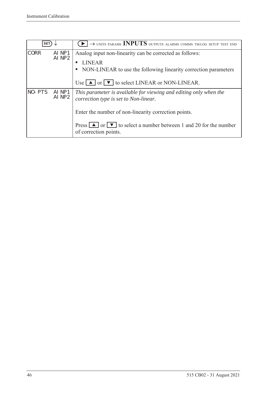| <b>SET</b>  |                  | $\left\langle \bullet\right\vert \rightarrow$ units params INPUTS outputs alarms comms tm/log setup test end                                                                                                                                                               |
|-------------|------------------|----------------------------------------------------------------------------------------------------------------------------------------------------------------------------------------------------------------------------------------------------------------------------|
| <b>CORR</b> | AI NP1<br>AI NP2 | Analog input non-linearity can be corrected as follows:<br><b>LINEAR</b><br>$\bullet$<br>• NON-LINEAR to use the following linearity correction parameters<br>Use $\Box$ or $\nabla$ to select LINEAR or NON-LINEAR.                                                       |
| NO-PTS      | AI NP1<br>AI NP2 | This parameter is available for viewing and editing only when the<br>correction type is set to Non-linear.<br>Enter the number of non-linearity correction points.<br>Press $\Box$ or $\nabla$ to select a number between 1 and 20 for the number<br>of correction points. |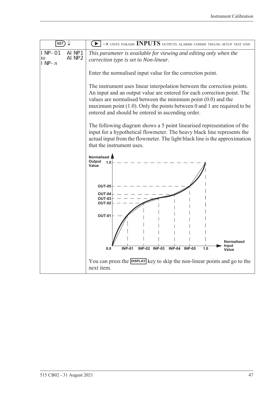| SET)                                              | $\rightarrow$ units params INPUTS outputs alarms comms tm/log setup test end                                                                                                                                                                                                                                                                             |
|---------------------------------------------------|----------------------------------------------------------------------------------------------------------------------------------------------------------------------------------------------------------------------------------------------------------------------------------------------------------------------------------------------------------|
| $I NP-01$<br>AI NP1<br>AI NP2<br>to<br>$I NP - n$ | This parameter is available for viewing and editing only when the<br>correction type is set to Non-linear.                                                                                                                                                                                                                                               |
|                                                   | Enter the normalised input value for the correction point.                                                                                                                                                                                                                                                                                               |
|                                                   | The instrument uses linear interpolation between the correction points.<br>An input and an output value are entered for each correction point. The<br>values are normalised between the minimum point $(0.0)$ and the<br>maximum point $(1.0)$ . Only the points between 0 and 1 are required to be<br>entered and should be entered in ascending order. |
|                                                   | The following diagram shows a 5 point linearised representation of the<br>input for a hypothetical flowmeter. The heavy black line represents the<br>actual input from the flowmeter. The light black line is the approximation<br>that the instrument uses.                                                                                             |
|                                                   | Normalised<br>Output<br>1.0<br>Value                                                                                                                                                                                                                                                                                                                     |
|                                                   | <b>OUT-05</b><br>OUT-04                                                                                                                                                                                                                                                                                                                                  |
|                                                   | <b>OUT-03</b><br><b>OUT-02</b>                                                                                                                                                                                                                                                                                                                           |
|                                                   | <b>OUT-01</b>                                                                                                                                                                                                                                                                                                                                            |
|                                                   | <b>Normalised</b><br>Input<br><b>INP-01</b><br>0.0<br>INP-02 INP-03<br><b>INP-04</b><br><b>INP-05</b><br>1.0<br>Value                                                                                                                                                                                                                                    |
|                                                   | You can press the DISPLAY key to skip the non-linear points and go to the<br>next item.                                                                                                                                                                                                                                                                  |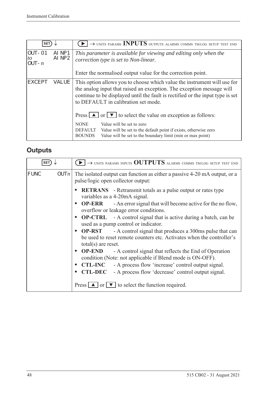<span id="page-57-0"></span>

| <b>SET</b>                       |                  | $\rightarrow$ UNITS PARAMS INPUTS OUTPUTS ALARMS COMMS TM/LOG SETUP TEST END                                                                                                                                                                                               |  |
|----------------------------------|------------------|----------------------------------------------------------------------------------------------------------------------------------------------------------------------------------------------------------------------------------------------------------------------------|--|
| <b>OUT-01</b><br>to<br>$OUT - n$ | AI NP1<br>AI NP2 | This parameter is available for viewing and editing only when the<br>correction type is set to Non-linear.                                                                                                                                                                 |  |
|                                  |                  | Enter the normalised output value for the correction point.                                                                                                                                                                                                                |  |
| <b>EXCEPT</b>                    | <b>VALUE</b>     | This option allows you to choose which value the instrument will use for<br>the analog input that raised an exception. The exception message will<br>continue to be displayed until the fault is rectified or the input type is set<br>to DEFAULT in calibration set mode. |  |
|                                  |                  | Press $\Box$ or $\nabla$ to select the value on exception as follows:                                                                                                                                                                                                      |  |
|                                  |                  | Value will be set to zero<br><b>NONE</b><br><b>DEFAULT</b><br>Value will be set to the default point if exists, otherwise zero<br>Value will be set to the boundary limit (min or max point)<br><b>BOUNDS</b>                                                              |  |

# **Outputs**

| <b>SET</b>          | $\rightarrow$ units params inputs OUTPUTS alarms comms tm/log setup test end                                                                                                                                                                                                                                                                                                                                                                                                                                               |
|---------------------|----------------------------------------------------------------------------------------------------------------------------------------------------------------------------------------------------------------------------------------------------------------------------------------------------------------------------------------------------------------------------------------------------------------------------------------------------------------------------------------------------------------------------|
| <b>FUNC</b><br>OUTn | The isolated output can function as either a passive 4-20 mA output, or a<br>pulse/logic open collector output:                                                                                                                                                                                                                                                                                                                                                                                                            |
|                     | <b>RETRANS</b> - Retransmit totals as a pulse output or rates type<br>variables as a 4-20 mA signal.<br><b>OP-ERR</b><br>- An error signal that will become active for the no flow,<br>overflow or leakage error conditions.<br><b>OP-CTRL</b> - A control signal that is active during a batch, can be<br>used as a pump control or indicator.<br><b>OP-RST</b> - A control signal that produces a 300ms pulse that can<br>be used to reset remote counters etc. Activates when the controller's<br>$total(s)$ are reset. |
|                     | - A control signal that reflects the End of Operation<br>$\bullet$ OP-END<br>condition (Note: not applicable if Blend mode is ON-OFF).<br>- A process flow 'increase' control output signal.<br><b>CTL-INC</b><br><b>CTL-DEC</b><br>- A process flow 'decrease' control output signal.<br>Press $\boxed{\blacktriangle}$ or $\boxed{\blacktriangledown}$ to select the function required.                                                                                                                                  |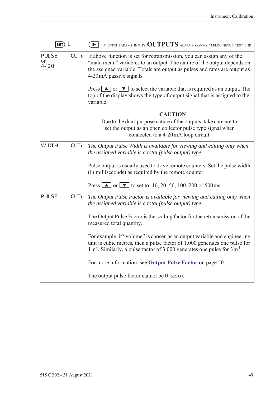| $ $ SET $)\downarrow$                     |                  | $\left\{ \rightarrow \right\}$ UNITS PARAMS INPUTS <b>OUTPUTS</b> ALARMS COMMS TM/LOG SETUP TEST END                                                                                                                                                       |
|-------------------------------------------|------------------|------------------------------------------------------------------------------------------------------------------------------------------------------------------------------------------------------------------------------------------------------------|
| <b>PULSE</b><br><sub>or</sub><br>$4 - 20$ | OUTn             | If above function is set for retransmission, you can assign any of the<br>"main menu" variables to an output. The nature of the output depends on<br>the assigned variable. Totals are output as pulses and rates are output as<br>4-20mA passive signals. |
|                                           |                  | Press $\Box$ or $\nabla$ to select the variable that is required as an output. The<br>top of the display shows the type of output signal that is assigned to the<br>variable.                                                                              |
|                                           |                  | <b>CAUTION</b>                                                                                                                                                                                                                                             |
|                                           |                  | Due to the dual-purpose nature of the outputs, take care not to<br>set the output as an open collector pulse type signal when<br>connected to a 4-20mA loop circuit.                                                                                       |
| <b>WI DTH</b>                             | OUTn             | The Output Pulse Width is available for viewing and editing only when<br>the assigned variable is a total (pulse output) type.                                                                                                                             |
|                                           |                  | Pulse output is usually used to drive remote counters. Set the pulse width<br>(in milliseconds) as required by the remote counter.                                                                                                                         |
|                                           |                  | Press $\boxed{\blacktriangle}$ or $\boxed{\blacktriangledown}$ to set to: 10, 20, 50, 100, 200 or 500 ms.                                                                                                                                                  |
| <b>PULSE</b>                              | OUT <sub>n</sub> | The Output Pulse Factor is available for viewing and editing only when<br>the assigned variable is a total (pulse output) type.                                                                                                                            |
|                                           |                  | The Output Pulse Factor is the scaling factor for the retransmission of the<br>measured total quantity.                                                                                                                                                    |
|                                           |                  | For example, if "volume" is chosen as an output variable and engineering<br>unit is cubic metres, then a pulse factor of 1.000 generates one pulse for<br>$1 \text{ m}^3$ . Similarly, a pulse factor of 3.000 generates one pulse for $3 \text{ m}^3$ .   |
|                                           |                  | For more information, see Output Pulse Factor on page 50.                                                                                                                                                                                                  |
|                                           |                  | The output pulse factor cannot be $0$ (zero).                                                                                                                                                                                                              |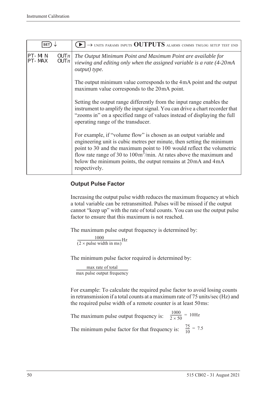| <b>SET</b>       |              | $\rightarrow$ units params inputs OUTPUTS alarms comms tmlog setup test end                                                                                                                                                                                                                                                                                                                     |
|------------------|--------------|-------------------------------------------------------------------------------------------------------------------------------------------------------------------------------------------------------------------------------------------------------------------------------------------------------------------------------------------------------------------------------------------------|
| PT-MIN<br>PT-MAX | OUTn<br>OUTn | The Output Minimum Point and Maximum Point are available for<br>viewing and editing only when the assigned variable is a rate (4-20mA<br>output) type.                                                                                                                                                                                                                                          |
|                  |              | The output minimum value corresponds to the 4mA point and the output<br>maximum value corresponds to the 20mA point.                                                                                                                                                                                                                                                                            |
|                  |              | Setting the output range differently from the input range enables the<br>instrument to amplify the input signal. You can drive a chart recorder that<br>"zooms in" on a specified range of values instead of displaying the full<br>operating range of the transducer.                                                                                                                          |
|                  |              | For example, if "volume flow" is chosen as an output variable and<br>engineering unit is cubic metres per minute, then setting the minimum<br>point to 30 and the maximum point to 100 would reflect the volumetric<br>flow rate range of 30 to $100 \text{m}^3/\text{min}$ . At rates above the maximum and<br>below the minimum points, the output remains at 20 mA and 4 mA<br>respectively. |

#### <span id="page-59-0"></span>**Output Pulse Factor**

Increasing the output pulse width reduces the maximum frequency at which a total variable can be retransmitted. Pulses will be missed if the output cannot "keep up" with the rate of total counts. You can use the output pulse factor to ensure that this maximum is not reached.

The maximum pulse output frequency is determined by:

 $\frac{1000}{(2 \times \text{pulse width in ms})} \text{Hz}$ 

The minimum pulse factor required is determined by:

max rate of total max rate of total<br>max pulse output frequency

For example: To calculate the required pulse factor to avoid losing counts in retransmission if a total counts at a maximum rate of 75 units/sec (Hz) and the required pulse width of a remote counter is at least 50ms:

The maximum pulse output frequency is:  $\frac{1000}{2 \times 50}$  = 10Hz The minimum pulse factor for that frequency is:  $\frac{75}{10}$  $\frac{75}{10}$  = 7.5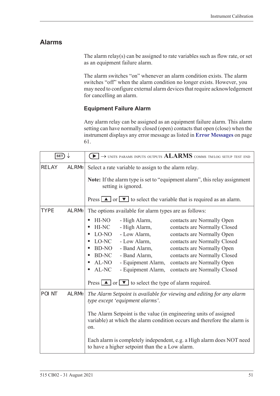### **Alarms**

The alarm relay(s) can be assigned to rate variables such as flow rate, or set as an equipment failure alarm.

The alarm switches "on" whenever an alarm condition exists. The alarm switches "off" when the alarm condition no longer exists. However, you may need to configure external alarm devices that require acknowledgement for cancelling an alarm.

### **Equipment Failure Alarm**

Any alarm relay can be assigned as an equipment failure alarm. This alarm setting can have normally closed (open) contacts that open (close) when the instrument displays any error message as listed in **[Error Messages](#page-70-0)** on page [61.](#page-70-0)

| SET)         |              |                                                                                   |                                                                                                                                                                                                                                                                         | $\rightarrow$ units params inputs outputs $ALARMS$ comms tm/log setup test end                                                                                                                                                                                                                  |
|--------------|--------------|-----------------------------------------------------------------------------------|-------------------------------------------------------------------------------------------------------------------------------------------------------------------------------------------------------------------------------------------------------------------------|-------------------------------------------------------------------------------------------------------------------------------------------------------------------------------------------------------------------------------------------------------------------------------------------------|
| <b>RELAY</b> | ALRMn        |                                                                                   | Select a rate variable to assign to the alarm relay.<br>setting is ignored.                                                                                                                                                                                             | Note: If the alarm type is set to "equipment alarm", this relay assignment<br>Press $\Box$ or $\nabla$ to select the variable that is required as an alarm.                                                                                                                                     |
| <b>TYPE</b>  | <b>ALRMn</b> | HI-NO<br>$\bullet$<br>HI-NC<br>LO-NO<br>LO-NC<br>BD-NO<br>BD-NC<br>AL-NO<br>AL-NC | The options available for alarm types are as follows:<br>- High Alarm,<br>- High Alarm,<br>- Low Alarm,<br>- Low Alarm,<br>- Band Alarm,<br>- Band Alarm,<br>- Equipment Alarm,<br>- Equipment Alarm,<br>Press $\Box$ or $\nabla$ to select the type of alarm required. | contacts are Normally Open<br>contacts are Normally Closed<br>contacts are Normally Open<br>contacts are Normally Closed<br>contacts are Normally Open<br>contacts are Normally Closed<br>contacts are Normally Open<br>contacts are Normally Closed                                            |
| POI NT       | ALRMn        | on.                                                                               | type except 'equipment alarms'.<br>to have a higher setpoint than the a Low alarm.                                                                                                                                                                                      | The Alarm Setpoint is available for viewing and editing for any alarm<br>The Alarm Setpoint is the value (in engineering units of assigned<br>variable) at which the alarm condition occurs and therefore the alarm is<br>Each alarm is completely independent, e.g. a High alarm does NOT need |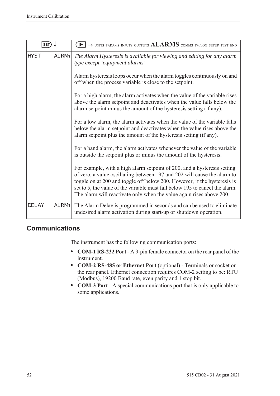| SET)                         | $\rightarrow$ units params inputs outputs $ALARMS$ comms tm/log setup test end                                                                                                                                                                                                                                                                                                           |
|------------------------------|------------------------------------------------------------------------------------------------------------------------------------------------------------------------------------------------------------------------------------------------------------------------------------------------------------------------------------------------------------------------------------------|
| <b>ALRMn</b><br><b>HYST</b>  | The Alarm Hysteresis is available for viewing and editing for any alarm<br>type except 'equipment alarms'.                                                                                                                                                                                                                                                                               |
|                              | Alarm hysteresis loops occur when the alarm toggles continuously on and<br>off when the process variable is close to the setpoint.                                                                                                                                                                                                                                                       |
|                              | For a high alarm, the alarm activates when the value of the variable rises<br>above the alarm setpoint and deactivates when the value falls below the<br>alarm setpoint minus the amount of the hysteresis setting (if any).                                                                                                                                                             |
|                              | For a low alarm, the alarm activates when the value of the variable falls<br>below the alarm setpoint and deactivates when the value rises above the<br>alarm setpoint plus the amount of the hysteresis setting (if any).                                                                                                                                                               |
|                              | For a band alarm, the alarm activates whenever the value of the variable<br>is outside the setpoint plus or minus the amount of the hysteresis.                                                                                                                                                                                                                                          |
|                              | For example, with a high alarm setpoint of 200, and a hysteresis setting<br>of zero, a value oscillating between 197 and 202 will cause the alarm to<br>toggle on at 200 and toggle off below 200. However, if the hysteresis is<br>set to 5, the value of the variable must fall below 195 to cancel the alarm.<br>The alarm will reactivate only when the value again rises above 200. |
| <b>DELAY</b><br><b>ALRMn</b> | The Alarm Delay is programmed in seconds and can be used to eliminate<br>undesired alarm activation during start-up or shutdown operation.                                                                                                                                                                                                                                               |

# <span id="page-61-0"></span>**Communications**

The instrument has the following communication ports:

- **• COM-1 RS-232 Port** A 9-pin female connector on the rear panel of the instrument.
- **• COM-2 RS-485 or Ethernet Port** (optional) Terminals or socket on the rear panel. Ethernet connection requires COM-2 setting to be: RTU (Modbus), 19200 Baud rate, even parity and 1 stop bit.
- **• COM-3 Port** A special communications port that is only applicable to some applications.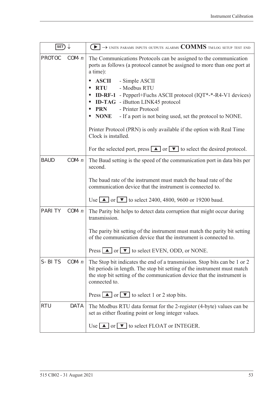| SET)                       | $\blacktriangleright$ $\rightarrow$ units params inputs outputs alarms $\text{COMMS}$ tm/log setup test end                                                                                                                                       |
|----------------------------|---------------------------------------------------------------------------------------------------------------------------------------------------------------------------------------------------------------------------------------------------|
| <b>PROTOC</b><br>$COM - n$ | The Communications Protocols can be assigned to the communication<br>ports as follows (a protocol cannot be assigned to more than one port at<br>a time):                                                                                         |
|                            | <b>ASCII</b><br>- Simple ASCII<br>- Modbus RTU<br><b>RTU</b><br><b>ID-RF-1</b> - Pepperl+Fuchs ASCII protocol $(IQT*-+R4-V1$ devices)<br>$\bullet$<br><b>ID-TAG</b> - iButton LINK45 protocol<br>- Printer Protocol<br><b>PRN</b><br>$\bullet$    |
|                            | <b>NONE</b><br>- If a port is not being used, set the protocol to NONE.                                                                                                                                                                           |
|                            | Printer Protocol (PRN) is only available if the option with Real Time<br>Clock is installed.                                                                                                                                                      |
|                            | For the selected port, press $\boxed{\blacktriangle}$ or $\boxed{\blacktriangledown}$ to select the desired protocol.                                                                                                                             |
| <b>BAUD</b><br>$COM - n$   | The Baud setting is the speed of the communication port in data bits per<br>second.                                                                                                                                                               |
|                            | The baud rate of the instrument must match the baud rate of the<br>communication device that the instrument is connected to.                                                                                                                      |
|                            | Use $\boxed{\triangle}$ or $\boxed{\triangledown}$ to select 2400, 4800, 9600 or 19200 baud.                                                                                                                                                      |
| PARI TY<br>$COM - n$       | The Parity bit helps to detect data corruption that might occur during<br>transmission.                                                                                                                                                           |
|                            | The parity bit setting of the instrument must match the parity bit setting<br>of the communication device that the instrument is connected to.                                                                                                    |
|                            | Press $\Box$ or $\nabla$ to select EVEN, ODD, or NONE.                                                                                                                                                                                            |
| S-BITS<br>$COM - n$        | The Stop bit indicates the end of a transmission. Stop bits can be 1 or 2<br>bit periods in length. The stop bit setting of the instrument must match<br>the stop bit setting of the communication device that the instrument is<br>connected to. |
|                            | Press $\boxed{\blacktriangle}$ or $\boxed{\blacktriangledown}$ to select 1 or 2 stop bits.                                                                                                                                                        |
| <b>RTU</b>                 | <b>DATA</b><br>The Modbus RTU data format for the 2-register (4-byte) values can be<br>set as either floating point or long integer values.                                                                                                       |
|                            | Use $\blacksquare$ or $\blacksquare$ to select FLOAT or INTEGER.                                                                                                                                                                                  |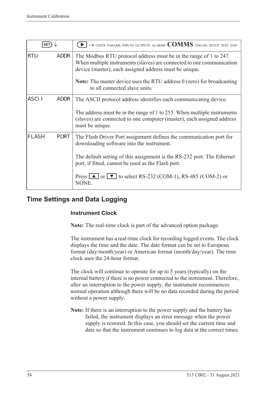| <b>SET</b>   |             | $\rightarrow$ units params inputs outputs alarms $COMMS$ tm/log setup test end                                                                                                                                                                                                                                                                                           |
|--------------|-------------|--------------------------------------------------------------------------------------------------------------------------------------------------------------------------------------------------------------------------------------------------------------------------------------------------------------------------------------------------------------------------|
| <b>RTU</b>   | <b>ADDR</b> | The Modbus RTU protocol address must be in the range of 1 to 247.<br>When multiple instruments (slaves) are connected to one communication<br>device (master), each assigned address must be unique.                                                                                                                                                                     |
|              |             | <b>Note:</b> The master device uses the RTU address $0$ (zero) for broadcasting<br>to all connected slave units.                                                                                                                                                                                                                                                         |
| <b>ASCII</b> | <b>ADDR</b> | The ASCII protocol address identifies each communicating device.<br>The address must be in the range of 1 to 255. When multiple instruments<br>(slaves) are connected to one computer (master), each assigned address<br>must be unique.                                                                                                                                 |
| <b>FLASH</b> | <b>PORT</b> | The Flash Driver Port assignment defines the communication port for<br>downloading software into the instrument.<br>The default setting of this assignment is the RS-232 port. The Ethernet<br>port, if fitted, cannot be used as the Flash port.<br>Press $\boxed{\blacktriangle}$ or $\boxed{\blacktriangledown}$ to select RS-232 (COM-1), RS-485 (COM-2) or<br>NONE. |

### **Time Settings and Data Logging**

#### **Instrument Clock**

**Note:** The real-time clock is part of the advanced option package.

The instrument has a real-time clock for recording logged events. The clock displays the time and the date. The date format can be set to European format (day/month/year) or American format (month/day/year). The time clock uses the 24-hour format.

The clock will continue to operate for up to 5 years (typically) on the internal battery if there is no power connected to the instrument. Therefore, after an interruption to the power supply, the instrument recommences normal operation although there will be no data recorded during the period without a power supply.

**Note:** If there is an interruption to the power supply and the battery has failed, the instrument displays an error message when the power supply is restored. In this case, you should set the current time and date so that the instrument continues to log data at the correct times.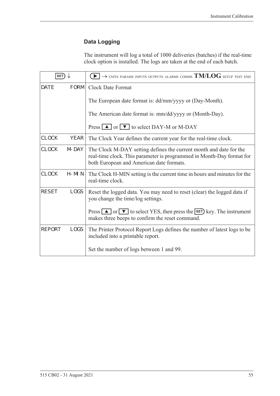### **Data Logging**

The instrument will log a total of 1000 deliveries (batches) if the real-time clock option is installed. The logs are taken at the end of each batch.

| SET)          |             | $\rightarrow$ units params inputs outputs alarms comms $\mathrm{TM}/\mathrm{LOG}$ setup test end                                                                                        |
|---------------|-------------|-----------------------------------------------------------------------------------------------------------------------------------------------------------------------------------------|
| <b>DATE</b>   | <b>FORM</b> | <b>Clock Date Format</b>                                                                                                                                                                |
|               |             | The European date format is: dd/mm/yyyy or (Day-Month).                                                                                                                                 |
|               |             | The American date format is: mm/dd/yyyy or (Month-Day).                                                                                                                                 |
|               |             | Press $\boxed{\blacktriangle}$ or $\boxed{\blacktriangledown}$ to select DAY-M or M-DAY                                                                                                 |
| <b>CLOCK</b>  | <b>YEAR</b> | The Clock Year defines the current year for the real-time clock.                                                                                                                        |
| <b>CLOCK</b>  | M-DAY       | The Clock M-DAY setting defines the current month and date for the<br>real-time clock. This parameter is programmed in Month-Day format for<br>both European and American date formats. |
| <b>CLOCK</b>  | $H-MI N$    | The Clock H-MIN setting is the current time in hours and minutes for the<br>real-time clock.                                                                                            |
| <b>RESET</b>  | LOGS        | Reset the logged data. You may need to reset (clear) the logged data if<br>you change the time/log settings.                                                                            |
|               |             | Press $\Box$ or $\nabla$ to select YES, then press the <b>SET</b> ) key. The instrument<br>makes three beeps to confirm the reset command.                                              |
| <b>REPORT</b> | <b>LOGS</b> | The Printer Protocol Report Logs defines the number of latest logs to be<br>included into a printable report.                                                                           |
|               |             | Set the number of logs between 1 and 99.                                                                                                                                                |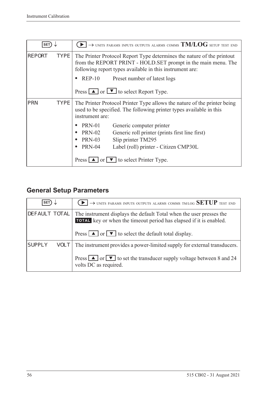| <b>SET</b>    |             | $\rightarrow$ units params inputs outputs alarms comms $TM/LOG$ setup test end                                                                                                                      |
|---------------|-------------|-----------------------------------------------------------------------------------------------------------------------------------------------------------------------------------------------------|
| <b>REPORT</b> | <b>TYPE</b> | The Printer Protocol Report Type determines the nature of the printout<br>from the REPORT PRINT - HOLD.SET prompt in the main menu. The<br>following report types available in this instrument are: |
|               |             | REP-10 Preset number of latest logs                                                                                                                                                                 |
|               |             | Press $\boxed{\blacktriangle}$ or $\boxed{\blacktriangledown}$ to select Report Type.                                                                                                               |
| <b>PRN</b>    | <b>TYPE</b> | The Printer Protocol Printer Type allows the nature of the printer being<br>used to be specified. The following printer types available in this<br>instrument are:                                  |
|               |             | <b>PRN-01</b><br>Generic computer printer                                                                                                                                                           |
|               |             | <b>PRN-02</b><br>Generic roll printer (prints first line first)                                                                                                                                     |
|               |             | <b>PRN-03</b><br>Slip printer TM295                                                                                                                                                                 |
|               |             | <b>PRN-04</b><br>Label (roll) printer - Citizen CMP30L                                                                                                                                              |
|               |             | Press $\boxed{\blacktriangle}$ or $\boxed{\blacktriangledown}$ to select Printer Type.                                                                                                              |

# <span id="page-65-1"></span><span id="page-65-0"></span>**General Setup Parameters**

| $ $ SET $) \downarrow$ | $\rightarrow$ units params inputs outputs alarms comms tm/log SETUP test end                                                                     |
|------------------------|--------------------------------------------------------------------------------------------------------------------------------------------------|
| <b>DEFAULT TOTAL</b>   | The instrument displays the default Total when the user presses the<br><b>TOTAL</b> key or when the timeout period has elapsed if it is enabled. |
|                        | Press $\boxed{\blacktriangle}$ or $\boxed{\blacktriangledown}$ to select the default total display.                                              |
| <b>SUPPLY</b><br>VOLT  | The instrument provides a power-limited supply for external transducers.                                                                         |
|                        | Press $\Box$ or $\nabla$ to set the transducer supply voltage between 8 and 24<br>volts DC as required.                                          |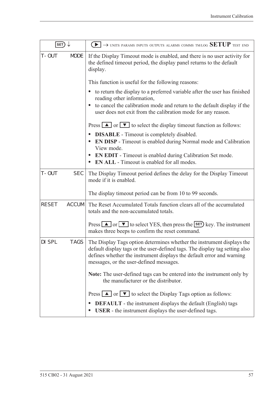| SET)                         | $\blacktriangleright$ $\rightarrow$ units params inputs outputs alarms comms tm/log $\operatorname{SETUP}$ test end                                                                                                                                                       |
|------------------------------|---------------------------------------------------------------------------------------------------------------------------------------------------------------------------------------------------------------------------------------------------------------------------|
| <b>MODE</b><br>T-OUT         | If the Display Timeout mode is enabled, and there is no user activity for<br>the defined timeout period, the display panel returns to the default<br>display.                                                                                                             |
|                              | This function is useful for the following reasons:                                                                                                                                                                                                                        |
|                              | to return the display to a preferred variable after the user has finished<br>reading other information,                                                                                                                                                                   |
|                              | to cancel the calibration mode and return to the default display if the<br>user does not exit from the calibration mode for any reason.                                                                                                                                   |
|                              | Press $\boxed{\blacktriangle}$ or $\boxed{\blacktriangledown}$ to select the display timeout function as follows:                                                                                                                                                         |
|                              | <b>DISABLE</b> - Timeout is completely disabled.<br>EN DISP - Timeout is enabled during Normal mode and Calibration<br>View mode.                                                                                                                                         |
|                              | <b>EN EDIT</b> - Timeout is enabled during Calibration Set mode.<br><b>EN ALL</b> - Timeout is enabled for all modes.                                                                                                                                                     |
| <b>SEC</b><br>T-OUT          | The Display Timeout period defines the delay for the Display Timeout<br>mode if it is enabled.                                                                                                                                                                            |
|                              | The display timeout period can be from 10 to 99 seconds.                                                                                                                                                                                                                  |
| <b>ACCUM</b><br><b>RESET</b> | The Reset Accumulated Totals function clears all of the accumulated<br>totals and the non-accumulated totals.                                                                                                                                                             |
|                              | Press $\Box$ or $\nabla$ to select YES, then press the <b>SET</b> ) key. The instrument<br>makes three beeps to confirm the reset command.                                                                                                                                |
| DI SPL<br><b>TAGS</b>        | The Display Tags option determines whether the instrument displays the<br>default display tags or the user-defined tags. The display tag setting also<br>defines whether the instrument displays the default error and warning<br>messages, or the user-defined messages. |
|                              | Note: The user-defined tags can be entered into the instrument only by<br>the manufacturer or the distributor.                                                                                                                                                            |
|                              | Press $\Box$ or $\nabla$ to select the Display Tags option as follows:                                                                                                                                                                                                    |
|                              | <b>DEFAULT</b> - the instrument displays the default (English) tags<br>$\bullet$<br><b>USER</b> - the instrument displays the user-defined tags.                                                                                                                          |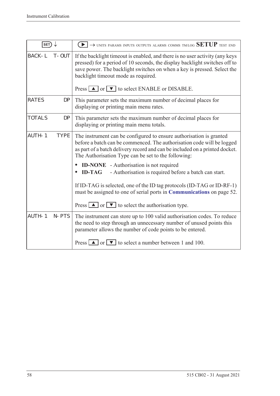| SET           |             | $\rightarrow$ units params inputs outputs alarms comms tm/log SETUP test end                                                                                                                                                                                                                                                                                                 |
|---------------|-------------|------------------------------------------------------------------------------------------------------------------------------------------------------------------------------------------------------------------------------------------------------------------------------------------------------------------------------------------------------------------------------|
| BACK-L        | T-OUT       | If the backlight time out is enabled, and there is no user activity (any keys<br>pressed) for a period of 10 seconds, the display backlight switches off to<br>save power. The backlight switches on when a key is pressed. Select the<br>backlight timeout mode as required.<br>Press $\boxed{\blacktriangle}$ or $\boxed{\blacktriangledown}$ to select ENABLE or DISABLE. |
| <b>RATES</b>  | DP          | This parameter sets the maximum number of decimal places for<br>displaying or printing main menu rates.                                                                                                                                                                                                                                                                      |
| <b>TOTALS</b> | <b>DP</b>   | This parameter sets the maximum number of decimal places for<br>displaying or printing main menu totals.                                                                                                                                                                                                                                                                     |
| AUTH-1        | <b>TYPE</b> | The instrument can be configured to ensure authorisation is granted<br>before a batch can be commenced. The authorisation code will be logged<br>as part of a batch delivery record and can be included on a printed docket.<br>The Authorisation Type can be set to the following:                                                                                          |
|               |             | <b>ID-NONE</b> - Authorisation is not required<br><b>ID-TAG</b><br>- Authorisation is required before a batch can start.                                                                                                                                                                                                                                                     |
|               |             | If ID-TAG is selected, one of the ID tag protocols (ID-TAG or ID-RF-1)<br>must be assigned to one of serial ports in <b>Communications</b> on page 52.                                                                                                                                                                                                                       |
|               |             | Press $\Box$ or $\Box$ to select the authorisation type.                                                                                                                                                                                                                                                                                                                     |
| AUTH-1        | N-PTS       | The instrument can store up to 100 valid authorisation codes. To reduce<br>the need to step through an unnecessary number of unused points this<br>parameter allows the number of code points to be entered.                                                                                                                                                                 |
|               |             | Press $\boxed{\blacktriangle}$ or $\boxed{\blacktriangledown}$ to select a number between 1 and 100.                                                                                                                                                                                                                                                                         |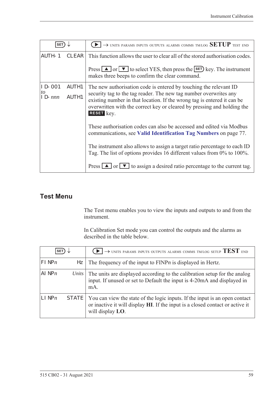| <b>SET</b>    |              | $\rightarrow$ units params inputs outputs alarms comms tm/log $\operatorname{SETUP}$ test end                                                                                                                                         |
|---------------|--------------|---------------------------------------------------------------------------------------------------------------------------------------------------------------------------------------------------------------------------------------|
| AUTH-1        | <b>CLEAR</b> | This function allows the user to clear all of the stored authorisation codes.                                                                                                                                                         |
|               |              | Press $\Box$ or $\nabla$ to select YES, then press the <b>SET</b> ) key. The instrument<br>makes three beeps to confirm the clear command.                                                                                            |
| $ID-OO1$      | AUTH1        | The new authorisation code is entered by touching the relevant ID                                                                                                                                                                     |
| to<br>$D-nnn$ | AUTH1        | security tag to the tag reader. The new tag number overwrites any<br>existing number in that location. If the wrong tag is entered it can be<br>overwritten with the correct key or cleared by pressing and holding the<br>RESET key. |
|               |              | These authorisation codes can also be accessed and edited via Modbus<br>communications, see Valid Identification Tag Numbers on page 77.                                                                                              |
|               |              | The instrument also allows to assign a target ratio percentage to each ID<br>Tag. The list of options provides 16 different values from 0% to 100%.                                                                                   |
|               |              | Press $\Box$ or $\nabla$ to assign a desired ratio percentage to the current tag.                                                                                                                                                     |

### **Test Menu**

The Test menu enables you to view the inputs and outputs to and from the instrument.

In Calibration Set mode you can control the outputs and the alarms as described in the table below.

| <b>SET</b>        |       | $\rightarrow$ units params inputs outputs alarms comms tm/log setup TEST end                                                                                                             |
|-------------------|-------|------------------------------------------------------------------------------------------------------------------------------------------------------------------------------------------|
| F1 NPn            | Hz I  | The frequency of the input to $FINPn$ is displayed in Hertz.                                                                                                                             |
| AI $N\mathsf{P}n$ | Units | The units are displayed according to the calibration setup for the analog<br>input. If unused or set to Default the input is 4-20mA and displayed in<br>mA.                              |
| LI NPn            |       | STATE   You can view the state of the logic inputs. If the input is an open contact<br>or inactive it will display HI. If the input is a closed contact or active it<br>will display LO. |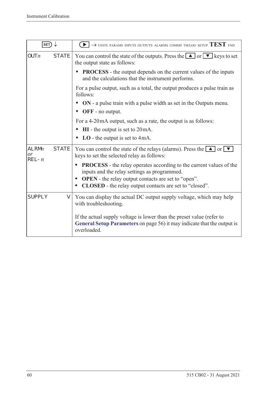| SET)                            |              | $\rightarrow$ units params inputs outputs alarms comms tm/log setup $\mathrm{TEST}$ end<br>$\blacktriangleright$ 1                                                     |
|---------------------------------|--------------|------------------------------------------------------------------------------------------------------------------------------------------------------------------------|
| OUTn                            | <b>STATE</b> | You can control the state of the outputs. Press the $\Box$ or $\nabla$ keys to set<br>the output state as follows:                                                     |
|                                 |              | <b>PROCESS</b> - the output depends on the current values of the inputs<br>and the calculations that the instrument performs.                                          |
|                                 |              | For a pulse output, such as a total, the output produces a pulse train as<br>follows:                                                                                  |
|                                 |              | ON - a pulse train with a pulse width as set in the Outputs menu.<br>OFF - no output.                                                                                  |
|                                 |              | For a 4-20 mA output, such as a rate, the output is as follows:                                                                                                        |
|                                 |              | $HI$ - the output is set to $20mA$ .                                                                                                                                   |
|                                 |              | LO - the output is set to $4mA$ .                                                                                                                                      |
| <b>ALRMn</b><br>or<br>$REL - n$ | <b>STATE</b> | You can control the state of the relays (alarms). Press the $\Box$ or $\neg$<br>keys to set the selected relay as follows:                                             |
|                                 |              | <b>PROCESS</b> - the relay operates according to the current values of the<br>inputs and the relay settings as programmed.                                             |
|                                 |              | <b>OPEN</b> - the relay output contacts are set to "open".<br>$\bullet$                                                                                                |
|                                 |              | CLOSED - the relay output contacts are set to "closed".                                                                                                                |
| <b>SUPPLY</b>                   | V            | You can display the actual DC output supply voltage, which may help<br>with troubleshooting.                                                                           |
|                                 |              | If the actual supply voltage is lower than the preset value (refer to<br><b>General Setup Parameters</b> on page 56) it may indicate that the output is<br>overloaded. |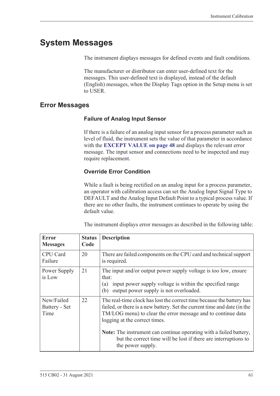# **System Messages**

The instrument displays messages for defined events and fault conditions.

The manufacturer or distributor can enter user-defined text for the messages. This user-defined text is displayed, instead of the default (English) messages, when the Display Tags option in the Setup menu is set to USER.

### <span id="page-70-0"></span>**Error Messages**

### **Failure of Analog Input Sensor**

If there is a failure of an analog input sensor for a process parameter such as level of fluid, the instrument sets the value of that parameter in accordance with the **[EXCEPT VALUE on page 48](#page-57-0)** and displays the relevant error message. The input sensor and connections need to be inspected and may require replacement.

### **Override Error Condition**

While a fault is being rectified on an analog input for a process parameter, an operator with calibration access can set the Analog Input Signal Type to DEFAULT and the Analog Input Default Point to a typical process value. If there are no other faults, the instrument continues to operate by using the default value.

| The instrument displays error messages as described in the following table: |  |
|-----------------------------------------------------------------------------|--|
|-----------------------------------------------------------------------------|--|

| <b>Error</b><br><b>Messages</b>     | <b>Status</b><br>Code | <b>Description</b>                                                                                                                                                                                                                                                                                                                                                                                               |
|-------------------------------------|-----------------------|------------------------------------------------------------------------------------------------------------------------------------------------------------------------------------------------------------------------------------------------------------------------------------------------------------------------------------------------------------------------------------------------------------------|
| CPU Card<br>Failure                 | 20                    | There are failed components on the CPU card and technical support<br>is required.                                                                                                                                                                                                                                                                                                                                |
| Power Supply<br>is Low              | 21                    | The input and/or output power supply voltage is too low, ensure<br>that:<br>input power supply voltage is within the specified range<br>(a)<br>output power supply is not overloaded.<br>(b)                                                                                                                                                                                                                     |
| New/Failed<br>Battery - Set<br>Time | 22                    | The real-time clock has lost the correct time because the battery has<br>failed, or there is a new battery. Set the current time and date (in the<br>TM/LOG menu) to clear the error message and to continue data<br>logging at the correct times.<br>Note: The instrument can continue operating with a failed battery,<br>but the correct time will be lost if there are interruptions to<br>the power supply. |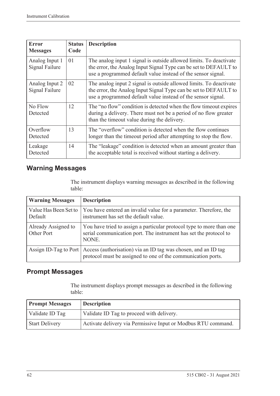| <b>Error</b><br><b>Messages</b>  | <b>Status</b><br>Code | <b>Description</b>                                                                                                                                                                                     |
|----------------------------------|-----------------------|--------------------------------------------------------------------------------------------------------------------------------------------------------------------------------------------------------|
| Analog Input 1<br>Signal Failure | 01                    | The analog input 1 signal is outside allowed limits. To deactivate<br>the error, the Analog Input Signal Type can be set to DEFAULT to<br>use a programmed default value instead of the sensor signal. |
| Analog Input 2<br>Signal Failure | 02                    | The analog input 2 signal is outside allowed limits. To deactivate<br>the error, the Analog Input Signal Type can be set to DEFAULT to<br>use a programmed default value instead of the sensor signal. |
| No Flow<br>Detected              | 12                    | The "no flow" condition is detected when the flow time out expires<br>during a delivery. There must not be a period of no flow greater<br>than the timeout value during the delivery.                  |
| Overflow<br>Detected             | 13                    | The "overflow" condition is detected when the flow continues<br>longer than the timeout period after attempting to stop the flow.                                                                      |
| Leakage<br>Detected              | 14                    | The "leakage" condition is detected when an amount greater than<br>the acceptable total is received without starting a delivery.                                                                       |

# **Warning Messages**

The instrument displays warning messages as described in the following table:

| <b>Warning Messages</b>           | <b>Description</b>                                                                                                                                     |
|-----------------------------------|--------------------------------------------------------------------------------------------------------------------------------------------------------|
| Value Has Been Set to<br>Default  | You have entered an invalid value for a parameter. Therefore, the<br>instrument has set the default value.                                             |
| Already Assigned to<br>Other Port | You have tried to assign a particular protocol type to more than one<br>serial communication port. The instrument has set the protocol to<br>NONE.     |
|                                   | Assign ID-Tag to Port   Access (authorisation) via an ID tag was chosen, and an ID tag<br>protocol must be assigned to one of the communication ports. |

# **Prompt Messages**

The instrument displays prompt messages as described in the following table:

| <b>Prompt Messages</b> | <b>Description</b>                                            |
|------------------------|---------------------------------------------------------------|
| Validate ID Tag        | Validate ID Tag to proceed with delivery.                     |
| <b>Start Delivery</b>  | Activate delivery via Permissive Input or Modbus RTU command. |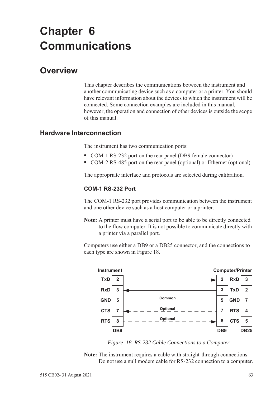# **Chapter 6 Communications**

# **Overview**

<span id="page-72-2"></span>This chapter describes the communications between the instrument and another communicating device such as a computer or a printer. You should have relevant information about the devices to which the instrument will be connected. Some connection examples are included in this manual, however, the operation and connection of other devices is outside the scope of this manual.

# **Hardware Interconnection**

<span id="page-72-3"></span>The instrument has two communication ports:

- **•** COM-1 RS-232 port on the rear panel (DB9 female connector)
- **•** COM-2 RS-485 port on the rear panel (optional) or Ethernet (optional)

The appropriate interface and protocols are selected during calibration.

# <span id="page-72-1"></span>**COM-1 RS-232 Port**

The COM-1 RS-232 port provides communication between the instrument and one other device such as a host computer or a printer.

**Note:** A printer must have a serial port to be able to be directly connected to the flow computer. It is not possible to communicate directly with a printer via a parallel port.

Computers use either a DB9 or a DB25 connector, and the connections to each type are shown in [Figure 18.](#page-72-0)



*Figure 18 RS-232 Cable Connections to a Computer*

<span id="page-72-0"></span>**Note:** The instrument requires a cable with straight-through connections. Do not use a null modem cable for RS-232 connection to a computer.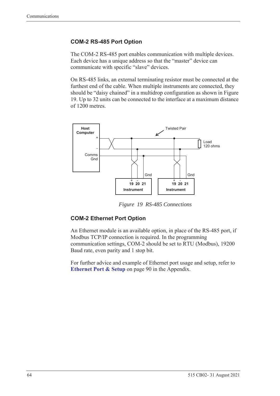#### <span id="page-73-1"></span>**COM-2 RS-485 Port Option**

The COM-2 RS-485 port enables communication with multiple devices. Each device has a unique address so that the "master" device can communicate with specific "slave" devices.

On RS-485 links, an external terminating resistor must be connected at the furthest end of the cable. When multiple instruments are connected, they should be "daisy chained" in a multidrop configuration as shown in [Figure](#page-73-0)  [19](#page-73-0). Up to 32 units can be connected to the interface at a maximum distance of 1200 metres.



<span id="page-73-2"></span>*Figure 19 RS-485 Connections*

# <span id="page-73-0"></span>**COM-2 Ethernet Port Option**

An Ethernet module is an available option, in place of the RS-485 port, if Modbus TCP/IP connection is required. In the programming communication settings, COM-2 should be set to RTU (Modbus), 19200 Baud rate, even parity and 1 stop bit.

For further advice and example of Ethernet port usage and setup, refer to **[Ethernet Port & Setup](#page-99-0)** on page 90 in the Appendix.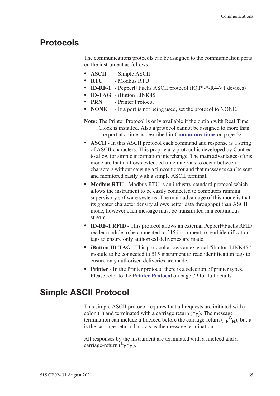# **Protocols**

<span id="page-74-1"></span>The communications protocols can be assigned to the communication ports on the instrument as follows:

- **• ASCII** Simple ASCII
- **• RTU** Modbus RTU
- **• ID-RF-1** Pepperl+Fuchs ASCII protocol (IQT\*-\*-R4-V1 devices)
- **• ID-TAG** iButton LINK45
- **• PRN** Printer Protocol
- **• NONE** If a port is not being used, set the protocol to NONE.
- **Note:** The Printer Protocol is only available if the option with Real Time Clock is installed. Also a protocol cannot be assigned to more than one port at a time as described in **[Communications](#page-61-0)** on page 52.
- **ASCII** In this ASCII protocol each command and response is a string of ASCII characters. This proprietary protocol is developed by Contrec to allow for simple information interchange. The main advantages of this mode are that it allows extended time intervals to occur between characters without causing a timeout error and that messages can be sent and monitored easily with a simple ASCII terminal.
- **• Modbus RTU** Modbus RTU is an industry-standard protocol which allows the instrument to be easily connected to computers running supervisory software systems. The main advantage of this mode is that its greater character density allows better data throughput than ASCII mode, however each message must be transmitted in a continuous stream.
- **• ID-RF-1 RFID**  This protocol allows an external Pepperl+Fuchs RFID reader module to be connected to 515 instrument to read identification tags to ensure only authorised deliveries are made.
- **iButton ID-TAG** This protocol allows an external "ibutton LINK45" module to be connected to 515 instrument to read identification tags to ensure only authorised deliveries are made.
- <span id="page-74-0"></span>**• Printer** - In the Printer protocol there is a selection of printer types. Please refer to the **[Printer Protocol](#page-88-0)** on page 79 for full details.

# **Simple ASCII Protocol**

This simple ASCII protocol requires that all requests are initiated with a colon (:) and terminated with a carriage return  $\binom{C_R}{R}$ . The message termination can include a linefeed before the carriage-return  $(\mathsf{L}_\mathsf{F}^\mathsf{C}_{\mathsf{R}})$ , but it is the carriage-return that acts as the message termination.

All responses by the instrument are terminated with a linefeed and a carriage-return  $\left({}^{\mathsf{L}}{}_{\mathsf{F}}\right)^{\mathsf{C}}$ <sub>F</sub> $\right)$ .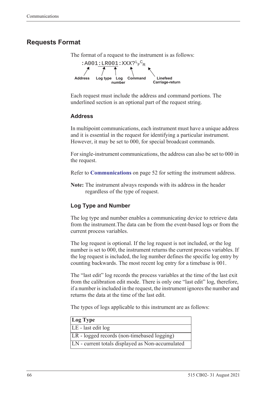# **Requests Format**

<span id="page-75-1"></span>The format of a request to the instrument is as follows:



Each request must include the address and command portions. The underlined section is an optional part of the request string.

#### <span id="page-75-0"></span>**Address**

In multipoint communications, each instrument must have a unique address and it is essential in the request for identifying a particular instrument. However, it may be set to 000, for special broadcast commands.

For single-instrument communications, the address can also be set to 000 in the request.

Refer to **[Communications](#page-61-0)** on page 52 for setting the instrument address.

**Note:** The instrument always responds with its address in the header regardless of the type of request.

# **Log Type and Number**

The log type and number enables a communicating device to retrieve data from the instrument.The data can be from the event-based logs or from the current process variables.

The log request is optional. If the log request is not included, or the log number is set to 000, the instrument returns the current process variables. If the log request is included, the log number defines the specific log entry by counting backwards. The most recent log entry for a timebase is 001.

The "last edit" log records the process variables at the time of the last exit from the calibration edit mode. There is only one "last edit" log, therefore, if a number is included in the request, the instrument ignores the number and returns the data at the time of the last edit.

The types of logs applicable to this instrument are as follows:

| Log Type                                         |
|--------------------------------------------------|
| LE - last edit log                               |
| LR - logged records (non-timebased logging)      |
| LN - current totals displayed as Non-accumulated |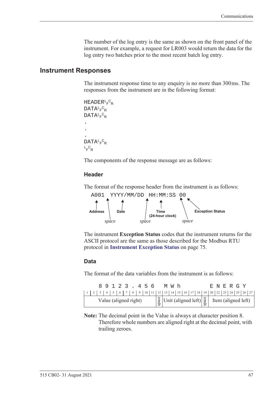The number of the log entry is the same as shown on the front panel of the instrument. For example, a request for LR003 would return the data for the log entry two batches prior to the most recent batch log entry.

#### **Instrument Responses**

<span id="page-76-1"></span>The instrument response time to any enquiry is no more than 300 ms. The responses from the instrument are in the following format:

```
HEADER<sup>L</sup>F<sup>C</sup>R
DATA<sup>L</sup>F<sup>C</sup>R
DATA<sup>L</sup>F<sup>C</sup>R
.
.
.
DATA<sup>L</sup>F<sup>C</sup>R
L_F^C<sub>R</sub>
```
The components of the response message are as follows:

#### **Header**

The format of the response header from the instrument is as follows:



<span id="page-76-0"></span>The instrument **Exception Status** codes that the instrument returns for the ASCII protocol are the same as those described for the Modbus RTU protocol in **[Instrument Exception Status](#page-84-0)** on page 75.

#### **Data**

The format of the data variables from the instrument is as follows:

|  |  |  | 89123.456             |  |  | MW h                                                                                                                                                          |  |  |  | ENER GY |  |  |                                                                                                                                                                                                                                                                                                                                                                          |
|--|--|--|-----------------------|--|--|---------------------------------------------------------------------------------------------------------------------------------------------------------------|--|--|--|---------|--|--|--------------------------------------------------------------------------------------------------------------------------------------------------------------------------------------------------------------------------------------------------------------------------------------------------------------------------------------------------------------------------|
|  |  |  |                       |  |  |                                                                                                                                                               |  |  |  |         |  |  | $1 \mid 2 \mid 3 \mid 4 \mid 5 \mid 6 \mid 7 \mid 8 \mid 9 \mid 10 \mid 11 \mid 12 \mid 13 \mid 14 \mid 15 \mid 16 \mid 17 \mid 18 \mid 19 \mid 20 \mid 22 \mid 23 \mid 24 \mid 25 \mid 26 \mid 27 \mid 28 \mid 29 \mid 20 \mid 20 \mid 21 \mid 23 \mid 24 \mid 25 \mid 26 \mid 27 \mid 28 \mid 29 \mid 20 \mid 20 \mid 21 \mid 23 \mid 24 \mid 25 \mid 26 \mid 27 \mid$ |
|  |  |  | Value (aligned right) |  |  | $\begin{bmatrix} \frac{9}{8} \\ \frac{6}{8} \end{bmatrix}$ Unit (aligned left) $\begin{bmatrix} \frac{9}{8} \\ \frac{6}{8} \end{bmatrix}$ Item (aligned left) |  |  |  |         |  |  |                                                                                                                                                                                                                                                                                                                                                                          |

**Note:** The decimal point in the Value is always at character position 8. Therefore whole numbers are aligned right at the decimal point, with trailing zeroes.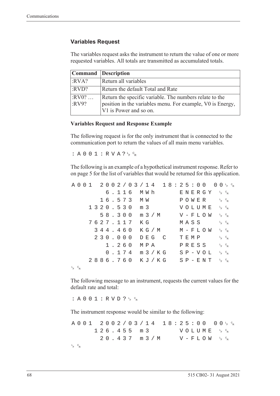#### **Variables Request**

The variables request asks the instrument to return the value of one or more requested variables. All totals are transmitted as accumulated totals.

|                  | <b>Command</b> Description                                                                                                                      |
|------------------|-------------------------------------------------------------------------------------------------------------------------------------------------|
| :RVA?            | Return all variables                                                                                                                            |
| :RVD?            | Return the default Total and Rate                                                                                                               |
| $:RV0?$<br>:RV9? | Return the specific variable. The numbers relate to the<br>position in the variables menu. For example, V0 is Energy,<br>V1 is Power and so on. |

#### **Variables Request and Response Example**

The following request is for the only instrument that is connected to the communication port to return the values of all main menu variables.

:  $A 0 0 1 : R V A ? \frac{C}{F} C_R$ 

The following is an example of a hypothetical instrument response. Refer to on page 5 for the list of variables that would be returned for this application.

|             |  |  |  |          |  |              |  |                  | $A\ 0\ 0\ 1\ 2\ 0\ 0\ 2\ / \ 0\ 3\ / \ 1\ 4\ 1\ 8\ :\ 2\ 5\ : \ 0\ 0\ 0\ 0\ _\mathsf{F}\ ^\mathrm{c}_\mathsf{R}$ |  |         |  |                                    |  |                 |  |
|-------------|--|--|--|----------|--|--------------|--|------------------|------------------------------------------------------------------------------------------------------------------|--|---------|--|------------------------------------|--|-----------------|--|
|             |  |  |  |          |  |              |  |                  | 6.116 MWh $ENERGY$ $\vdash$ ${}^C_R$                                                                             |  |         |  |                                    |  |                 |  |
|             |  |  |  |          |  | 16.573 MW    |  |                  |                                                                                                                  |  |         |  | POWER                              |  | $L_F$ $C_R$     |  |
|             |  |  |  |          |  | 1320.530 m 3 |  |                  |                                                                                                                  |  |         |  | VOLUME <sup>L</sup> <sup>C</sup> R |  |                 |  |
|             |  |  |  |          |  |              |  |                  | 58.300 m 3 / M V - F L O W 'F <sup>C</sup> R                                                                     |  |         |  |                                    |  |                 |  |
|             |  |  |  | 7627.117 |  | КG           |  |                  |                                                                                                                  |  | MASS    |  |                                    |  | $L_F$ $C_R$     |  |
|             |  |  |  | 344.460  |  |              |  | K G / M          |                                                                                                                  |  |         |  | M – F L O W                        |  | $L_{F}$ $C_{R}$ |  |
|             |  |  |  | 230.000  |  |              |  | D E G C          |                                                                                                                  |  | T E M P |  |                                    |  | $L_F$ $C_R$     |  |
|             |  |  |  | 1.260    |  | МРА          |  |                  |                                                                                                                  |  |         |  | PRESS                              |  | $L_F$ $C_R$     |  |
|             |  |  |  |          |  |              |  | $0.174$ m $3/KG$ |                                                                                                                  |  |         |  | $S P - V O L$                      |  | $L_{F}$ $C_{R}$ |  |
|             |  |  |  |          |  |              |  | 2886.760 KJ/KG   |                                                                                                                  |  |         |  | $S$ $P$ – $E$ $N$ $T$              |  | $L_{F}$ $C_{R}$ |  |
| $L_F$ $C_R$ |  |  |  |          |  |              |  |                  |                                                                                                                  |  |         |  |                                    |  |                 |  |

The following message to an instrument, requests the current values for the default rate and total:

: A 0 0 1 : R V D ?  $L_F$   $C_R$ 

The instrument response would be similar to the following:

A001 2002/03/14 18:25:00  $F$   $\circ$ <sub>R</sub>  $126.455 m3$ <sup>F</sup> <sup>C</sup> R  $20.437$  m  $3/M$  $F$   $\circ$ <sub>R</sub> L <sup>F</sup> <sup>C</sup> R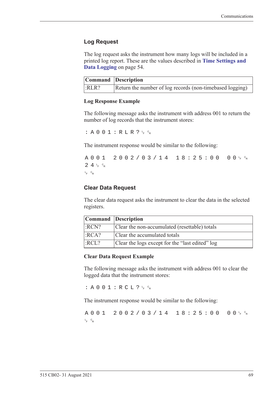#### **Log Request**

The log request asks the instrument how many logs will be included in a printed log report. These are the values described in **[Time Settings and](#page-63-0)  [Data Logging](#page-63-0)** on page 54.

|      | Command Description                                      |
|------|----------------------------------------------------------|
| RLR? | Return the number of log records (non-timebased logging) |

#### **Log Response Example**

The following message asks the instrument with address 001 to return the number of log records that the instrument stores:

: A 0 0 1 : R L R ?  $L_F$   $C_R$ 

The instrument response would be similar to the following:

A001 2002/03/14 18:25:00  $F$   $C_R$  $24r$ <sub>F</sub>  $c$ <sub>R</sub> L <sup>F</sup> <sup>C</sup> R

#### **Clear Data Request**

The clear data request asks the instrument to clear the data in the selected registers.

| Command Description  |                                                 |
|----------------------|-------------------------------------------------|
| $\mathop{\rm ECCN?}$ | Clear the non-accumulated (resettable) totals   |
| :RCA?                | Clear the accumulated totals                    |
| :RCL?                | Clear the logs except for the "last edited" log |

#### **Clear Data Request Example**

The following message asks the instrument with address 001 to clear the logged data that the instrument stores:

: A 0 0 1 : R C L ?  $L_F$   $c_R$ 

The instrument response would be similar to the following:

 $A001 2002/03/14 18:25:00$  $F$   $C_R$ L <sup>F</sup> <sup>C</sup> R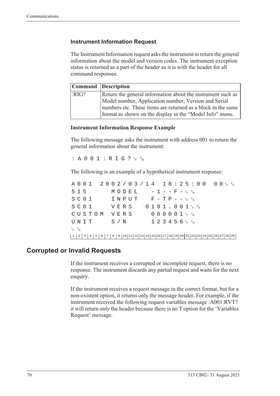#### <span id="page-79-0"></span>**Instrument Information Request**

The Instrument Information request asks the instrument to return the general information about the model and version codes. The instrument exception status is returned as a part of the header as it is with the header for all command responses.

|      | Command Description                                          |
|------|--------------------------------------------------------------|
| RIG? | Return the general information about the instrument such as  |
|      | Model number, Application number, Version and Serial         |
|      | numbers etc. These items are returned as a block in the same |
|      | format as shown on the display in the "Model Info" menu.     |

#### **Instrument Information Response Example**

The following message asks the instrument with address 001 to return the general information about the instrument:

 $: A 0 0 1 : R I G ? \nvert F \nvert R$ 

The following is an example of a hypothetical instrument response:

|                 |             |  |  |  |      |  |  |  |                                                      |  |  |  |  |  | A001 2002/03/14 18:25:00 004 GR                                                                                                                                                                                                                                                                                                                                          |
|-----------------|-------------|--|--|--|------|--|--|--|------------------------------------------------------|--|--|--|--|--|--------------------------------------------------------------------------------------------------------------------------------------------------------------------------------------------------------------------------------------------------------------------------------------------------------------------------------------------------------------------------|
|                 | 5 1 5       |  |  |  |      |  |  |  | $M$ O D E L $-1 - - F - {F - F}$                     |  |  |  |  |  |                                                                                                                                                                                                                                                                                                                                                                          |
|                 |             |  |  |  |      |  |  |  | $SCO1$ INPUT $F - TP - - \frac{C}{r}C_R$             |  |  |  |  |  |                                                                                                                                                                                                                                                                                                                                                                          |
|                 | $S$ C $0$ 1 |  |  |  | VERS |  |  |  | 0101.0014 $\varsigma_{\scriptscriptstyle{\text{R}}}$ |  |  |  |  |  |                                                                                                                                                                                                                                                                                                                                                                          |
|                 | CUSTOM VERS |  |  |  |      |  |  |  | 000001 <sup>L</sup>                                  |  |  |  |  |  |                                                                                                                                                                                                                                                                                                                                                                          |
|                 | UNIT        |  |  |  |      |  |  |  | $S/N$ 123456 <sup>L</sup> R                          |  |  |  |  |  |                                                                                                                                                                                                                                                                                                                                                                          |
| $L_{F}$ $C_{R}$ |             |  |  |  |      |  |  |  |                                                      |  |  |  |  |  |                                                                                                                                                                                                                                                                                                                                                                          |
|                 |             |  |  |  |      |  |  |  |                                                      |  |  |  |  |  | $1 \mid 2 \mid 3 \mid 4 \mid 5 \mid 6 \mid 7 \mid 8 \mid 9 \mid 10 \mid 11 \mid 12 \mid 13 \mid 14 \mid 15 \mid 16 \mid 17 \mid 18 \mid 19 \mid 20 \mid 21 \mid 22 \mid 23 \mid 24 \mid 25 \mid 26 \mid 27 \mid 28 \mid 29 \mid 29 \mid 20 \mid 21 \mid 23 \mid 24 \mid 25 \mid 26 \mid 27 \mid 28 \mid 29 \mid 29 \mid 20 \mid 21 \mid 22 \mid 23 \mid 24 \mid 25 \mid$ |

# **Corrupted or Invalid Requests**

If the instrument receives a corrupted or incomplete request, there is no response. The instrument discards any partial request and waits for the next enquiry.

If the instrument receives a request message in the correct format, but for a non-existent option, it returns only the message header. For example, if the instrument received the following request variables message :A001:RVT? it will return only the header because there is no T option for the 'Variables Request' message.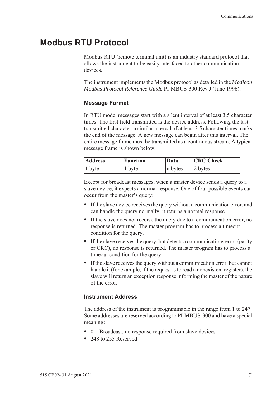# **Modbus RTU Protocol**

<span id="page-80-0"></span>Modbus RTU (remote terminal unit) is an industry standard protocol that allows the instrument to be easily interfaced to other communication devices.

The instrument implements the Modbus protocol as detailed in the *Modicon Modbus Protocol Reference Guide* PI-MBUS-300 Rev J (June 1996).

#### **Message Format**

In RTU mode, messages start with a silent interval of at least 3.5 character times. The first field transmitted is the device address. Following the last transmitted character, a similar interval of at least 3.5 character times marks the end of the message. A new message can begin after this interval. The entire message frame must be transmitted as a continuous stream. A typical message frame is shown below:

| <b>Address</b> | <b>Function</b> | Data    | <b>CRC</b> Check |  |  |  |  |  |
|----------------|-----------------|---------|------------------|--|--|--|--|--|
| $ 1$ byte      | 1 byte          | n bytes | 2 bytes          |  |  |  |  |  |

Except for broadcast messages, when a master device sends a query to a slave device, it expects a normal response. One of four possible events can occur from the master's query:

- **•** If the slave device receives the query without a communication error, and can handle the query normally, it returns a normal response.
- **•** If the slave does not receive the query due to a communication error, no response is returned. The master program has to process a timeout condition for the query.
- **•** If the slave receives the query, but detects a communications error (parity or CRC), no response is returned. The master program has to process a timeout condition for the query.
- **•** If the slave receives the query without a communication error, but cannot handle it (for example, if the request is to read a nonexistent register), the slave will return an exception response informing the master of the nature of the error.

#### **Instrument Address**

The address of the instrument is programmable in the range from 1 to 247. Some addresses are reserved according to PI-MBUS-300 and have a special meaning:

- 0 = Broadcast, no response required from slave devices
- **•** 248 to 255 Reserved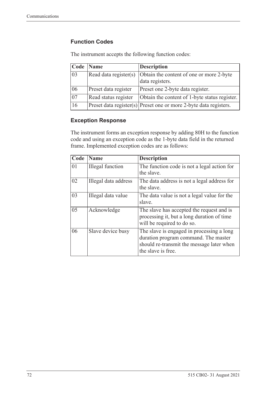# **Function Codes**

| Code            | <b>Name</b>           | <b>Description</b>                                                    |
|-----------------|-----------------------|-----------------------------------------------------------------------|
| 03              | Read data register(s) | Obtain the content of one or more 2-byte<br>data registers.           |
| 06              | Preset data register  | Preset one 2-byte data register.                                      |
| $\overline{07}$ | Read status register  | Obtain the content of 1-byte status register.                         |
| 16              |                       | $ $ Preset data register(s) Preset one or more 2-byte data registers. |

The instrument accepts the following function codes:

#### **Exception Response**

The instrument forms an exception response by adding 80H to the function code and using an exception code as the 1-byte data field in the returned frame. Implemented exception codes are as follows:

| Code | <b>Name</b>             | <b>Description</b>                                                                                                                                   |
|------|-------------------------|------------------------------------------------------------------------------------------------------------------------------------------------------|
| 01   | <b>Illegal</b> function | The function code is not a legal action for<br>the slave.                                                                                            |
| 02   | Illegal data address    | The data address is not a legal address for<br>the slave.                                                                                            |
| 03   | Illegal data value      | The data value is not a legal value for the<br>slave.                                                                                                |
| 05   | Acknowledge             | The slave has accepted the request and is<br>processing it, but a long duration of time<br>will be required to do so.                                |
| 06   | Slave device busy       | The slave is engaged in processing a long<br>duration program command. The master<br>should re-transmit the message later when<br>the slave is free. |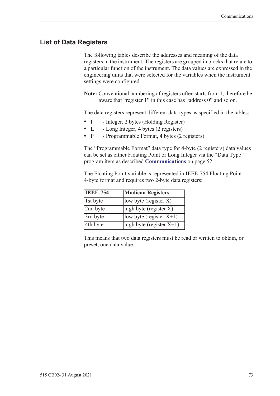# **List of Data Registers**

The following tables describe the addresses and meaning of the data registers in the instrument. The registers are grouped in blocks that relate to a particular function of the instrument. The data values are expressed in the engineering units that were selected for the variables when the instrument settings were configured.

**Note:** Conventional numbering of registers often starts from 1, therefore be aware that "register 1" in this case has "address 0" and so on.

The data registers represent different data types as specified in the tables:

- I Integer, 2 bytes (Holding Register)
- L Long Integer, 4 bytes (2 registers)
- P Programmable Format, 4 bytes (2 registers)

The "Programmable Format" data type for 4-byte (2 registers) data values can be set as either Floating Point or Long Integer via the "Data Type" program item as described **[Communications](#page-61-0)** on page 52.

The Floating Point variable is represented in IEEE-754 Floating Point 4-byte format and requires two 2-byte data registers:

| <b>IEEE-754</b> | <b>Modicon Registers</b>                       |
|-----------------|------------------------------------------------|
| 1st byte        | low byte (register $X$ )                       |
| 2nd byte        | $\left  \text{high byte (register X)} \right $ |
| 3rd byte        | low byte (register $X+1$ )                     |
| 4th byte        | high byte (register $X+1$ )                    |

This means that two data registers must be read or written to obtain, or preset, one data value.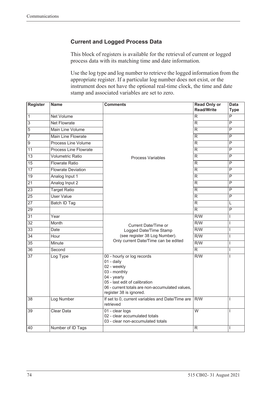# **Current and Logged Process Data**

This block of registers is available for the retrieval of current or logged process data with its matching time and date information.

Use the log type and log number to retrieve the logged information from the appropriate register. If a particular log number does not exist, or the instrument does not have the optional real-time clock, the time and date stamp and associated variables are set to zero.

| <b>Register</b> | <b>Name</b>                  | <b>Comments</b>                                                                                                                                                                                         | <b>Read Only or</b><br><b>Read/Write</b> | <b>Data</b><br><b>Type</b> |
|-----------------|------------------------------|---------------------------------------------------------------------------------------------------------------------------------------------------------------------------------------------------------|------------------------------------------|----------------------------|
| $\overline{1}$  | <b>Net Volume</b>            |                                                                                                                                                                                                         | R.                                       | $\overline{\mathsf{P}}$    |
| $\overline{3}$  | <b>Net Flowrate</b>          |                                                                                                                                                                                                         | R.                                       | P                          |
| $\overline{5}$  | Main Line Volume             |                                                                                                                                                                                                         | R.                                       | P                          |
| 7               | <b>Main Line Flowrate</b>    |                                                                                                                                                                                                         | $\mathsf R$                              | $\overline{P}$             |
| $\overline{9}$  | Process Line Volume          |                                                                                                                                                                                                         | R                                        | $\overline{P}$             |
| $\overline{11}$ | <b>Process Line Flowrate</b> |                                                                                                                                                                                                         | R.                                       | P                          |
| $\overline{13}$ | <b>Volumetric Ratio</b>      | <b>Process Variables</b>                                                                                                                                                                                | $\overline{\mathsf{R}}$                  | $\overline{\mathsf{P}}$    |
| 15              | <b>Flowrate Ratio</b>        |                                                                                                                                                                                                         | R                                        | $\overline{\mathsf{P}}$    |
| $\overline{17}$ | <b>Flowrate Deviation</b>    |                                                                                                                                                                                                         | R.                                       | $\overline{P}$             |
| $\overline{19}$ | Analog Input 1               |                                                                                                                                                                                                         | $\overline{R}$                           | $\overline{P}$             |
| $\overline{21}$ | Analog Input 2               |                                                                                                                                                                                                         | $\overline{\mathsf{R}}$                  | $\overline{P}$             |
| $\overline{23}$ | <b>Target Ratio</b>          |                                                                                                                                                                                                         | R.                                       | P                          |
| 25              | <b>User Value</b>            |                                                                                                                                                                                                         | R.                                       | $\overline{\mathsf{P}}$    |
| $\overline{27}$ | Batch ID Tag                 |                                                                                                                                                                                                         | R                                        | L                          |
| 29              |                              |                                                                                                                                                                                                         | R.                                       | $\mathsf{P}$               |
| $\overline{31}$ | Year                         |                                                                                                                                                                                                         | R/W                                      | $\overline{1}$             |
| $\overline{32}$ | <b>Month</b>                 | Current Date/Time or                                                                                                                                                                                    | $\overline{R/W}$                         | I                          |
| $\overline{33}$ | Date                         | Logged Date/Time Stamp                                                                                                                                                                                  | R/W                                      | I                          |
| $\overline{34}$ | Hour                         | (see register 38 Log Number).                                                                                                                                                                           | R/W                                      | $\overline{\phantom{a}}$   |
| $\overline{35}$ | Minute                       | Only current Date/Time can be edited                                                                                                                                                                    | R/W                                      | $\overline{\phantom{a}}$   |
| $\overline{36}$ | Second                       |                                                                                                                                                                                                         | R                                        | $\overline{\phantom{a}}$   |
| $\overline{37}$ | Log Type                     | 00 - hourly or log records<br>$01 -$ daily<br>02 - weekly<br>03 - monthly<br>04 - yearly<br>05 - last edit of calibration<br>06 - current totals are non-accumulated values,<br>register 38 is ignored. | R/W                                      | $\overline{\phantom{a}}$   |
| 38              | Log Number                   | If set to 0, current variables and Date/Time are<br>retrieved                                                                                                                                           | R/W                                      | $\overline{1}$             |
| 39              | <b>Clear Data</b>            | 01 - clear logs<br>02 - clear accumulated totals<br>03 - clear non-accumulated totals                                                                                                                   | W                                        | ı                          |
| 40              | Number of ID Tags            |                                                                                                                                                                                                         | R                                        | T                          |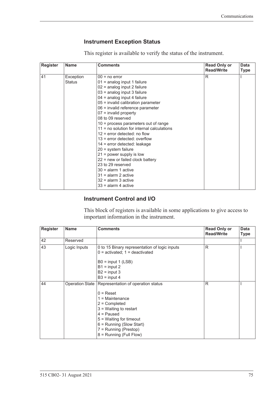# <span id="page-84-1"></span><span id="page-84-0"></span>**Instrument Exception Status**

This register is available to verify the status of the instrument.

| <b>Register</b> | <b>Name</b>   | <b>Comments</b>                            | <b>Read Only or</b><br><b>Read/Write</b> | <b>Data</b><br><b>Type</b> |
|-----------------|---------------|--------------------------------------------|------------------------------------------|----------------------------|
| 41              | Exception     | $00 = no error$                            | R                                        |                            |
|                 | <b>Status</b> | $01$ = analog input 1 failure              |                                          |                            |
|                 |               | 02 = analog input 2 failure                |                                          |                            |
|                 |               | 03 = analog input 3 failure                |                                          |                            |
|                 |               | 04 = analog input 4 failure                |                                          |                            |
|                 |               | 05 = invalid calibration parameter         |                                          |                            |
|                 |               | 06 = invalid reference parameter           |                                          |                            |
|                 |               | $07$ = invalid property                    |                                          |                            |
|                 |               | 08 to 09 reserved                          |                                          |                            |
|                 |               | $10$ = process parameters out of range     |                                          |                            |
|                 |               | 11 = no solution for internal calculations |                                          |                            |
|                 |               | $12$ = error detected: no flow             |                                          |                            |
|                 |               | $13$ = error detected: overflow            |                                          |                            |
|                 |               | $14$ = error detected: leakage             |                                          |                            |
|                 |               | $20 =$ system failure                      |                                          |                            |
|                 |               | $21$ = power supply is low                 |                                          |                            |
|                 |               | $22$ = new or failed clock battery         |                                          |                            |
|                 |               | 23 to 29 reserved                          |                                          |                            |
|                 |               | $30 =$ alarm 1 active                      |                                          |                            |
|                 |               | $31$ = alarm 2 active                      |                                          |                            |
|                 |               | $32$ = alarm 3 active                      |                                          |                            |
|                 |               | $33$ = alarm 4 active                      |                                          |                            |

#### **Instrument Control and I/O**

This block of registers is available in some applications to give access to important information in the instrument.

| <b>Register</b> | <b>Name</b>  | <b>Comments</b>                                                                                                                                                                                                                                                    | <b>Read Only or</b><br><b>Read/Write</b> | <b>Data</b><br><b>Type</b> |
|-----------------|--------------|--------------------------------------------------------------------------------------------------------------------------------------------------------------------------------------------------------------------------------------------------------------------|------------------------------------------|----------------------------|
| 42              | Reserved     |                                                                                                                                                                                                                                                                    |                                          |                            |
| 43              | Logic Inputs | 0 to 15 Binary representation of logic inputs<br>$0 =$ activated; $1 =$ deactivated<br>$B0 = input 1 (LSB)$<br>$B1 = input 2$<br>$B2 = input 3$<br>$B3 = input 4$                                                                                                  | R                                        |                            |
| 44              |              | Operation State   Representation of operation status<br>$0 =$ Reset<br>1 = Maintenance<br>$2 =$ Completed<br>$3$ = Waiting to restart<br>$4 =$ Paused<br>5 = Waiting for timeout<br>$6$ = Running (Slow Start)<br>7 = Running (Prestop)<br>8 = Running (Full Flow) | R                                        |                            |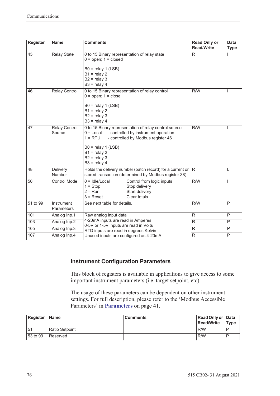| <b>Register</b> | <b>Name</b>                     | <b>Comments</b>                                                                                                                                                                                                                               | <b>Read Only or</b><br><b>Read/Write</b> | <b>Data</b><br><b>Type</b> |
|-----------------|---------------------------------|-----------------------------------------------------------------------------------------------------------------------------------------------------------------------------------------------------------------------------------------------|------------------------------------------|----------------------------|
| 45              | <b>Relay State</b>              | 0 to 15 Binary representation of relay state<br>$0 =$ open; $1 =$ closed<br>$B0 =$ relay 1 (LSB)<br>$B1$ = relay 2<br>$B2 =$ relay 3<br>$B3 =$ relay 4                                                                                        | R                                        |                            |
| 46              | <b>Relay Control</b>            | 0 to 15 Binary representation of relay control<br>$0 =$ open; $1 =$ close<br>$B0 =$ relay 1 (LSB)<br>$B1 =$ relay 2<br>$B2 =$ relay 3<br>$B3 =$ relay 4                                                                                       | R/W                                      |                            |
| 47              | <b>Relay Control</b><br>Source  | 0 to 15 Binary representation of relay control source<br>- controlled by instrument operation<br>$0 =$ Local<br>$1 = RTU$<br>- controlled by Modbus register 46<br>$B0 =$ relay 1 (LSB)<br>$B1 =$ relay 2<br>$B2 =$ relay 3<br>$B3 =$ relay 4 | R/W                                      | ı                          |
| 48              | Delivery<br>Number              | Holds the delivery number (batch record) for a current or $ R$<br>stored transaction (determined by Modbus register 38)                                                                                                                       |                                          | L                          |
| 50              | <b>Control Mode</b>             | $0 =$ Idle/Local<br>Control from logic inputs<br>$1 = Stop$<br>Stop delivery<br>$2 = Run$<br>Start delivery<br>Clear totals<br>$3 =$ Reset                                                                                                    | R/W                                      | ı                          |
| 51 to 99        | Instrument<br><b>Parameters</b> | See next table for details.                                                                                                                                                                                                                   | R/W                                      | P                          |
| 101             | Analog Inp.1                    | Raw analog input data                                                                                                                                                                                                                         | R                                        | P                          |
| 103             | Analog Inp.2                    | 4-20mA inputs are read in Amperes<br>0-5V or 1-5V inputs are read in Volts                                                                                                                                                                    | R                                        | P                          |
| 105             | Analog Inp.3                    | RTD inputs are read in degrees Kelvin                                                                                                                                                                                                         | $\overline{R}$                           | $\overline{P}$             |
| 107             | Analog Inp.4                    | Unused inputs are configured as 4-20mA                                                                                                                                                                                                        | $\mathsf{R}$                             | $\overline{P}$             |

# **Instrument Configuration Parameters**

This block of registers is available in applications to give access to some important instrument parameters (i.e. target setpoint, etc).

The usage of these parameters can be dependent on other instrument settings. For full description, please refer to the 'Modbus Accessible Parameters' in **[Parameters](#page-50-0)** on page 41.

| Register   Name |                | Comments | Read Only or Data<br>Read/Write | $^{\dagger}$ Type |
|-----------------|----------------|----------|---------------------------------|-------------------|
| 51              | Ratio Setpoint |          | R/W                             |                   |
| 53 to 99        | Reserved       |          | R/W                             |                   |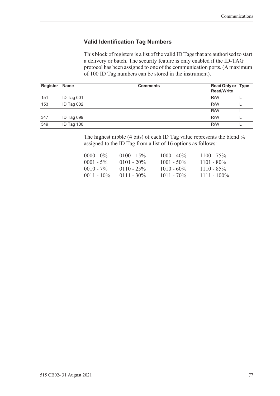# <span id="page-86-0"></span>**Valid Identification Tag Numbers**

This block of registers is a list of the valid ID Tags that are authorised to start a delivery or batch. The security feature is only enabled if the ID-TAG protocol has been assigned to one of the communication ports. (A maximum of 100 ID Tag numbers can be stored in the instrument).

| <b>Register</b> | <b>Name</b>       | <b>Comments</b> | Read Only or Type<br><b>Read/Write</b> |  |
|-----------------|-------------------|-----------------|----------------------------------------|--|
| 151             | <b>ID Tag 001</b> |                 | R/W                                    |  |
| 153             | ID Tag 002        |                 | R/W                                    |  |
| $\cdots$        | .                 |                 | R/W                                    |  |
| 347             | ID Tag 099        |                 | R/W                                    |  |
| 349             | ID Tag 100        |                 | R/W                                    |  |

The highest nibble (4 bits) of each ID Tag value represents the blend % assigned to the ID Tag from a list of 16 options as follows:

| $0000 - 0\%$  | $0100 - 15\%$ | $1000 - 40\%$ | $1100 - 75\%$  |
|---------------|---------------|---------------|----------------|
| $0001 - 5\%$  | $0101 - 20\%$ | $1001 - 50\%$ | $1101 - 80\%$  |
| $0010 - 7\%$  | $0110 - 25\%$ | $1010 - 60\%$ | $1110 - 85\%$  |
| $0011 - 10\%$ | $0111 - 30\%$ | $1011 - 70\%$ | $1111 - 100\%$ |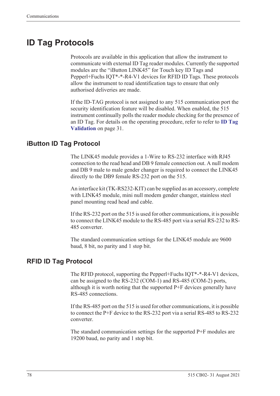# **ID Tag Protocols**

<span id="page-87-1"></span>Protocols are available in this application that allow the instrument to communicate with external ID Tag reader modules. Currently the supported modules are the "iButton LINK45" for Touch key ID Tags and Pepperl+Fuchs IQT\*-\*-R4-V1 devices for RFID ID Tags. These protocols allow the instrument to read identification tags to ensure that only authorised deliveries are made.

If the ID-TAG protocol is not assigned to any 515 communication port the security identification feature will be disabled. When enabled, the 515 instrument continually polls the reader module checking for the presence of an ID Tag. For details on the operating procedure, refer to refer to **[ID Tag](#page-40-0)  Validation** [on page 31.](#page-40-0)

# **iButton ID Tag Protocol**

<span id="page-87-0"></span>The LINK45 module provides a 1-Wire to RS-232 interface with RJ45 connection to the read head and DB 9 female connection out. A null modem and DB 9 male to male gender changer is required to connect the LINK45 directly to the DB9 female RS-232 port on the 515.

An interface kit (TK-RS232-KIT) can be supplied as an accessory, complete with LINK45 module, mini null modem gender changer, stainless steel panel mounting read head and cable.

If the RS-232 port on the 515 is used for other communications, it is possible to connect the LINK45 module to the RS-485 port via a serial RS-232 to RS-485 converter.

<span id="page-87-2"></span>The standard communication settings for the LINK45 module are 9600 baud, 8 bit, no parity and 1 stop bit.

# **RFID ID Tag Protocol**

The RFID protocol, supporting the Pepperl+Fuchs IQT\*-\*-R4-V1 devices, can be assigned to the RS-232 (COM-1) and RS-485 (COM-2) ports, although it is worth noting that the supported P+F devices generally have RS-485 connections.

If the RS-485 port on the 515 is used for other communications, it is possible to connect the P+F device to the RS-232 port via a serial RS-485 to RS-232 converter.

The standard communication settings for the supported P+F modules are 19200 baud, no parity and 1 stop bit.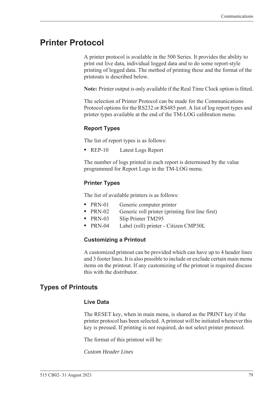# <span id="page-88-0"></span>**Printer Protocol**

<span id="page-88-2"></span>A printer protocol is available in the 500 Series. It provides the ability to print out live data, individual logged data and to do some report-style printing of logged data. The method of printing these and the format of the printouts is described below.

**Note:** Printer output is only available if the Real Time Clock option is fitted.

The selection of Printer Protocol can be made for the Communications Protocol options for the RS232 or RS485 port. A list of log report types and printer types available at the end of the TM-LOG calibration menu.

#### <span id="page-88-3"></span>**Report Types**

The list of report types is as follows:

**•** REP-10 Latest Logs Report

The number of logs printed in each report is determined by the value programmed for Report Logs in the TM-LOG menu.

#### <span id="page-88-4"></span>**Printer Types**

The list of available printers is as follows:

- PRN-01 Generic computer printer
- **•** PRN-02 Generic roll printer (printing first line first)
- **•** PRN-03 Slip Printer TM295
- **•** PRN-04 Label (roll) printer Citizen CMP30L

#### <span id="page-88-1"></span>**Customizing a Printout**

A customized printout can be provided which can have up to 4 header lines and 3 footer lines. It is also possible to include or exclude certain main menu items on the printout. If any customizing of the printout is required discuss this with the distributor.

# <span id="page-88-6"></span>**Types of Printouts**

#### <span id="page-88-5"></span>**Live Data**

The RESET key, when in main menu, is shared as the PRINT key if the printer protocol has been selected. A printout will be initiated whenever this key is pressed. If printing is not required, do not select printer protocol.

The format of this printout will be:

*Custom Header Lines*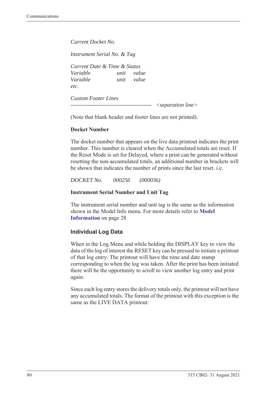*Current Docket No.* 

*Instrument Serial No. & Tag*

*Current Date & Time & Status Variable unit value Variable unit value etc.*

*Custom Footer Lines ------------------------------------------- <separation line>*

(Note that blank header and footer lines are not printed).

#### **Docket Number**

The docket number that appears on the live data printout indicates the print number. This number is cleared when the Accumulated totals are reset. If the Reset Mode is set for Delayed, where a print can be generated without resetting the non-accumulated totals, an additional number in brackets will be shown that indicates the number of prints since the last reset. i.e.

*DOCKET No. 000256 (000036)*

#### **Instrument Serial Number and Unit Tag**

The instrument serial number and unit tag is the same as the information shown in the Model Info menu. For more details refer to **[Model](#page-37-0)  [Information](#page-37-0)** on page 28

#### <span id="page-89-0"></span>**Individual Log Data**

When in the Log Menu and while holding the DISPLAY key to view the data of the log of interest the RESET key can be pressed to initiate a printout of that log entry. The printout will have the time and date stamp corresponding to when the log was taken. After the print has been initiated there will be the opportunity to scroll to view another log entry and print again.

Since each log entry stores the delivery totals only, the printout will not have any accumulated totals. The format of the printout with this exception is the same as the LIVE DATA printout: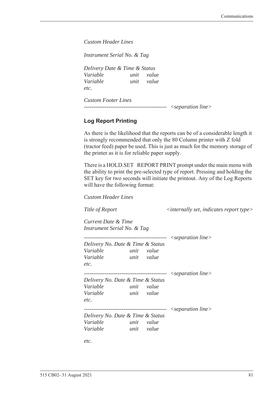*Custom Header Lines*

*Instrument Serial No. & Tag*

*Delivery Date & Time & Status Variable unit value Variable unit value etc.*

*Custom Footer Lines -------------------------------------------- <separation line>*

#### <span id="page-90-0"></span>**Log Report Printing**

As there is the likelihood that the reports can be of a considerable length it is strongly recommended that only the 80 Column printer with Z fold (tractor feed) paper be used. This is just as much for the memory storage of the printer as it is for reliable paper supply.

There is a HOLD.SET REPORT PRINT prompt under the main menu with the ability to print the pre-selected type of report. Pressing and holding the SET key for two seconds will initiate the printout. Any of the Log Reports will have the following format:

*Custom Header Lines Title of Report*  $\leq$  *internally set, indicates report type> Current Date & Time Instrument Serial No. & Tag -------------------------------------------- <separation line> Delivery No. Date & Time & Status Variable unit value Variable unit value etc. -------------------------------------------- <separation line> Delivery No. Date & Time & Status Variable unit value Variable unit value etc. -------------------------------------------- <separation line> Delivery No. Date & Time & Status Variable unit value Variable unit value*

*etc.*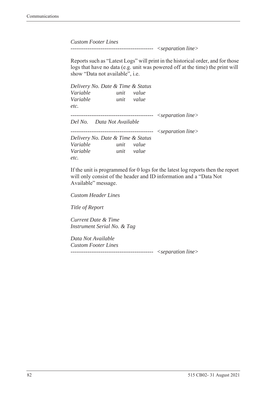*Custom Footer Lines* 

*-------------------------------------------- <separation line>*

Reports such as "Latest Logs" will print in the historical order, and for those logs that have no data (e.g. unit was powered off at the time) the print will show "Data not available", i.e.

*Delivery No. Date & Time & Status Variable unit value Variable unit value etc. -------------------------------------------- <separation line> Del No. Data Not Available -------------------------------------------- <separation line> Delivery No. Date & Time & Status Variable unit value Variable unit value etc.*

If the unit is programmed for 0 logs for the latest log reports then the report will only consist of the header and ID information and a "Data Not Available" message.

*Custom Header Lines*

*Title of Report*

*Current Date & Time Instrument Serial No. & Tag*

*Data Not Available Custom Footer Lines -------------------------------------------- <separation line>*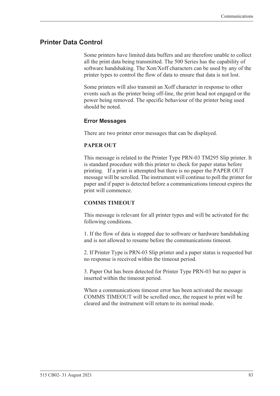# <span id="page-92-0"></span>**Printer Data Control**

Some printers have limited data buffers and are therefore unable to collect all the print data being transmitted. The 500 Series has the capability of software handshaking. The Xon/Xoff characters can be used by any of the printer types to control the flow of data to ensure that data is not lost.

Some printers will also transmit an Xoff character in response to other events such as the printer being off-line, the print head not engaged or the power being removed. The specific behaviour of the printer being used should be noted.

# <span id="page-92-1"></span>**Error Messages**

There are two printer error messages that can be displayed.

#### **PAPER OUT**

This message is related to the Printer Type PRN-03 TM295 Slip printer. It is standard procedure with this printer to check for paper status before printing. If a print is attempted but there is no paper the PAPER OUT message will be scrolled. The instrument will continue to poll the printer for paper and if paper is detected before a communications timeout expires the print will commence.

# **COMMS TIMEOUT**

This message is relevant for all printer types and will be activated for the following conditions.

1. If the flow of data is stopped due to software or hardware handshaking and is not allowed to resume before the communications timeout.

2. If Printer Type is PRN-03 Slip printer and a paper status is requested but no response is received within the timeout period.

3. Paper Out has been detected for Printer Type PRN-03 but no paper is inserted within the timeout period.

When a communications timeout error has been activated the message COMMS TIMEOUT will be scrolled once, the request to print will be cleared and the instrument will return to its normal mode.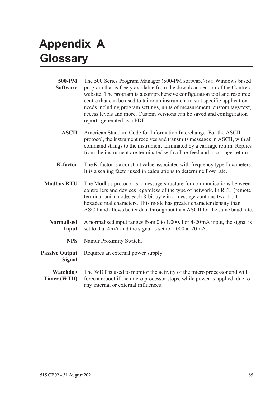# <span id="page-94-1"></span>**Appendix A Glossary**

<span id="page-94-0"></span>

| 500-PM<br><b>Software</b>              | The 500 Series Program Manager (500-PM software) is a Windows based<br>program that is freely available from the download section of the Contrec<br>website. The program is a comprehensive configuration tool and resource<br>centre that can be used to tailor an instrument to suit specific application<br>needs including program settings, units of measurement, custom tags/text,<br>access levels and more. Custom versions can be saved and configuration<br>reports generated as a PDF. |
|----------------------------------------|---------------------------------------------------------------------------------------------------------------------------------------------------------------------------------------------------------------------------------------------------------------------------------------------------------------------------------------------------------------------------------------------------------------------------------------------------------------------------------------------------|
| <b>ASCII</b>                           | American Standard Code for Information Interchange. For the ASCII<br>protocol, the instrument receives and transmits messages in ASCII, with all<br>command strings to the instrument terminated by a carriage return. Replies<br>from the instrument are terminated with a line-feed and a carriage-return.                                                                                                                                                                                      |
| <b>K-factor</b>                        | The K-factor is a constant value associated with frequency type flowmeters.<br>It is a scaling factor used in calculations to determine flow rate.                                                                                                                                                                                                                                                                                                                                                |
| <b>Modbus RTU</b>                      | The Modbus protocol is a message structure for communications between<br>controllers and devices regardless of the type of network. In RTU (remote<br>terminal unit) mode, each 8-bit byte in a message contains two 4-bit<br>hexadecimal characters. This mode has greater character density than<br>ASCII and allows better data throughput than ASCII for the same baud rate.                                                                                                                  |
| <b>Normalised</b><br>Input             | A normalised input ranges from 0 to 1.000. For 4-20 mA input, the signal is<br>set to 0 at 4mA and the signal is set to 1.000 at 20mA.                                                                                                                                                                                                                                                                                                                                                            |
| <b>NPS</b>                             | Namur Proximity Switch.                                                                                                                                                                                                                                                                                                                                                                                                                                                                           |
| <b>Passive Output</b><br><b>Signal</b> | Requires an external power supply.                                                                                                                                                                                                                                                                                                                                                                                                                                                                |
| Watchdog<br>Timer (WTD)                | The WDT is used to monitor the activity of the micro processor and will<br>force a reboot if the micro processor stops, while power is applied, due to<br>any internal or external influences.                                                                                                                                                                                                                                                                                                    |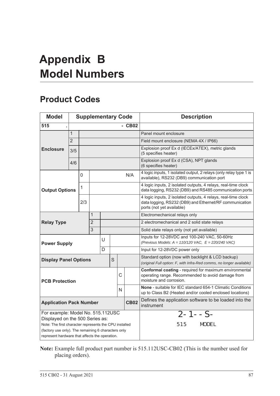# <span id="page-96-1"></span>**Appendix B Model Numbers**

# <span id="page-96-0"></span>**Product Codes**

| <b>Model</b>                                                         |                                               |     | <b>Supplementary Code</b> |                                                                      |   |   |                                                                                                                                                       | <b>Description</b>                                                                                                                     |
|----------------------------------------------------------------------|-----------------------------------------------|-----|---------------------------|----------------------------------------------------------------------|---|---|-------------------------------------------------------------------------------------------------------------------------------------------------------|----------------------------------------------------------------------------------------------------------------------------------------|
| 515                                                                  |                                               |     |                           |                                                                      |   |   | $-CB02$                                                                                                                                               |                                                                                                                                        |
|                                                                      | $\mathbf{1}$                                  |     |                           |                                                                      |   |   |                                                                                                                                                       | Panel mount enclosure                                                                                                                  |
|                                                                      | $\overline{2}$                                |     |                           |                                                                      |   |   |                                                                                                                                                       | Field mount enclosure (NEMA 4X / IP66)                                                                                                 |
| <b>Enclosure</b>                                                     | 3/5                                           |     |                           |                                                                      |   |   |                                                                                                                                                       | Explosion proof Ex d (IECEx/ATEX), metric glands<br>(5 specifies heater)                                                               |
|                                                                      | 4/6                                           |     |                           |                                                                      |   |   |                                                                                                                                                       | Explosion proof Ex d (CSA), NPT glands<br>(6 specifies heater)                                                                         |
|                                                                      |                                               | 0   |                           |                                                                      |   |   | N/A                                                                                                                                                   | 4 logic inputs, 1 isolated output, 2 relays (only relay type 1 is<br>available), RS232 (DB9) communication port                        |
| <b>Output Options</b>                                                |                                               | 1   |                           |                                                                      |   |   |                                                                                                                                                       | 4 logic inputs, 2 isolated outputs, 4 relays, real-time clock<br>data logging, RS232 (DB9) and RS485 communication ports               |
|                                                                      |                                               | 2/3 |                           |                                                                      |   |   | 4 logic inputs, 2 isolated outputs, 4 relays, real-time clock<br>data logging, RS232 (DB9) and Ethernet/RF communication<br>ports (not yet available) |                                                                                                                                        |
|                                                                      |                                               |     | 1                         |                                                                      |   |   |                                                                                                                                                       | Electromechanical relays only                                                                                                          |
| <b>Relay Type</b>                                                    | $\overline{2}$                                |     |                           |                                                                      |   |   |                                                                                                                                                       | 2 electromechanical and 2 solid state relays                                                                                           |
|                                                                      |                                               |     | 3                         |                                                                      |   |   |                                                                                                                                                       | Solid state relays only (not yet available)                                                                                            |
| <b>Power Supply</b>                                                  |                                               |     |                           | U                                                                    |   |   |                                                                                                                                                       | Inputs for 12-28VDC and 100-240 VAC, 50-60Hz<br>(Previous Models: $A = 110/120$ VAC, $E = 220/240$ VAC)                                |
|                                                                      |                                               |     |                           | D                                                                    |   |   |                                                                                                                                                       | Input for 12-28VDC power only                                                                                                          |
| <b>Display Panel Options</b>                                         |                                               |     |                           |                                                                      | S |   |                                                                                                                                                       | Standard option (now with backlight & LCD backup)<br>(original Full option: F, with Infra-Red comms, no longer available)              |
| <b>PCB Protection</b>                                                |                                               |     |                           |                                                                      |   | C |                                                                                                                                                       | Conformal coating - required for maximum environmental<br>operating range. Recommended to avoid damage from<br>moisture and corrosion. |
|                                                                      |                                               |     |                           |                                                                      |   | N |                                                                                                                                                       | None - suitable for IEC standard 654-1 Climatic Conditions<br>up to Class B2 (Heated and/or cooled enclosed locations)                 |
|                                                                      | <b>CB02</b><br><b>Application Pack Number</b> |     |                           | Defines the application software to be loaded into the<br>instrument |   |   |                                                                                                                                                       |                                                                                                                                        |
| For example: Model No. 515.112USC<br>Displayed on the 500 Series as: |                                               |     |                           |                                                                      |   |   |                                                                                                                                                       | $2 - 1 - -5 -$                                                                                                                         |
| Note: The first character represents the CPU installed               |                                               |     |                           |                                                                      |   |   |                                                                                                                                                       | 515<br><b>MODEL</b>                                                                                                                    |
| (factory use only). The remaining 6 characters only                  |                                               |     |                           |                                                                      |   |   |                                                                                                                                                       |                                                                                                                                        |
| represent hardware that affects the operation.                       |                                               |     |                           |                                                                      |   |   |                                                                                                                                                       |                                                                                                                                        |

**Note:** Example full product part number is 515.112USC-CB02 (This is the number used for placing orders).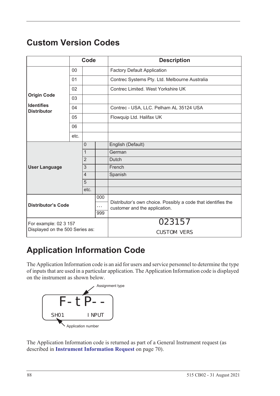# <span id="page-97-1"></span>**Custom Version Codes**

|                                         |        | Code           |                                                                                                | <b>Description</b>                            |
|-----------------------------------------|--------|----------------|------------------------------------------------------------------------------------------------|-----------------------------------------------|
|                                         | $00\,$ |                |                                                                                                | <b>Factory Default Application</b>            |
|                                         | 01     |                |                                                                                                | Contrec Systems Pty. Ltd. Melbourne Australia |
|                                         | 02     |                |                                                                                                | Contrec Limited. West Yorkshire UK            |
| <b>Origin Code</b>                      | 03     |                |                                                                                                |                                               |
| <b>Identifies</b><br><b>Distributor</b> | 04     |                |                                                                                                | Contrec - USA, LLC. Pelham AL 35124 USA       |
|                                         | 05     |                |                                                                                                | Flowquip Ltd. Halifax UK                      |
|                                         | 06     |                |                                                                                                |                                               |
|                                         | etc.   |                |                                                                                                |                                               |
|                                         |        | $\overline{0}$ |                                                                                                | English (Default)                             |
|                                         |        | $\mathbf{1}$   |                                                                                                | German                                        |
|                                         |        | $\overline{2}$ |                                                                                                | Dutch                                         |
| <b>User Language</b>                    |        | 3              |                                                                                                | French                                        |
|                                         |        | $\overline{4}$ |                                                                                                | Spanish                                       |
|                                         |        | $\overline{5}$ |                                                                                                |                                               |
|                                         |        | etc.           |                                                                                                |                                               |
|                                         |        |                | 000                                                                                            |                                               |
| <b>Distributor's Code</b><br>$\cdots$   |        |                | Distributor's own choice. Possibly a code that identifies the<br>customer and the application. |                                               |
| 999                                     |        |                |                                                                                                |                                               |
| For example: 02 3 157                   |        |                |                                                                                                | 023157                                        |
| Displayed on the 500 Series as:         |        |                |                                                                                                | <b>CUSTOM VERS</b>                            |

# **Application Information Code**

The Application Information code is an aid for users and service personnel to determine the type of inputs that are used in a particular application. The Application Information code is displayed on the instrument as shown below.

<span id="page-97-0"></span>

The Application Information code is returned as part of a General Instrument request (as described in **[Instrument Information Request](#page-79-0)** on page 70).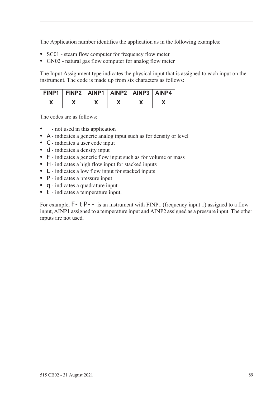The Application number identifies the application as in the following examples:

- **•** SC01 steam flow computer for frequency flow meter
- **•** GN02 natural gas flow computer for analog flow meter

The Input Assignment type indicates the physical input that is assigned to each input on the instrument. The code is made up from six characters as follows:

| FINP1   FINP2   AINP1   AINP2   AINP3   AINP4 |  |  |  |
|-----------------------------------------------|--|--|--|
|                                               |  |  |  |

The codes are as follows:

- - not used in this application
- **•** A indicates a generic analog input such as for density or level
- **•** C indicates a user code input
- d indicates a density input
- F indicates a generic flow input such as for volume or mass
- $\vdash$  indicates a high flow input for stacked inputs
- L indicates a low flow input for stacked inputs
- **•** P indicates a pressure input
- q indicates a quadrature input
- t indicates a temperature input.

For example,  $F - tP - -$  is an instrument with FINP1 (frequency input 1) assigned to a flow input, AINP1 assigned to a temperature input and AINP2 assigned as a pressure input. The other inputs are not used.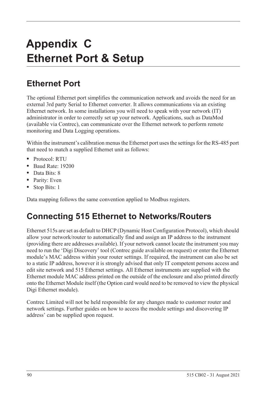# <span id="page-99-0"></span>**Appendix C Ethernet Port & Setup**

# **Ethernet Port**

The optional Ethernet port simplifies the communication network and avoids the need for an external 3rd party Serial to Ethernet converter. It allows communications via an existing Ethernet network. In some installations you will need to speak with your network (IT) administrator in order to correctly set up your network. Applications, such as DataMod (available via Contrec), can communicate over the Ethernet network to perform remote monitoring and Data Logging operations.

Within the instrument's calibration menus the Ethernet port uses the settings for the RS-485 port that need to match a supplied Ethernet unit as follows:

- **•** Protocol: RTU
- **•** Baud Rate: 19200
- **•** Data Bits: 8
- **•** Parity: Even
- **•** Stop Bits: 1

Data mapping follows the same convention applied to Modbus registers.

# **Connecting 515 Ethernet to Networks/Routers**

Ethernet 515s are set as default to DHCP (Dynamic Host Configuration Protocol), which should allow your network/router to automatically find and assign an IP address to the instrument (providing there are addresses available). If your network cannot locate the instrument you may need to run the 'Digi Discovery' tool (Contrec guide available on request) or enter the Ethernet module's MAC address within your router settings. If required, the instrument can also be set to a static IP address, however it is strongly advised that only IT competent persons access and edit site network and 515 Ethernet settings. All Ethernet instruments are supplied with the Ethernet module MAC address printed on the outside of the enclosure and also printed directly onto the Ethernet Module itself (the Option card would need to be removed to view the physical Digi Ethernet module).

Contrec Limited will not be held responsible for any changes made to customer router and network settings. Further guides on how to access the module settings and discovering IP address' can be supplied upon request.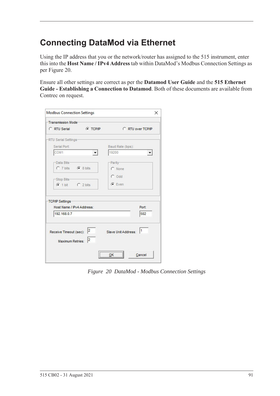# **Connecting DataMod via Ethernet**

Using the IP address that you or the network/router has assigned to the 515 instrument, enter this into the **Host Name / IPv4 Address** tab within DataMod's Modbus Connection Settings as per [Figure 20.](#page-100-0)

Ensure all other settings are correct as per the **Datamod User Guide** and the **515 Ethernet Guide - Establishing a Connection to Datamod**. Both of these documents are available from Contrec on request.

| Transmission Mode-                                  |                |                     |                      |
|-----------------------------------------------------|----------------|---------------------|----------------------|
| C RTU Serial                                        | <b>CONTROL</b> | C RTU over TCP/IP   |                      |
| -RTU Serial Settings-                               |                |                     |                      |
| Serial Port:                                        |                | Baud Rate (bps):    |                      |
| COM1                                                |                | 19200               | $\blacktriangledown$ |
| -Data Bits-                                         |                | -Parity-            |                      |
| C 7 bits C 8 bits                                   |                | C None              |                      |
|                                                     |                | $C$ Odd             |                      |
| -Stop Bits-                                         |                |                     |                      |
| C 1 bit C 2 bits                                    |                | $G$ Even            |                      |
| TCP/IP Settings                                     |                |                     |                      |
| Host Name / IPv4 Address:                           |                |                     | Port:                |
| 192.168.0.7                                         |                |                     | 502                  |
| Receive Timeout (sec): 2<br><b>Maximum Retries:</b> | 2              | Slave Unit Address: | 1                    |
|                                                     |                |                     |                      |
|                                                     |                |                     |                      |

<span id="page-100-0"></span>*Figure 20 DataMod - Modbus Connection Settings*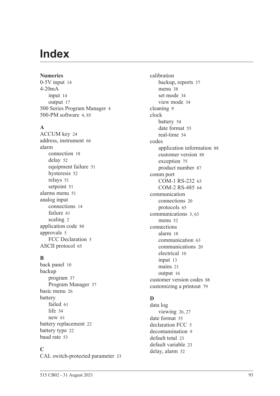# **Index**

#### **Numerics**

0-5V inpu[t 14](#page-23-0) 4-20mA input [14](#page-23-1) output [17](#page-26-0) 500 Series Program Manage[r 4](#page-13-0) 500-PM software [4,](#page-13-0) [85](#page-94-0)

# **A**

ACCUM ke[y 24](#page-33-0) address, instrumen[t 66](#page-75-0) alarm connection [18](#page-27-0) dela[y 52](#page-61-1) equipment failur[e 51](#page-60-0) hysteresi[s 52](#page-61-2) relays [51](#page-60-1) setpoin[t 51](#page-60-2) alarms menu [51](#page-60-3) analog input connection[s 14](#page-23-2) failur[e 61](#page-70-0) scalin[g 2](#page-11-0) application cod[e 88](#page-97-0) approvals [5](#page-14-0) FCC Declaration [5](#page-14-1) ASCII protoco[l 65](#page-74-0)

# **B**

back panel [10](#page-19-0) backup program [37](#page-46-0) Program Manage[r 37](#page-46-1) basic men[u 26](#page-35-0) battery faile[d 61](#page-70-1) lif[e 54](#page-63-1) ne[w 61](#page-70-1) battery replacemen[t 22](#page-31-0) battery typ[e 22](#page-31-1) baud rat[e 53](#page-62-0)

# **C**

CAL switch-protected parameter [33](#page-42-0)

calibration backup, reports [37](#page-46-0) menu [38](#page-47-0) set mode [34](#page-43-0) view mode [34](#page-43-1) cleaning [9](#page-18-0) clock batter[y 54](#page-63-1) date format [55](#page-64-0) real-tim[e 54](#page-63-2) codes application information [88](#page-97-0) customer versio[n 88](#page-97-1) exception [75](#page-84-1) product numbe[r 87](#page-96-0) comm port COM-1 RS-232 [63](#page-72-1) COM-2 RS-485 [64](#page-73-1) communication connection[s 20](#page-29-0) protocols [65](#page-74-1) communication[s 3,](#page-12-0) [63](#page-72-2) menu [52](#page-61-3) connections alar[m 18](#page-27-0) communication [63](#page-72-3) communication[s 20](#page-29-0) electrical [10](#page-19-1) input [13](#page-22-0) mains [21](#page-30-0) output [16](#page-25-0) customer version codes [88](#page-97-1) customizing a printout [79](#page-88-1)

# **D**

data log viewing [26,](#page-35-1) [27](#page-36-0) date format [55](#page-64-0) declaration FCC [5](#page-14-1) decontamination [9](#page-18-0) default total [23](#page-32-0) default variable [23](#page-32-0) delay, alar[m 52](#page-61-1)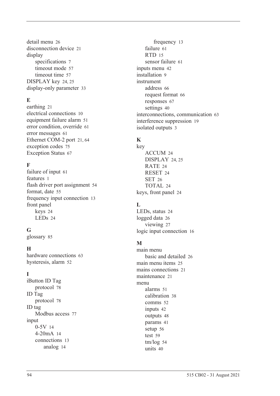detail men[u 26](#page-35-0) disconnection device [21](#page-30-1) display specifications [7](#page-16-0) timeout mod[e 57](#page-66-0) timeout time [57](#page-66-1) DISPLAY key [24,](#page-33-1) [25](#page-34-0) display-only parameter [33](#page-42-1)

# **E**

earthin[g 21](#page-30-2) electrical connections [10](#page-19-1) equipment failure alarm [51](#page-60-0) error condition, overrid[e 61](#page-70-2) error message[s 61](#page-70-3) Ethernet COM-2 por[t 21,](#page-30-3) [64](#page-73-2) exception codes [75](#page-84-1) Exception Status [67](#page-76-0)

# **F**

failure of input [61](#page-70-0) features [1](#page-10-0) flash driver port assignmen[t 54](#page-63-3) format, date [55](#page-64-0) frequency input connection [13](#page-22-1) front panel keys [24](#page-33-2) LEDs [24](#page-33-3)

# **G**

glossary [85](#page-94-1)

# **H**

hardware connections [63](#page-72-3) hysteresis, alar[m 52](#page-61-2)

# **I**

iButton ID Tag protocol [78](#page-87-0) ID Tag protocol [78](#page-87-1) ID tag Modbus access [77](#page-86-0) input 0-5[V 14](#page-23-0) 4-20mA [14](#page-23-1) connection[s 13](#page-22-0) analog [14](#page-23-2)

frequency [13](#page-22-1) failure [61](#page-70-0) RTD [15](#page-24-0) sensor failure [61](#page-70-0) inputs menu [42](#page-51-0) installation [9](#page-18-1) instrument address [66](#page-75-0) request forma[t 66](#page-75-1) response[s 67](#page-76-1) setting[s 40](#page-49-0) interconnections, communication [63](#page-72-3) interference suppression [19](#page-28-0) isolated output[s 3](#page-12-1)

# **K**

key ACCUM [24](#page-33-0) DISPLA[Y 24,](#page-33-1) [25](#page-34-0) RATE [24](#page-33-4) RESE[T 24](#page-33-5) SET [26](#page-35-2) TOTAL [24](#page-33-6) keys, front panel [24](#page-33-2)

# **L**

LEDs, status [24](#page-33-3) logged dat[a 26](#page-35-1) viewin[g 27](#page-36-0) logic input connection [16](#page-25-1)

# **M**

main menu basic and detailed [26](#page-35-0) main menu item[s 25](#page-34-1) mains connections [21](#page-30-0) maintenanc[e 21](#page-30-4) menu alarms [51](#page-60-3) calibration [38](#page-47-0) comm[s 52](#page-61-3) inputs [42](#page-51-0) outputs [48](#page-57-0) param[s 41](#page-50-1) setup [56](#page-65-0) tes[t 59](#page-68-0) tm/log [54](#page-63-4) units [40](#page-49-1)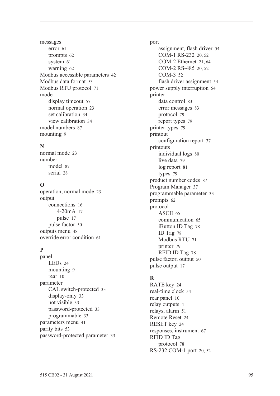messages erro[r 61](#page-70-3) prompt[s 62](#page-71-0) syste[m 61](#page-70-4) warnin[g 62](#page-71-1) Modbus accessible parameters [42](#page-51-1) Modbus data forma[t 53](#page-62-1) Modbus RTU protoco[l 71](#page-80-0) mode display timeou[t 57](#page-66-0) normal operatio[n 23](#page-32-1) set calibration [34](#page-43-0) view calibration [34](#page-43-1) model number[s 87](#page-96-1) mountin[g 9](#page-18-2)

# **N**

normal mode [23](#page-32-1) number mode[l 87](#page-96-1) seria[l 28](#page-37-1)

# **O**

operation, normal mod[e 23](#page-32-1) output connection[s 16](#page-25-0) 4-20m[A 17](#page-26-0) puls[e 17](#page-26-1) pulse facto[r 50](#page-59-0) outputs men[u 48](#page-57-0) override error condition [61](#page-70-2)

# **P**

panel LED[s 24](#page-33-3) mountin[g 9](#page-18-2) rear [10](#page-19-0) parameter CAL switch-protecte[d 33](#page-42-0) display-onl[y 33](#page-42-1) not visibl[e 33](#page-42-2) password-protecte[d 33](#page-42-3) programmabl[e 33](#page-42-4) parameters men[u 41](#page-50-1) parity bit[s 53](#page-62-2) password-protected parameter [33](#page-42-3) port assignment, flash driver [54](#page-63-3) COM-1 RS-232 [20,](#page-29-1) [52](#page-61-4) COM-2 Ethernet [21,](#page-30-3) [64](#page-73-2) COM-2 RS-485 [20,](#page-29-2) [52](#page-61-5) COM-[3 52](#page-61-6) flash driver assignment [54](#page-63-3) power supply interruption [54](#page-63-1) printer data control [83](#page-92-0) error messages [83](#page-92-1) protocol [79](#page-88-2) report types [79](#page-88-3) printer type[s 79](#page-88-4) printout configuration repor[t 37](#page-46-2) printouts individual logs [80](#page-89-0) live data [79](#page-88-5) log report [81](#page-90-0) type[s 79](#page-88-6) product number codes [87](#page-96-0) Program Manager [37](#page-46-1) programmable parameter [33](#page-42-4) prompt[s 62](#page-71-0) protocol ASCI[I 65](#page-74-0) communication [65](#page-74-1) iButton ID Ta[g 78](#page-87-0) ID Ta[g 78](#page-87-1) Modbus RT[U 71](#page-80-0) printer [79](#page-88-2) RFID ID Tag [78](#page-87-2) pulse factor, output [50](#page-59-0) pulse output [17](#page-26-1)

# **R**

RATE key [24](#page-33-4) real-time cloc[k 54](#page-63-2) rear panel [10](#page-19-0) relay output[s 4](#page-13-1) relays, alarm [51](#page-60-1) Remote Reset [24](#page-33-7) RESET key [24](#page-33-5) responses, instrument [67](#page-76-1) RFID ID Tag protocol [78](#page-87-2) RS-232 COM-1 por[t 20,](#page-29-1) [52](#page-61-4)